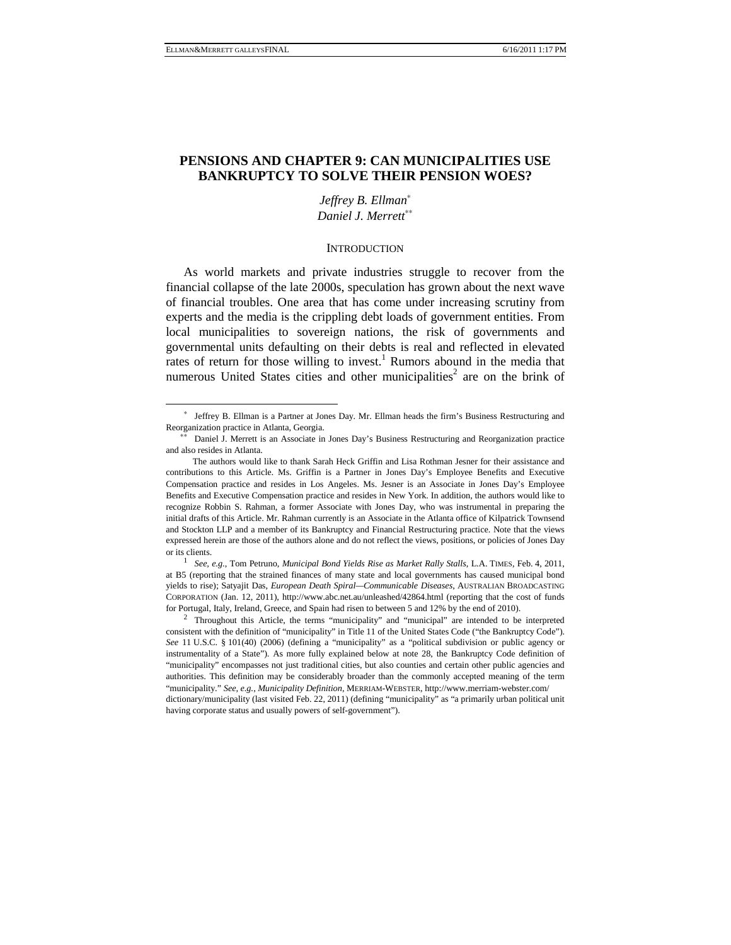# **PENSIONS AND CHAPTER 9: CAN MUNICIPALITIES USE BANKRUPTCY TO SOLVE THEIR PENSION WOES?**

*Jeffrey B. Ellman*<sup>∗</sup> *Daniel J. Merrett*∗∗

#### **INTRODUCTION**

As world markets and private industries struggle to recover from the financial collapse of the late 2000s, speculation has grown about the next wave of financial troubles. One area that has come under increasing scrutiny from experts and the media is the crippling debt loads of government entities. From local municipalities to sovereign nations, the risk of governments and governmental units defaulting on their debts is real and reflected in elevated rates of return for those willing to invest.<sup>1</sup> Rumors abound in the media that numerous United States cities and other municipalities<sup>2</sup> are on the brink of

-

at B5 (reporting that the strained finances of many state and local governments has caused municipal bond yields to rise); Satyajit Das, *European Death Spiral—Communicable Diseases*, AUSTRALIAN BROADCASTING CORPORATION (Jan. 12, 2011), http://www.abc.net.au/unleashed/42864.html (reporting that the cost of funds

for Portugal, Italy, Ireland, Greece, and Spain had risen to between 5 and 12% by the end of 2010).<br><sup>2</sup> Throughout this Article, the terms "municipality" and "municipal" are intended to be interpreted consistent with the definition of "municipality" in Title 11 of the United States Code ("the Bankruptcy Code"). *See* 11 U.S.C. § 101(40) (2006) (defining a "municipality" as a "political subdivision or public agency or instrumentality of a State"). As more fully explained below at note 28, the Bankruptcy Code definition of "municipality" encompasses not just traditional cities, but also counties and certain other public agencies and authorities. This definition may be considerably broader than the commonly accepted meaning of the term "municipality." *See, e.g.*, *Municipality Definition*, MERRIAM-WEBSTER, http://www.merriam-webster.com/ dictionary/municipality (last visited Feb. 22, 2011) (defining "municipality" as "a primarily urban political unit having corporate status and usually powers of self-government").

<sup>∗</sup> Jeffrey B. Ellman is a Partner at Jones Day. Mr. Ellman heads the firm's Business Restructuring and Reorganization practice in Atlanta, Georgia.

<sup>∗∗</sup> Daniel J. Merrett is an Associate in Jones Day's Business Restructuring and Reorganization practice and also resides in Atlanta.

The authors would like to thank Sarah Heck Griffin and Lisa Rothman Jesner for their assistance and contributions to this Article. Ms. Griffin is a Partner in Jones Day's Employee Benefits and Executive Compensation practice and resides in Los Angeles. Ms. Jesner is an Associate in Jones Day's Employee Benefits and Executive Compensation practice and resides in New York. In addition, the authors would like to recognize Robbin S. Rahman, a former Associate with Jones Day, who was instrumental in preparing the initial drafts of this Article. Mr. Rahman currently is an Associate in the Atlanta office of Kilpatrick Townsend and Stockton LLP and a member of its Bankruptcy and Financial Restructuring practice. Note that the views expressed herein are those of the authors alone and do not reflect the views, positions, or policies of Jones Day or its clients. 1 *See, e.g.*, Tom Petruno, *Municipal Bond Yields Rise as Market Rally Stalls*, L.A. TIMES, Feb. 4, 2011,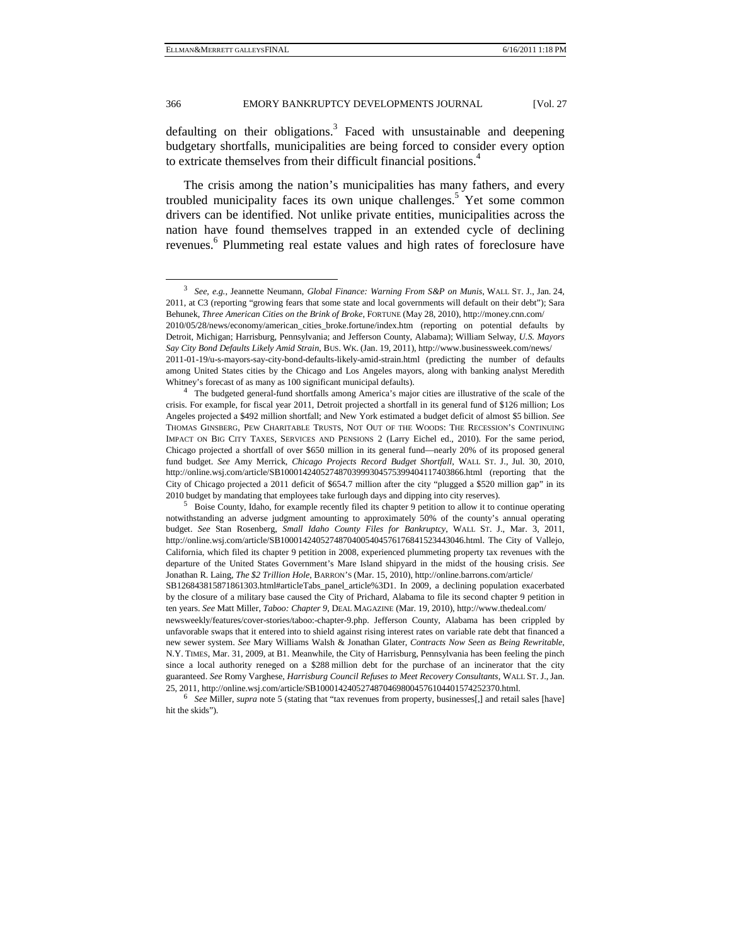defaulting on their obligations.<sup>3</sup> Faced with unsustainable and deepening budgetary shortfalls, municipalities are being forced to consider every option to extricate themselves from their difficult financial positions.<sup>4</sup>

The crisis among the nation's municipalities has many fathers, and every troubled municipality faces its own unique challenges.<sup>5</sup> Yet some common drivers can be identified. Not unlike private entities, municipalities across the nation have found themselves trapped in an extended cycle of declining revenues. 6 Plummeting real estate values and high rates of foreclosure have

 <sup>3</sup> *See, e.g.*, Jeannette Neumann, *Global Finance: Warning From S&P on Munis*, WALL ST. J., Jan. 24, 2011, at C3 (reporting "growing fears that some state and local governments will default on their debt"); Sara Behunek, *Three American Cities on the Brink of Broke*, FORTUNE (May 28, 2010), http://money.cnn.com/

<sup>2010/05/28/</sup>news/economy/american\_cities\_broke.fortune/index.htm (reporting on potential defaults by Detroit, Michigan; Harrisburg, Pennsylvania; and Jefferson County, Alabama); William Selway, *U.S. Mayors Say City Bond Defaults Likely Amid Strain*, BUS. WK. (Jan. 19, 2011), http://www.businessweek.com/news/

<sup>2011-01-19/</sup>u-s-mayors-say-city-bond-defaults-likely-amid-strain.html (predicting the number of defaults among United States cities by the Chicago and Los Angeles mayors, along with banking analyst Meredith Whitney's forecast of as many as 100 significant municipal defaults).<br><sup>4</sup> The budgeted general-fund shortfalls among America's major cities are illustrative of the scale of the

crisis. For example, for fiscal year 2011, Detroit projected a shortfall in its general fund of \$126 million; Los Angeles projected a \$492 million shortfall; and New York estimated a budget deficit of almost \$5 billion. *See* THOMAS GINSBERG, PEW CHARITABLE TRUSTS, NOT OUT OF THE WOODS: THE RECESSION'S CONTINUING IMPACT ON BIG CITY TAXES, SERVICES AND PENSIONS 2 (Larry Eichel ed., 2010). For the same period, Chicago projected a shortfall of over \$650 million in its general fund—nearly 20% of its proposed general fund budget. *See* Amy Merrick, *Chicago Projects Record Budget Shortfall*, WALL ST. J., Jul. 30, 2010, http://online.wsj.com/article/SB10001424052748703999304575399404117403866.html (reporting that the City of Chicago projected a 2011 deficit of \$654.7 million after the city "plugged a \$520 million gap" in its 2010 budget by mandating that employees take furlough days and dipping into city reserves).<br><sup>5</sup> Boise County, Idaho, for example recently filed its chapter 9 petition to allow it to continue operating

notwithstanding an adverse judgment amounting to approximately 50% of the county's annual operating budget. *See* Stan Rosenberg, *Small Idaho County Files for Bankruptcy*, WALL ST. J., Mar. 3, 2011, http://online.wsj.com/article/SB10001424052748704005404576176841523443046.html. The City of Vallejo, California, which filed its chapter 9 petition in 2008, experienced plummeting property tax revenues with the departure of the United States Government's Mare Island shipyard in the midst of the housing crisis. *See* Jonathan R. Laing, *The \$2 Trillion Hole*, BARRON'S (Mar. 15, 2010), http://online.barrons.com/article/

SB126843815871861303.html#articleTabs\_panel\_article%3D1. In 2009, a declining population exacerbated by the closure of a military base caused the City of Prichard, Alabama to file its second chapter 9 petition in ten years. *See* Matt Miller, *Taboo: Chapter 9*, DEAL MAGAZINE (Mar. 19, 2010), http://www.thedeal.com/

newsweekly/features/cover-stories/taboo:-chapter-9.php. Jefferson County, Alabama has been crippled by unfavorable swaps that it entered into to shield against rising interest rates on variable rate debt that financed a new sewer system. *See* Mary Williams Walsh & Jonathan Glater, *Contracts Now Seen as Being Rewritable*, N.Y. TIMES, Mar. 31, 2009, at B1. Meanwhile, the City of Harrisburg, Pennsylvania has been feeling the pinch since a local authority reneged on a \$288 million debt for the purchase of an incinerator that the city guaranteed. *See* Romy Varghese, *Harrisburg Council Refuses to Meet Recovery Consultants*, WALL ST. J., Jan. 25, 2011, http://online.wsj.com/article/SB10001424052748704698004576104401574252370.html. 6 *See* Miller, *supra* note 5 (stating that "tax revenues from property, businesses[,] and retail sales [have]

hit the skids").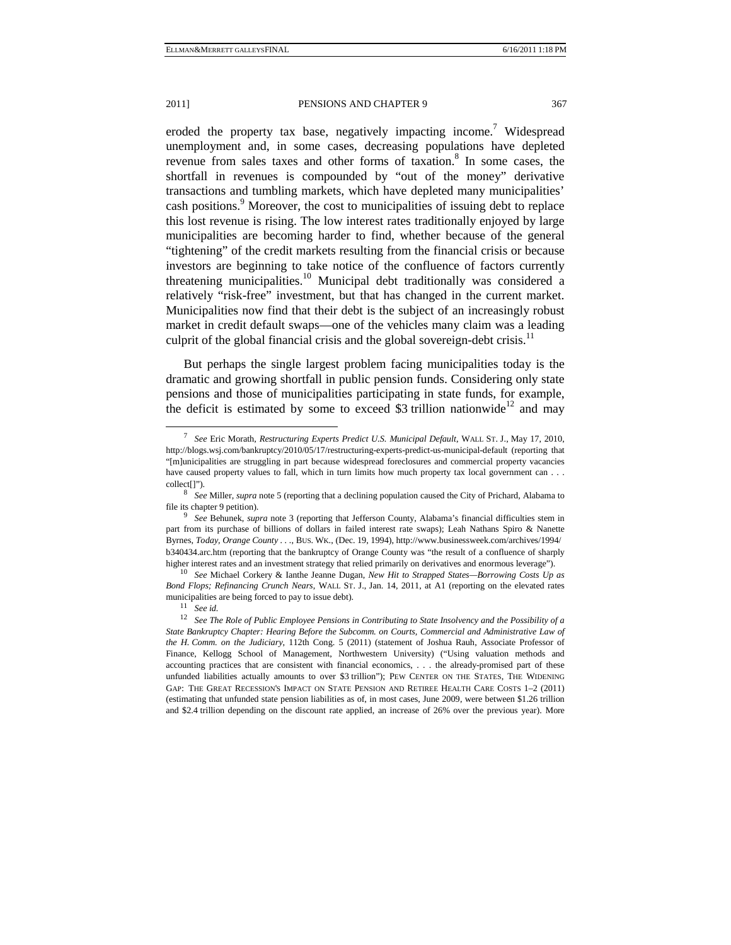eroded the property tax base, negatively impacting income.<sup>7</sup> Widespread unemployment and, in some cases, decreasing populations have depleted revenue from sales taxes and other forms of taxation.<sup>8</sup> In some cases, the shortfall in revenues is compounded by "out of the money" derivative transactions and tumbling markets, which have depleted many municipalities' cash positions.<sup>9</sup> Moreover, the cost to municipalities of issuing debt to replace this lost revenue is rising. The low interest rates traditionally enjoyed by large municipalities are becoming harder to find, whether because of the general "tightening" of the credit markets resulting from the financial crisis or because investors are beginning to take notice of the confluence of factors currently threatening municipalities.<sup>10</sup> Municipal debt traditionally was considered a relatively "risk-free" investment, but that has changed in the current market. Municipalities now find that their debt is the subject of an increasingly robust market in credit default swaps—one of the vehicles many claim was a leading culprit of the global financial crisis and the global sovereign-debt crisis.<sup>11</sup>

But perhaps the single largest problem facing municipalities today is the dramatic and growing shortfall in public pension funds. Considering only state pensions and those of municipalities participating in state funds, for example, the deficit is estimated by some to exceed \$3 trillion nationwide<sup>12</sup> and may

 <sup>7</sup> *See* Eric Morath, *Restructuring Experts Predict U.S. Municipal Default*, WALL ST. J., May 17, 2010, http://blogs.wsj.com/bankruptcy/2010/05/17/restructuring-experts-predict-us-municipal-default (reporting that "[m]unicipalities are struggling in part because widespread foreclosures and commercial property vacancies have caused property values to fall, which in turn limits how much property tax local government can . . . collect[]"). 8 *See* Miller, *supra* note 5 (reporting that a declining population caused the City of Prichard, Alabama to

file its chapter 9 petition). 9 *See* Behunek, *supra* note 3 (reporting that Jefferson County, Alabama's financial difficulties stem in

part from its purchase of billions of dollars in failed interest rate swaps); Leah Nathans Spiro & Nanette Byrnes, *Today, Orange County . . .*, BUS. WK., (Dec. 19, 1994), http://www.businessweek.com/archives/1994/ b340434.arc.htm (reporting that the bankruptcy of Orange County was "the result of a confluence of sharply higher interest rates and an investment strategy that relied primarily on derivatives and enormous leverage"). 10 *See* Michael Corkery & Ianthe Jeanne Dugan, *New Hit to Strapped States—Borrowing Costs Up as* 

*Bond Flops; Refinancing Crunch Nears*, WALL ST. J., Jan. 14, 2011, at A1 (reporting on the elevated rates municipalities are being forced to pay to issue debt). <sup>11</sup> See id.

<sup>12</sup> *See The Role of Public Employee Pensions in Contributing to State Insolvency and the Possibility of a State Bankruptcy Chapter: Hearing Before the Subcomm. on Courts, Commercial and Administrative Law of the H. Comm. on the Judiciary*, 112th Cong. 5 (2011) (statement of Joshua Rauh, Associate Professor of Finance, Kellogg School of Management, Northwestern University) ("Using valuation methods and accounting practices that are consistent with financial economics, . . . the already-promised part of these unfunded liabilities actually amounts to over \$3 trillion"); PEW CENTER ON THE STATES, THE WIDENING GAP: THE GREAT RECESSION'S IMPACT ON STATE PENSION AND RETIREE HEALTH CARE COSTS 1–2 (2011) (estimating that unfunded state pension liabilities as of, in most cases, June 2009, were between \$1.26 trillion and \$2.4 trillion depending on the discount rate applied, an increase of 26% over the previous year). More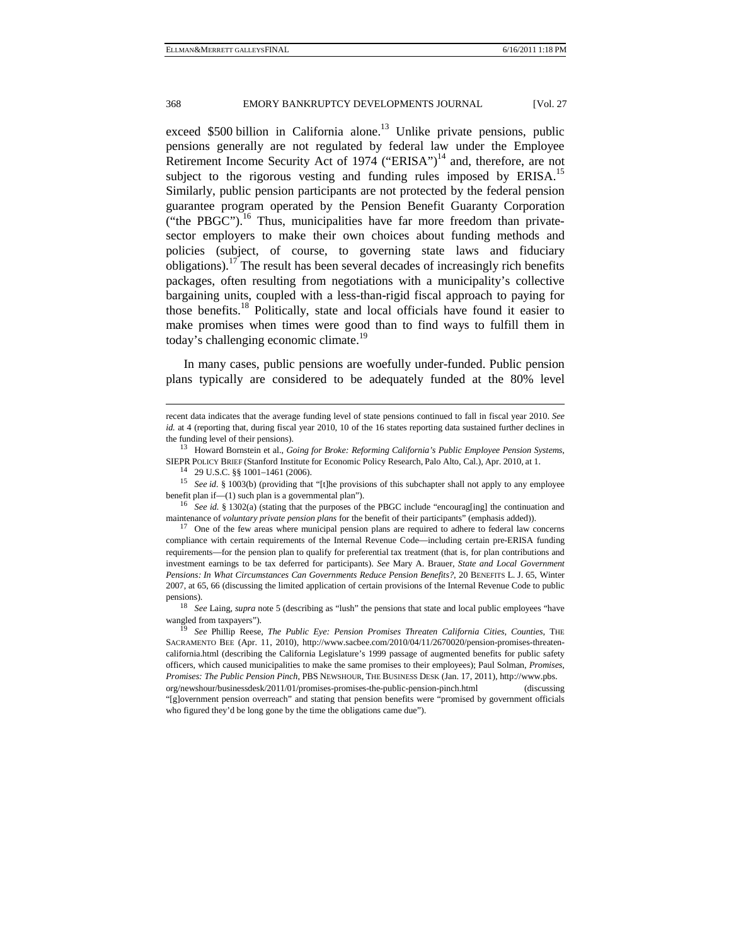exceed  $$500$  billion in California alone.<sup>13</sup> Unlike private pensions, public pensions generally are not regulated by federal law under the Employee Retirement Income Security Act of 1974 ("ERISA")<sup>14</sup> and, therefore, are not subject to the rigorous vesting and funding rules imposed by  $ERISA$ <sup>15</sup> Similarly, public pension participants are not protected by the federal pension guarantee program operated by the Pension Benefit Guaranty Corporation ("the PBGC").<sup>16</sup> Thus, municipalities have far more freedom than privatesector employers to make their own choices about funding methods and policies (subject, of course, to governing state laws and fiduciary obligations).<sup>17</sup> The result has been several decades of increasingly rich benefits packages, often resulting from negotiations with a municipality's collective bargaining units, coupled with a less-than-rigid fiscal approach to paying for those benefits.18 Politically, state and local officials have found it easier to make promises when times were good than to find ways to fulfill them in today's challenging economic climate.<sup>19</sup>

In many cases, public pensions are woefully under-funded. Public pension plans typically are considered to be adequately funded at the 80% level

j

recent data indicates that the average funding level of state pensions continued to fall in fiscal year 2010. *See id.* at 4 (reporting that, during fiscal year 2010, 10 of the 16 states reporting data sustained further declines in the funding level of their pensions). 13 Howard Bornstein et al., *Going for Broke: Reforming California's Public Employee Pension Systems*,

SIEPR POLICY BRIEF (Stanford Institute for Economic Policy Research, Palo Alto, Cal.), Apr. 2010, at 1. 14 29 U.S.C. §§ 1001–1461 (2006).

<sup>&</sup>lt;sup>15</sup> See *id.* § 1003(b) (providing that "[t]he provisions of this subchapter shall not apply to any employee benefit plan if—(1) such plan is a governmental plan").<br><sup>16</sup> See *id.* § 1302(a) (stating that the purposes of the PBGC include "encourag[ing] the continuation and

maintenance of *voluntary private pension plans* for the benefit of their participants" (emphasis added)).<br><sup>17</sup> One of the few areas where municipal pension plans are required to adhere to federal law concerns

compliance with certain requirements of the Internal Revenue Code—including certain pre-ERISA funding requirements—for the pension plan to qualify for preferential tax treatment (that is, for plan contributions and investment earnings to be tax deferred for participants). *See* Mary A. Brauer, *State and Local Government Pensions: In What Circumstances Can Governments Reduce Pension Benefits?*, 20 BENEFITS L. J. 65, Winter 2007, at 65, 66 (discussing the limited application of certain provisions of the Internal Revenue Code to public pensions). 18 *See* Laing, *supra* note 5 (describing as "lush" the pensions that state and local public employees "have

wangled from taxpayers"). 19 *See* Phillip Reese, *The Public Eye: Pension Promises Threaten California Cities, Counties*, THE

SACRAMENTO BEE (Apr. 11, 2010), http://www.sacbee.com/2010/04/11/2670020/pension-promises-threatencalifornia.html (describing the California Legislature's 1999 passage of augmented benefits for public safety officers, which caused municipalities to make the same promises to their employees); Paul Solman, *Promises, Promises: The Public Pension Pinch*, PBS NEWSHOUR, THE BUSINESS DESK (Jan. 17, 2011), http://www.pbs. org/newshour/businessdesk/2011/01/promises-promises-the-public-pension-pinch.html (discussing "[g]overnment pension overreach" and stating that pension benefits were "promised by government officials who figured they'd be long gone by the time the obligations came due").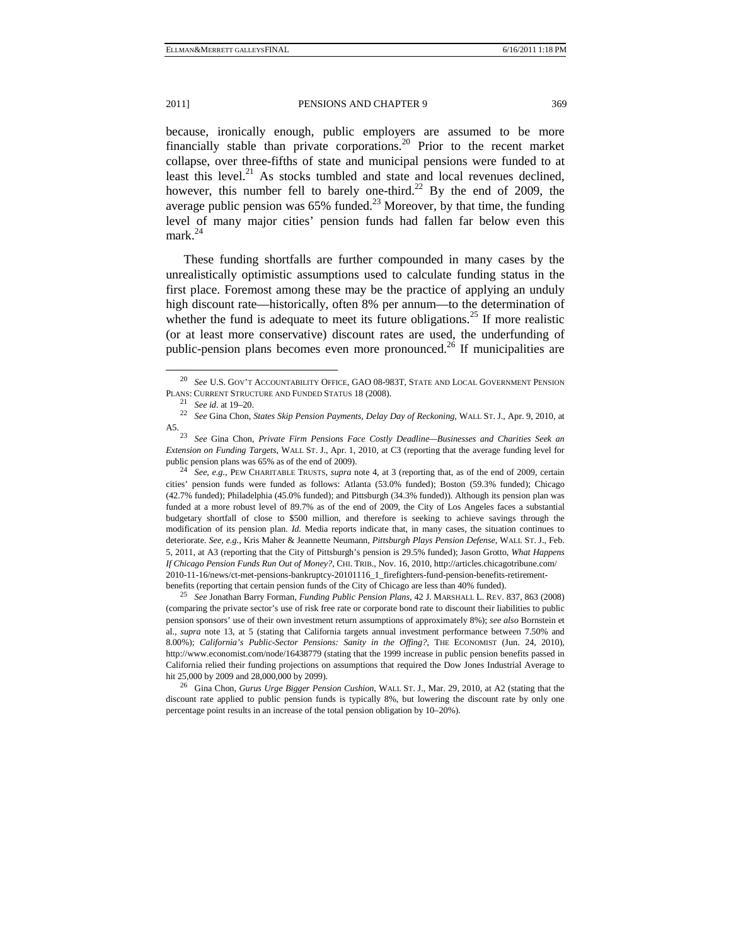because, ironically enough, public employers are assumed to be more financially stable than private corporations.20 Prior to the recent market collapse, over three-fifths of state and municipal pensions were funded to at least this level. $^{21}$  As stocks tumbled and state and local revenues declined, however, this number fell to barely one-third.<sup>22</sup> By the end of 2009, the average public pension was  $65\%$  funded.<sup>23</sup> Moreover, by that time, the funding level of many major cities' pension funds had fallen far below even this mark.<sup>24</sup>

These funding shortfalls are further compounded in many cases by the unrealistically optimistic assumptions used to calculate funding status in the first place. Foremost among these may be the practice of applying an unduly high discount rate—historically, often 8% per annum—to the determination of whether the fund is adequate to meet its future obligations.<sup>25</sup> If more realistic (or at least more conservative) discount rates are used, the underfunding of public-pension plans becomes even more pronounced.<sup>26</sup> If municipalities are

cities' pension funds were funded as follows: Atlanta (53.0% funded); Boston (59.3% funded); Chicago (42.7% funded); Philadelphia (45.0% funded); and Pittsburgh (34.3% funded)). Although its pension plan was funded at a more robust level of 89.7% as of the end of 2009, the City of Los Angeles faces a substantial budgetary shortfall of close to \$500 million, and therefore is seeking to achieve savings through the modification of its pension plan. *Id.* Media reports indicate that, in many cases, the situation continues to deteriorate. *See, e.g.*, Kris Maher & Jeannette Neumann, *Pittsburgh Plays Pension Defense*, WALL ST. J., Feb. 5, 2011, at A3 (reporting that the City of Pittsburgh's pension is 29.5% funded); Jason Grotto, *What Happens If Chicago Pension Funds Run Out of Money?*, CHI. TRIB., Nov. 16, 2010, http://articles.chicagotribune.com/ 2010-11-16/news/ct-met-pensions-bankruptcy-20101116\_1\_firefighters-fund-pension-benefits-retirementbenefits (reporting that certain pension funds of the City of Chicago are less than 40% funded). 25 *See* Jonathan Barry Forman, *Funding Public Pension Plans*, 42 J. MARSHALL L. REV. 837, 863 (2008)

(comparing the private sector's use of risk free rate or corporate bond rate to discount their liabilities to public pension sponsors' use of their own investment return assumptions of approximately 8%); *see also* Bornstein et al., *supra* note 13, at 5 (stating that California targets annual investment performance between 7.50% and 8.00%); *California's Public-Sector Pensions: Sanity in the Offing?*, THE ECONOMIST (Jun. 24, 2010), http://www.economist.com/node/16438779 (stating that the 1999 increase in public pension benefits passed in California relied their funding projections on assumptions that required the Dow Jones Industrial Average to

hit 25,000 by 2009 and 28,000,000 by 2099). 26 Gina Chon, *Gurus Urge Bigger Pension Cushion*, WALL ST. J., Mar. 29, 2010, at A2 (stating that the discount rate applied to public pension funds is typically 8%, but lowering the discount rate by only one percentage point results in an increase of the total pension obligation by 10–20%).

 <sup>20</sup> *See* U.S. GOV'T ACCOUNTABILITY OFFICE, GAO 08-983T, STATE AND LOCAL GOVERNMENT PENSION PLANS: CURRENT STRUCTURE AND FUNDED STATUS 18 (2008). 21 *See id.* at 19–20. 22 *See* Gina Chon, *States Skip Pension Payments, Delay Day of Reckoning*, WALL ST. J., Apr. 9, 2010, at

A5. 23 *See* Gina Chon, *Private Firm Pensions Face Costly Deadline—Businesses and Charities Seek an Extension on Funding Targets*, WALL ST. J., Apr. 1, 2010, at C3 (reporting that the average funding level for public pension plans was 65% as of the end of 2009). 24 *See, e.g.*, PEW CHARITABLE TRUSTS, *supra* note 4, at 3 (reporting that, as of the end of 2009, certain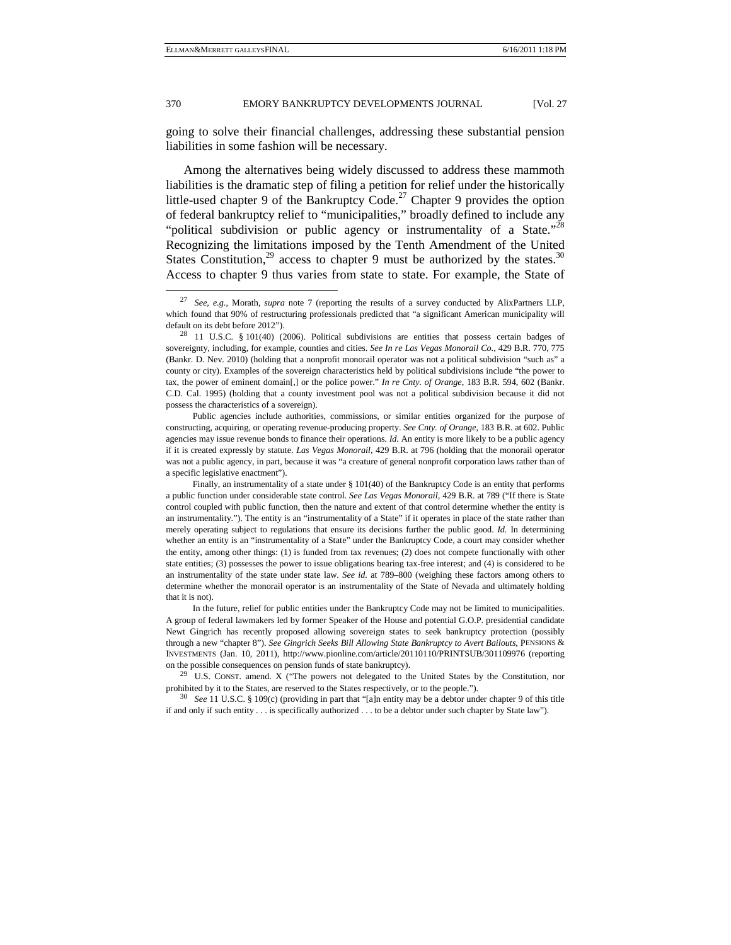going to solve their financial challenges, addressing these substantial pension liabilities in some fashion will be necessary.

Among the alternatives being widely discussed to address these mammoth liabilities is the dramatic step of filing a petition for relief under the historically little-used chapter 9 of the Bankruptcy Code.<sup>27</sup> Chapter 9 provides the option of federal bankruptcy relief to "municipalities," broadly defined to include any "political subdivision or public agency or instrumentality of a State."<sup>28</sup> Recognizing the limitations imposed by the Tenth Amendment of the United States Constitution,<sup>29</sup> access to chapter 9 must be authorized by the states.<sup>30</sup> Access to chapter 9 thus varies from state to state. For example, the State of

Public agencies include authorities, commissions, or similar entities organized for the purpose of constructing, acquiring, or operating revenue-producing property. *See Cnty. of Orange*, 183 B.R. at 602. Public agencies may issue revenue bonds to finance their operations. *Id.* An entity is more likely to be a public agency if it is created expressly by statute. *Las Vegas Monorail*, 429 B.R. at 796 (holding that the monorail operator was not a public agency, in part, because it was "a creature of general nonprofit corporation laws rather than of a specific legislative enactment").

In the future, relief for public entities under the Bankruptcy Code may not be limited to municipalities. A group of federal lawmakers led by former Speaker of the House and potential G.O.P. presidential candidate Newt Gingrich has recently proposed allowing sovereign states to seek bankruptcy protection (possibly through a new "chapter 8"). *See Gingrich Seeks Bill Allowing State Bankruptcy to Avert Bailouts*, PENSIONS & INVESTMENTS (Jan. 10, 2011), http://www.pionline.com/article/20110110/PRINTSUB/301109976 (reporting

on the possible consequences on pension funds of state bankruptcy). 29 U.S. CONST. amend. X ("The powers not delegated to the United States by the Constitution, nor prohibited by it to the States, are reserved to the States respectively, or to the people.").<br><sup>30</sup> *See* 11 U.S.C. § 109(c) (providing in part that "[a]n entity may be a debtor under chapter 9 of this title

if and only if such entity . . . is specifically authorized . . . to be a debtor under such chapter by State law").

 <sup>27</sup> *See, e.g.*, Morath, *supra* note 7 (reporting the results of a survey conducted by AlixPartners LLP, which found that 90% of restructuring professionals predicted that "a significant American municipality will default on its debt before 2012").<br><sup>28</sup> 11 U.S.C. § 101(40) (2006). Political subdivisions are entities that possess certain badges of

sovereignty, including, for example, counties and cities. *See In re Las Vegas Monorail Co.*, 429 B.R. 770, 775 (Bankr. D. Nev. 2010) (holding that a nonprofit monorail operator was not a political subdivision "such as" a county or city). Examples of the sovereign characteristics held by political subdivisions include "the power to tax, the power of eminent domain[,] or the police power." *In re Cnty. of Orange*, 183 B.R. 594, 602 (Bankr. C.D. Cal. 1995) (holding that a county investment pool was not a political subdivision because it did not possess the characteristics of a sovereign).

Finally, an instrumentality of a state under § 101(40) of the Bankruptcy Code is an entity that performs a public function under considerable state control. *See Las Vegas Monorail*, 429 B.R. at 789 ("If there is State control coupled with public function, then the nature and extent of that control determine whether the entity is an instrumentality."). The entity is an "instrumentality of a State" if it operates in place of the state rather than merely operating subject to regulations that ensure its decisions further the public good. *Id.* In determining whether an entity is an "instrumentality of a State" under the Bankruptcy Code, a court may consider whether the entity, among other things: (1) is funded from tax revenues; (2) does not compete functionally with other state entities; (3) possesses the power to issue obligations bearing tax-free interest; and (4) is considered to be an instrumentality of the state under state law. *See id.* at 789–800 (weighing these factors among others to determine whether the monorail operator is an instrumentality of the State of Nevada and ultimately holding that it is not).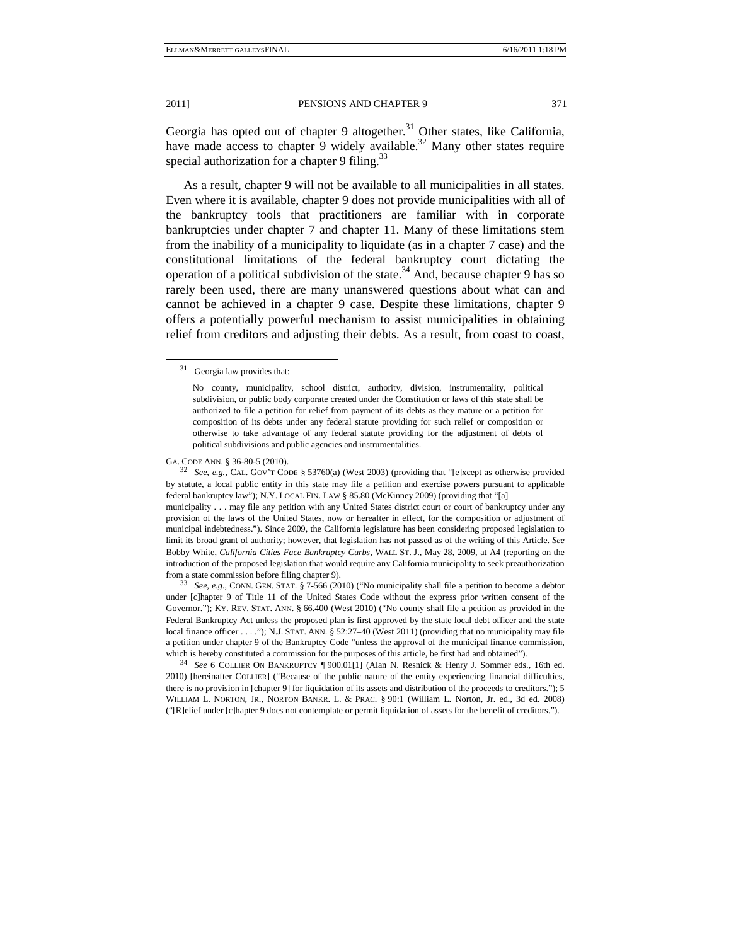Georgia has opted out of chapter 9 altogether.<sup>31</sup> Other states, like California, have made access to chapter 9 widely available.<sup>32</sup> Many other states require special authorization for a chapter 9 filing.<sup>33</sup>

As a result, chapter 9 will not be available to all municipalities in all states. Even where it is available, chapter 9 does not provide municipalities with all of the bankruptcy tools that practitioners are familiar with in corporate bankruptcies under chapter 7 and chapter 11. Many of these limitations stem from the inability of a municipality to liquidate (as in a chapter 7 case) and the constitutional limitations of the federal bankruptcy court dictating the operation of a political subdivision of the state.<sup>34</sup> And, because chapter 9 has so rarely been used, there are many unanswered questions about what can and cannot be achieved in a chapter 9 case. Despite these limitations, chapter 9 offers a potentially powerful mechanism to assist municipalities in obtaining relief from creditors and adjusting their debts. As a result, from coast to coast,

GA. CODE ANN. § 36-80-5 (2010).<br><sup>32</sup> *See, e.g.*, CAL. GOV'T CODE § 53760(a) (West 2003) (providing that "[e]xcept as otherwise provided by statute, a local public entity in this state may file a petition and exercise powers pursuant to applicable federal bankruptcy law"); N.Y. LOCAL FIN. LAW § 85.80 (McKinney 2009) (providing that "[a] municipality . . . may file any petition with any United States district court or court of bankruptcy under any provision of the laws of the United States, now or hereafter in effect, for the composition or adjustment of municipal indebtedness."). Since 2009, the California legislature has been considering proposed legislation to limit its broad grant of authority; however, that legislation has not passed as of the writing of this Article. *See* Bobby White, *California Cities Face Bankruptcy Curbs*, WALL ST. J., May 28, 2009, at A4 (reporting on the introduction of the proposed legislation that would require any California municipality to seek preauthorization from a state commission before filing chapter 9). 33 *See, e.g.*, CONN. GEN. STAT. § 7-566 (2010) ("No municipality shall file a petition to become a debtor

under [c]hapter 9 of Title 11 of the United States Code without the express prior written consent of the Governor."); KY. REV. STAT. ANN. § 66.400 (West 2010) ("No county shall file a petition as provided in the Federal Bankruptcy Act unless the proposed plan is first approved by the state local debt officer and the state local finance officer . . . ."); N.J. STAT. ANN. § 52:27–40 (West 2011) (providing that no municipality may file a petition under chapter 9 of the Bankruptcy Code "unless the approval of the municipal finance commission, which is hereby constituted a commission for the purposes of this article, be first had and obtained").<br><sup>34</sup> See 6 COLLIER ON BANKRUPTCY ¶ 900.01[1] (Alan N. Resnick & Henry J. Sommer eds., 16th ed.

2010) [hereinafter COLLIER] ("Because of the public nature of the entity experiencing financial difficulties, there is no provision in [chapter 9] for liquidation of its assets and distribution of the proceeds to creditors."); 5 WILLIAM L. NORTON, JR., NORTON BANKR. L. & PRAC. § 90:1 (William L. Norton, Jr. ed., 3d ed. 2008) ("[R]elief under [c]hapter 9 does not contemplate or permit liquidation of assets for the benefit of creditors.").

 <sup>31</sup> Georgia law provides that:

No county, municipality, school district, authority, division, instrumentality, political subdivision, or public body corporate created under the Constitution or laws of this state shall be authorized to file a petition for relief from payment of its debts as they mature or a petition for composition of its debts under any federal statute providing for such relief or composition or otherwise to take advantage of any federal statute providing for the adjustment of debts of political subdivisions and public agencies and instrumentalities.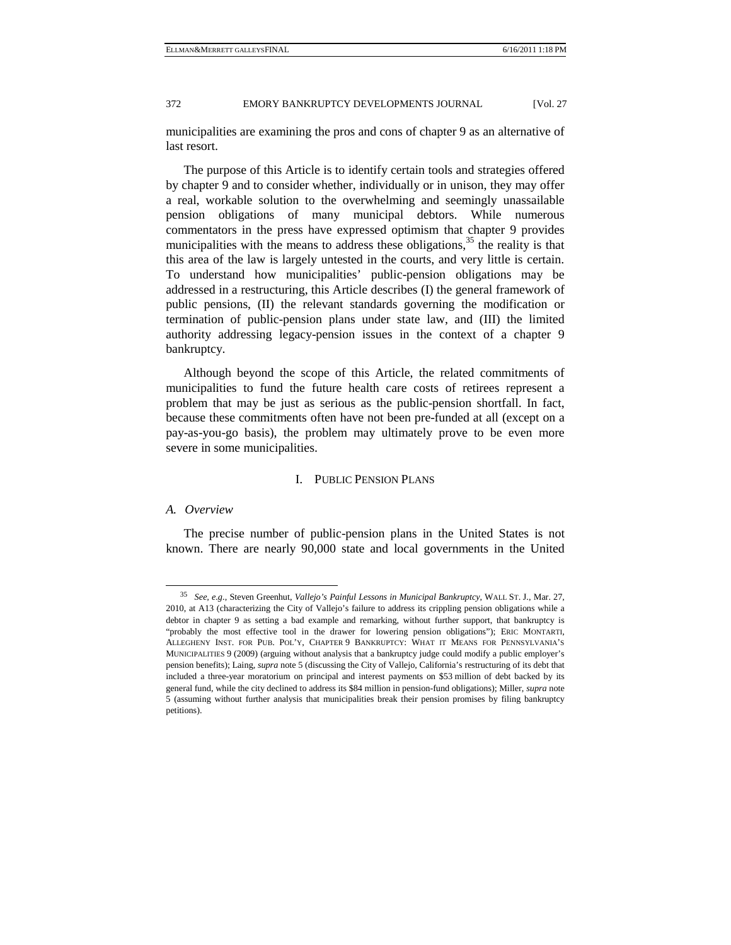municipalities are examining the pros and cons of chapter 9 as an alternative of last resort.

The purpose of this Article is to identify certain tools and strategies offered by chapter 9 and to consider whether, individually or in unison, they may offer a real, workable solution to the overwhelming and seemingly unassailable pension obligations of many municipal debtors. While numerous commentators in the press have expressed optimism that chapter 9 provides municipalities with the means to address these obligations,  $35$  the reality is that this area of the law is largely untested in the courts, and very little is certain. To understand how municipalities' public-pension obligations may be addressed in a restructuring, this Article describes (I) the general framework of public pensions, (II) the relevant standards governing the modification or termination of public-pension plans under state law, and (III) the limited authority addressing legacy-pension issues in the context of a chapter 9 bankruptcy.

Although beyond the scope of this Article, the related commitments of municipalities to fund the future health care costs of retirees represent a problem that may be just as serious as the public-pension shortfall. In fact, because these commitments often have not been pre-funded at all (except on a pay-as-you-go basis), the problem may ultimately prove to be even more severe in some municipalities.

### I. PUBLIC PENSION PLANS

#### *A. Overview*

The precise number of public-pension plans in the United States is not known. There are nearly 90,000 state and local governments in the United

 <sup>35</sup> *See, e.g.*, Steven Greenhut, *Vallejo's Painful Lessons in Municipal Bankruptcy*, WALL ST. J., Mar. 27, 2010, at A13 (characterizing the City of Vallejo's failure to address its crippling pension obligations while a debtor in chapter 9 as setting a bad example and remarking, without further support, that bankruptcy is "probably the most effective tool in the drawer for lowering pension obligations"); ERIC MONTARTI, ALLEGHENY INST. FOR PUB. POL'Y, CHAPTER 9 BANKRUPTCY: WHAT IT MEANS FOR PENNSYLVANIA'S MUNICIPALITIES 9 (2009) (arguing without analysis that a bankruptcy judge could modify a public employer's pension benefits); Laing, *supra* note 5 (discussing the City of Vallejo, California's restructuring of its debt that included a three-year moratorium on principal and interest payments on \$53 million of debt backed by its general fund, while the city declined to address its \$84 million in pension-fund obligations); Miller, *supra* note 5 (assuming without further analysis that municipalities break their pension promises by filing bankruptcy petitions).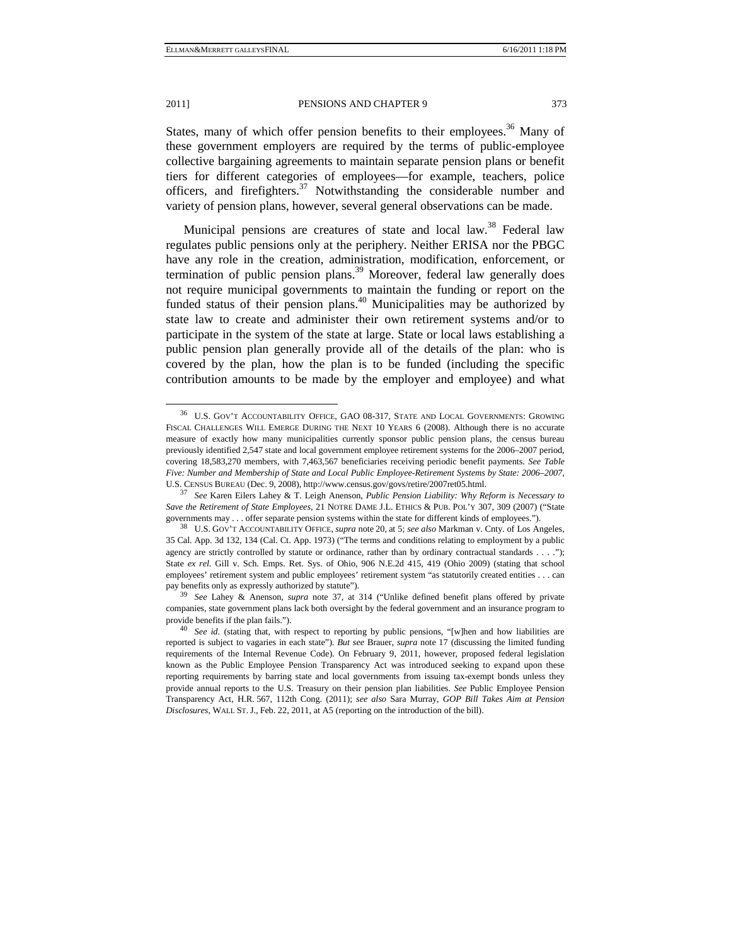States, many of which offer pension benefits to their employees.<sup>36</sup> Many of these government employers are required by the terms of public-employee collective bargaining agreements to maintain separate pension plans or benefit tiers for different categories of employees—for example, teachers, police officers, and firefighters.<sup>37</sup> Notwithstanding the considerable number and variety of pension plans, however, several general observations can be made.

Municipal pensions are creatures of state and local law.<sup>38</sup> Federal law regulates public pensions only at the periphery. Neither ERISA nor the PBGC have any role in the creation, administration, modification, enforcement, or termination of public pension plans.<sup>39</sup> Moreover, federal law generally does not require municipal governments to maintain the funding or report on the funded status of their pension plans.<sup>40</sup> Municipalities may be authorized by state law to create and administer their own retirement systems and/or to participate in the system of the state at large. State or local laws establishing a public pension plan generally provide all of the details of the plan: who is covered by the plan, how the plan is to be funded (including the specific contribution amounts to be made by the employer and employee) and what

 <sup>36</sup> U.S. GOV'T ACCOUNTABILITY OFFICE, GAO 08-317, STATE AND LOCAL GOVERNMENTS: GROWING FISCAL CHALLENGES WILL EMERGE DURING THE NEXT 10 YEARS 6 (2008). Although there is no accurate measure of exactly how many municipalities currently sponsor public pension plans, the census bureau previously identified 2,547 state and local government employee retirement systems for the 2006–2007 period, covering 18,583,270 members, with 7,463,567 beneficiaries receiving periodic benefit payments. *See Table Five: Number and Membership of State and Local Public Employee-Retirement Systems by State: 2006–2007*, U.S. CENSUS BUREAU (Dec. 9, 2008), http://www.census.gov/govs/retire/2007ret05.html. 37 *See* Karen Eilers Lahey & T. Leigh Anenson, *Public Pension Liability: Why Reform is Necessary to* 

*Save the Retirement of State Employees*, 21 NOTRE DAME J.L. ETHICS & PUB. POL'Y 307, 309 (2007) ("State governments may . . . offer separate pension systems within the state for different kinds of employees.").<br><sup>38</sup> U.S. GOV'T ACCOUNTABILITY OFFICE, *supra* note 20, at 5; *see also* Markman v. Cnty. of Los Angeles,

<sup>35</sup> Cal. App. 3d 132, 134 (Cal. Ct. App. 1973) ("The terms and conditions relating to employment by a public agency are strictly controlled by statute or ordinance, rather than by ordinary contractual standards . . . ."); State ex rel. Gill v. Sch. Emps. Ret. Sys. of Ohio, 906 N.E.2d 415, 419 (Ohio 2009) (stating that school employees' retirement system and public employees' retirement system "as statutorily created entities . . . can pay benefits only as expressly authorized by statute"). 39 *See* Lahey & Anenson, *supra* note 37, at 314 ("Unlike defined benefit plans offered by private

companies, state government plans lack both oversight by the federal government and an insurance program to

provide benefits if the plan fails.").<br><sup>40</sup> *See id.* (stating that, with respect to reporting by public pensions, "[w]hen and how liabilities are reported is subject to vagaries in each state"). *But see* Brauer, *supra* note 17 (discussing the limited funding requirements of the Internal Revenue Code). On February 9, 2011, however, proposed federal legislation known as the Public Employee Pension Transparency Act was introduced seeking to expand upon these reporting requirements by barring state and local governments from issuing tax-exempt bonds unless they provide annual reports to the U.S. Treasury on their pension plan liabilities. *See* Public Employee Pension Transparency Act, H.R. 567, 112th Cong. (2011); *see also* Sara Murray, *GOP Bill Takes Aim at Pension Disclosures*, WALL ST.J., Feb. 22, 2011, at A5 (reporting on the introduction of the bill).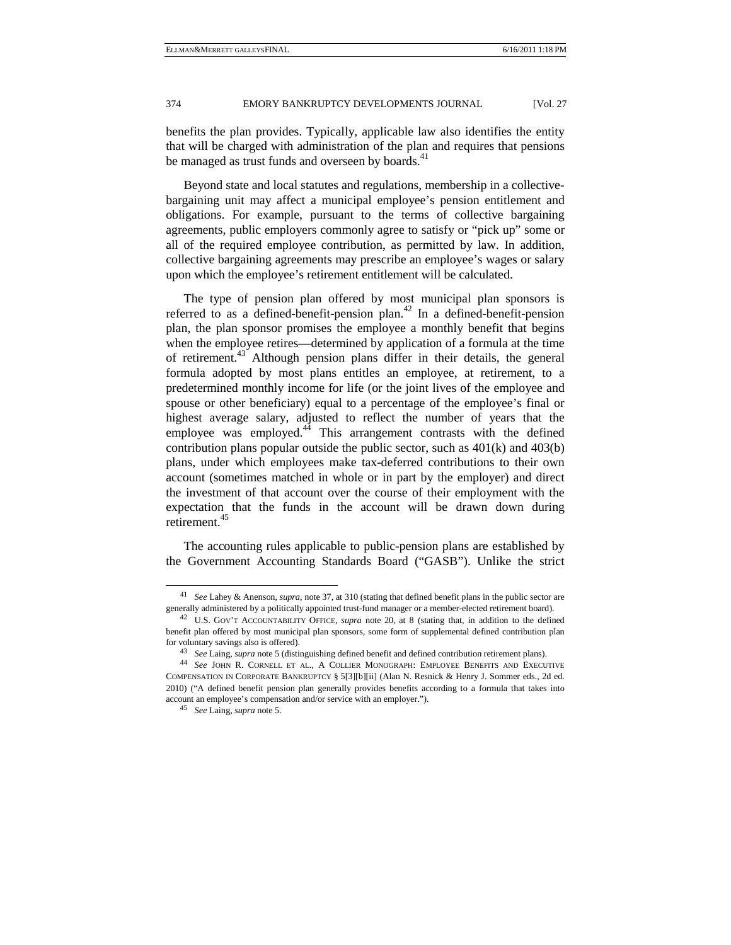benefits the plan provides. Typically, applicable law also identifies the entity that will be charged with administration of the plan and requires that pensions be managed as trust funds and overseen by boards.<sup>41</sup>

Beyond state and local statutes and regulations, membership in a collectivebargaining unit may affect a municipal employee's pension entitlement and obligations. For example, pursuant to the terms of collective bargaining agreements, public employers commonly agree to satisfy or "pick up" some or all of the required employee contribution, as permitted by law. In addition, collective bargaining agreements may prescribe an employee's wages or salary upon which the employee's retirement entitlement will be calculated.

The type of pension plan offered by most municipal plan sponsors is referred to as a defined-benefit-pension plan.<sup>42</sup> In a defined-benefit-pension plan, the plan sponsor promises the employee a monthly benefit that begins when the employee retires—determined by application of a formula at the time of retirement.43 Although pension plans differ in their details, the general formula adopted by most plans entitles an employee, at retirement, to a predetermined monthly income for life (or the joint lives of the employee and spouse or other beneficiary) equal to a percentage of the employee's final or highest average salary, adjusted to reflect the number of years that the employee was employed.<sup>44</sup> This arrangement contrasts with the defined contribution plans popular outside the public sector, such as 401(k) and 403(b) plans, under which employees make tax-deferred contributions to their own account (sometimes matched in whole or in part by the employer) and direct the investment of that account over the course of their employment with the expectation that the funds in the account will be drawn down during retirement.45

The accounting rules applicable to public-pension plans are established by the Government Accounting Standards Board ("GASB"). Unlike the strict

 <sup>41</sup> *See* Lahey & Anenson, *supra*, note 37, at 310 (stating that defined benefit plans in the public sector are

generally administered by a politically appointed trust-fund manager or a member-elected retirement board). 42 U.S. GOV'T ACCOUNTABILITY OFFICE, *supra* note 20, at 8 (stating that, in addition to the defined benefit plan offered by most municipal plan sponsors, some form of supplemental defined contribution plan % for voluntary savings also is offered).<br>
<sup>43</sup> See Laing, *supra* note 5 (distinguishing defined benefit and defined contribution retirement plans).<br>
<sup>44</sup> See JOHN R. CORNELL ET AL., A COLLIER MONOGRAPH: EMPLOYEE BENEFIT

COMPENSATION IN CORPORATE BANKRUPTCY § 5[3][b][ii] (Alan N. Resnick & Henry J. Sommer eds., 2d ed. 2010) ("A defined benefit pension plan generally provides benefits according to a formula that takes into account an employee's compensation and/or service with an employer."). 45 *See* Laing, *supra* note 5.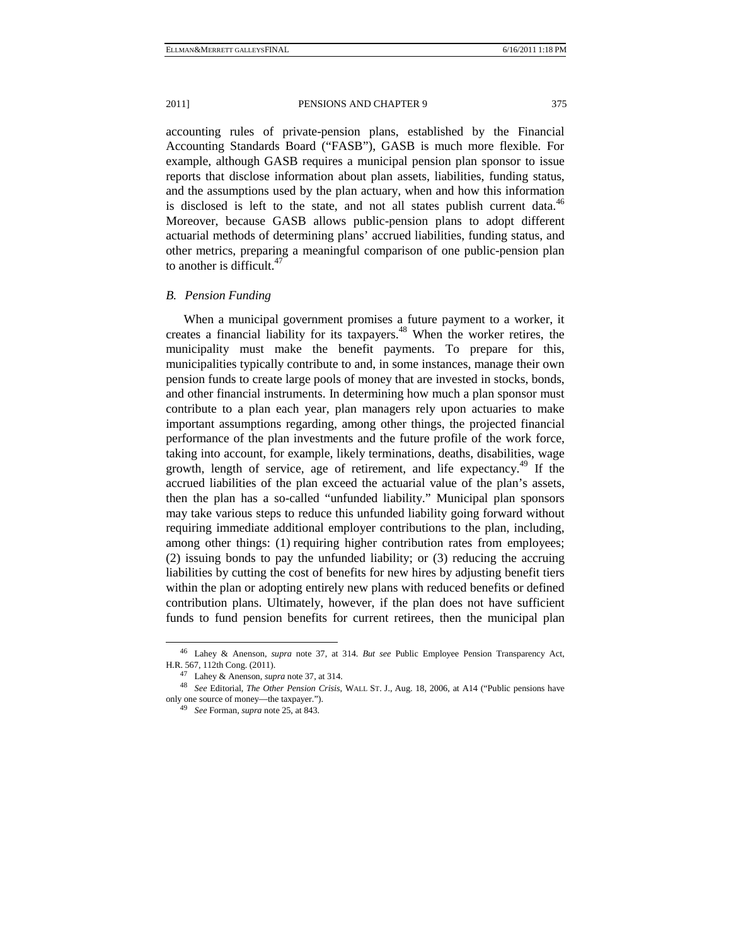accounting rules of private-pension plans, established by the Financial Accounting Standards Board ("FASB"), GASB is much more flexible. For example, although GASB requires a municipal pension plan sponsor to issue reports that disclose information about plan assets, liabilities, funding status, and the assumptions used by the plan actuary, when and how this information is disclosed is left to the state, and not all states publish current data.<sup>46</sup> Moreover, because GASB allows public-pension plans to adopt different actuarial methods of determining plans' accrued liabilities, funding status, and other metrics, preparing a meaningful comparison of one public-pension plan to another is difficult. $47$ 

### *B. Pension Funding*

When a municipal government promises a future payment to a worker, it creates a financial liability for its taxpayers.<sup>48</sup> When the worker retires, the municipality must make the benefit payments. To prepare for this, municipalities typically contribute to and, in some instances, manage their own pension funds to create large pools of money that are invested in stocks, bonds, and other financial instruments. In determining how much a plan sponsor must contribute to a plan each year, plan managers rely upon actuaries to make important assumptions regarding, among other things, the projected financial performance of the plan investments and the future profile of the work force, taking into account, for example, likely terminations, deaths, disabilities, wage growth, length of service, age of retirement, and life expectancy.<sup>49</sup> If the accrued liabilities of the plan exceed the actuarial value of the plan's assets, then the plan has a so-called "unfunded liability." Municipal plan sponsors may take various steps to reduce this unfunded liability going forward without requiring immediate additional employer contributions to the plan, including, among other things: (1) requiring higher contribution rates from employees; (2) issuing bonds to pay the unfunded liability; or (3) reducing the accruing liabilities by cutting the cost of benefits for new hires by adjusting benefit tiers within the plan or adopting entirely new plans with reduced benefits or defined contribution plans. Ultimately, however, if the plan does not have sufficient funds to fund pension benefits for current retirees, then the municipal plan

 <sup>46</sup> Lahey & Anenson, *supra* note 37, at 314. *But see* Public Employee Pension Transparency Act, H.R. 567, 112th Cong. (2011). 47 Lahey & Anenson, *supra* note 37, at 314. 48 *See* Editorial, *The Other Pension Crisis*, WALL ST. J., Aug. 18, 2006, at A14 ("Public pensions have

only one source of money—the taxpayer."). 49 *See* Forman, *supra* note 25, at 843.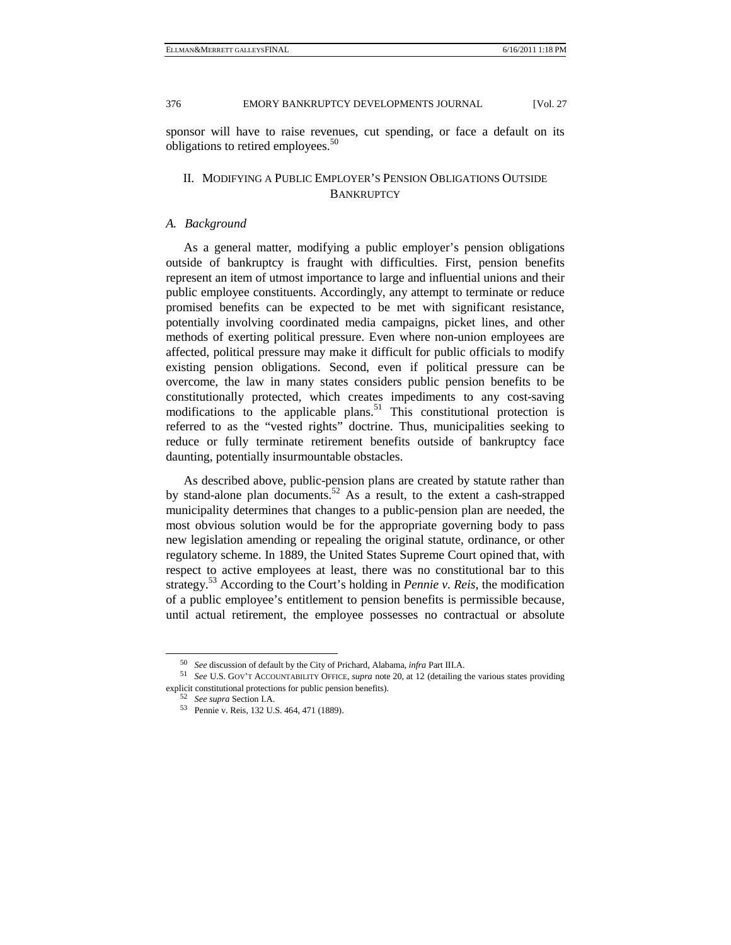376 EMORY BANKRUPTCY DEVELOPMENTS JOURNAL [Vol. 27]

sponsor will have to raise revenues, cut spending, or face a default on its obligations to retired employees.<sup>50</sup>

## II. MODIFYING A PUBLIC EMPLOYER'S PENSION OBLIGATIONS OUTSIDE **BANKRUPTCY**

#### *A. Background*

As a general matter, modifying a public employer's pension obligations outside of bankruptcy is fraught with difficulties. First, pension benefits represent an item of utmost importance to large and influential unions and their public employee constituents. Accordingly, any attempt to terminate or reduce promised benefits can be expected to be met with significant resistance, potentially involving coordinated media campaigns, picket lines, and other methods of exerting political pressure. Even where non-union employees are affected, political pressure may make it difficult for public officials to modify existing pension obligations. Second, even if political pressure can be overcome, the law in many states considers public pension benefits to be constitutionally protected, which creates impediments to any cost-saving modifications to the applicable plans.<sup>51</sup> This constitutional protection is referred to as the "vested rights" doctrine. Thus, municipalities seeking to reduce or fully terminate retirement benefits outside of bankruptcy face daunting, potentially insurmountable obstacles.

As described above, public-pension plans are created by statute rather than by stand-alone plan documents.<sup>52</sup> As a result, to the extent a cash-strapped municipality determines that changes to a public-pension plan are needed, the most obvious solution would be for the appropriate governing body to pass new legislation amending or repealing the original statute, ordinance, or other regulatory scheme. In 1889, the United States Supreme Court opined that, with respect to active employees at least, there was no constitutional bar to this strategy.53 According to the Court's holding in *Pennie v. Reis*, the modification of a public employee's entitlement to pension benefits is permissible because, until actual retirement, the employee possesses no contractual or absolute

<sup>50</sup> *See* discussion of default by the City of Prichard, Alabama, *infra* Part III.A. 51 *See* U.S. GOV'T ACCOUNTABILITY OFFICE, *supra* note 20, at 12 (detailing the various states providing explicit constitutional protections for public pension benefits). 52 *See supra* Section I.A. 53 Pennie v. Reis, 132 U.S. 464, 471 (1889).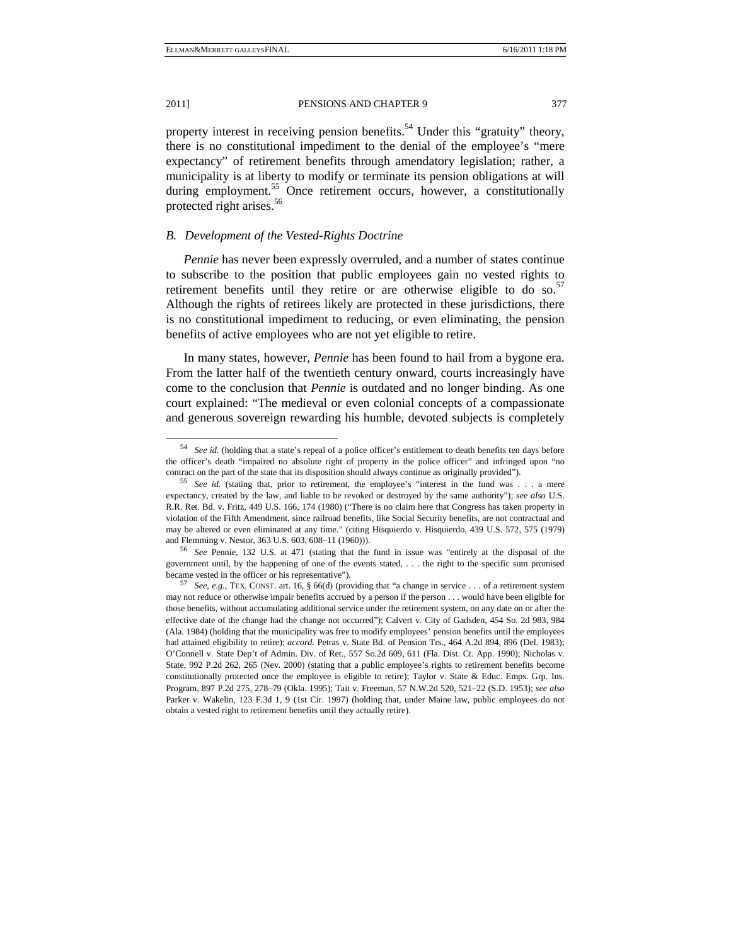property interest in receiving pension benefits.<sup>54</sup> Under this "gratuity" theory, there is no constitutional impediment to the denial of the employee's "mere expectancy" of retirement benefits through amendatory legislation; rather, a municipality is at liberty to modify or terminate its pension obligations at will during employment.<sup>55</sup> Once retirement occurs, however, a constitutionally protected right arises.<sup>56</sup>

#### *B. Development of the Vested-Rights Doctrine*

*Pennie* has never been expressly overruled, and a number of states continue to subscribe to the position that public employees gain no vested rights to retirement benefits until they retire or are otherwise eligible to do so. $57$ Although the rights of retirees likely are protected in these jurisdictions, there is no constitutional impediment to reducing, or even eliminating, the pension benefits of active employees who are not yet eligible to retire.

In many states, however, *Pennie* has been found to hail from a bygone era. From the latter half of the twentieth century onward, courts increasingly have come to the conclusion that *Pennie* is outdated and no longer binding. As one court explained: "The medieval or even colonial concepts of a compassionate and generous sovereign rewarding his humble, devoted subjects is completely

 <sup>54</sup> *See id.* (holding that a state's repeal of a police officer's entitlement to death benefits ten days before the officer's death "impaired no absolute right of property in the police officer" and infringed upon "no

contract on the part of the state that its disposition should always continue as originally provided"). 55 *See id.* (stating that, prior to retirement, the employee's "interest in the fund was . . . a mere expectancy, created by the law, and liable to be revoked or destroyed by the same authority"); *see also* U.S. R.R. Ret. Bd. v. Fritz, 449 U.S. 166, 174 (1980) ("There is no claim here that Congress has taken property in violation of the Fifth Amendment, since railroad benefits, like Social Security benefits, are not contractual and may be altered or even eliminated at any time." (citing Hisquierdo v. Hisquierdo, 439 U.S. 572, 575 (1979) and Flemming v. Nestor, 363 U.S. 603, 608–11 (1960))). 56 *See* Pennie, 132 U.S. at 471 (stating that the fund in issue was "entirely at the disposal of the

government until, by the happening of one of the events stated, . . . the right to the specific sum promised became vested in the officer or his representative"). 57 *See, e.g.*, TEX. CONST. art. 16, § 66(d) (providing that "a change in service . . . of a retirement system

may not reduce or otherwise impair benefits accrued by a person if the person . . . would have been eligible for those benefits, without accumulating additional service under the retirement system, on any date on or after the effective date of the change had the change not occurred"); Calvert v. City of Gadsden, 454 So. 2d 983, 984 (Ala. 1984) (holding that the municipality was free to modify employees' pension benefits until the employees had attained eligibility to retire); *accord*. Petras v. State Bd. of Pension Trs., 464 A.2d 894, 896 (Del. 1983); O'Connell v. State Dep't of Admin. Div. of Ret., 557 So.2d 609, 611 (Fla. Dist. Ct. App. 1990); Nicholas v. State, 992 P.2d 262, 265 (Nev. 2000) (stating that a public employee's rights to retirement benefits become constitutionally protected once the employee is eligible to retire); Taylor v. State  $\&$  Educ. Emps. Grp. Ins. Program, 897 P.2d 275, 278–79 (Okla. 1995); Tait v. Freeman, 57 N.W.2d 520, 521–22 (S.D. 1953); *see also* Parker v. Wakelin, 123 F.3d 1, 9 (1st Cir. 1997) (holding that, under Maine law, public employees do not obtain a vested right to retirement benefits until they actually retire).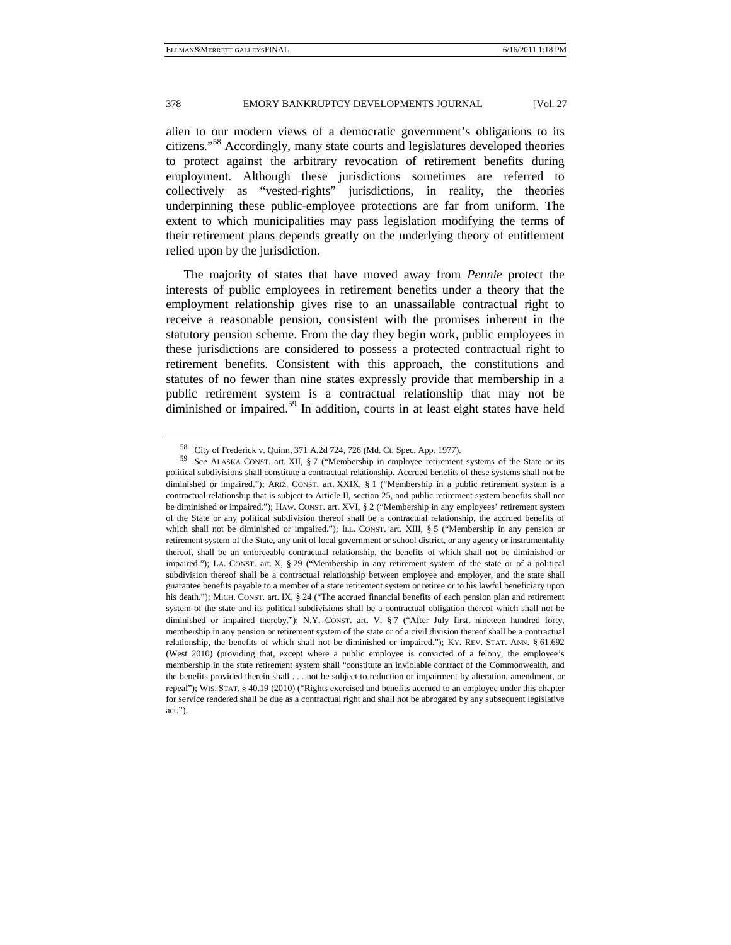alien to our modern views of a democratic government's obligations to its citizens."58 Accordingly, many state courts and legislatures developed theories to protect against the arbitrary revocation of retirement benefits during employment. Although these jurisdictions sometimes are referred to collectively as "vested-rights" jurisdictions, in reality, the theories underpinning these public-employee protections are far from uniform. The extent to which municipalities may pass legislation modifying the terms of their retirement plans depends greatly on the underlying theory of entitlement relied upon by the jurisdiction.

The majority of states that have moved away from *Pennie* protect the interests of public employees in retirement benefits under a theory that the employment relationship gives rise to an unassailable contractual right to receive a reasonable pension, consistent with the promises inherent in the statutory pension scheme. From the day they begin work, public employees in these jurisdictions are considered to possess a protected contractual right to retirement benefits. Consistent with this approach, the constitutions and statutes of no fewer than nine states expressly provide that membership in a public retirement system is a contractual relationship that may not be diminished or impaired.<sup>59</sup> In addition, courts in at least eight states have held

 <sup>58</sup> City of Frederick v. Quinn, 371 A.2d 724, 726 (Md. Ct. Spec. App. 1977).

<sup>59</sup> *See* ALASKA CONST. art. XII, § 7 ("Membership in employee retirement systems of the State or its political subdivisions shall constitute a contractual relationship. Accrued benefits of these systems shall not be diminished or impaired."); ARIZ. CONST. art. XXIX, § 1 ("Membership in a public retirement system is a contractual relationship that is subject to Article II, section 25, and public retirement system benefits shall not be diminished or impaired."); HAW. CONST. art. XVI, § 2 ("Membership in any employees' retirement system of the State or any political subdivision thereof shall be a contractual relationship, the accrued benefits of which shall not be diminished or impaired."); ILL. CONST. art. XIII, § 5 ("Membership in any pension or retirement system of the State, any unit of local government or school district, or any agency or instrumentality thereof, shall be an enforceable contractual relationship, the benefits of which shall not be diminished or impaired."); LA. CONST. art. X, § 29 ("Membership in any retirement system of the state or of a political subdivision thereof shall be a contractual relationship between employee and employer, and the state shall guarantee benefits payable to a member of a state retirement system or retiree or to his lawful beneficiary upon his death."); MICH. CONST. art. IX, § 24 ("The accrued financial benefits of each pension plan and retirement system of the state and its political subdivisions shall be a contractual obligation thereof which shall not be diminished or impaired thereby."); N.Y. CONST. art. V, § 7 ("After July first, nineteen hundred forty, membership in any pension or retirement system of the state or of a civil division thereof shall be a contractual relationship, the benefits of which shall not be diminished or impaired."); KY. REV. STAT. ANN. § 61.692 (West 2010) (providing that, except where a public employee is convicted of a felony, the employee's membership in the state retirement system shall "constitute an inviolable contract of the Commonwealth, and the benefits provided therein shall . . . not be subject to reduction or impairment by alteration, amendment, or repeal"); WIS. STAT. § 40.19 (2010) ("Rights exercised and benefits accrued to an employee under this chapter for service rendered shall be due as a contractual right and shall not be abrogated by any subsequent legislative act.").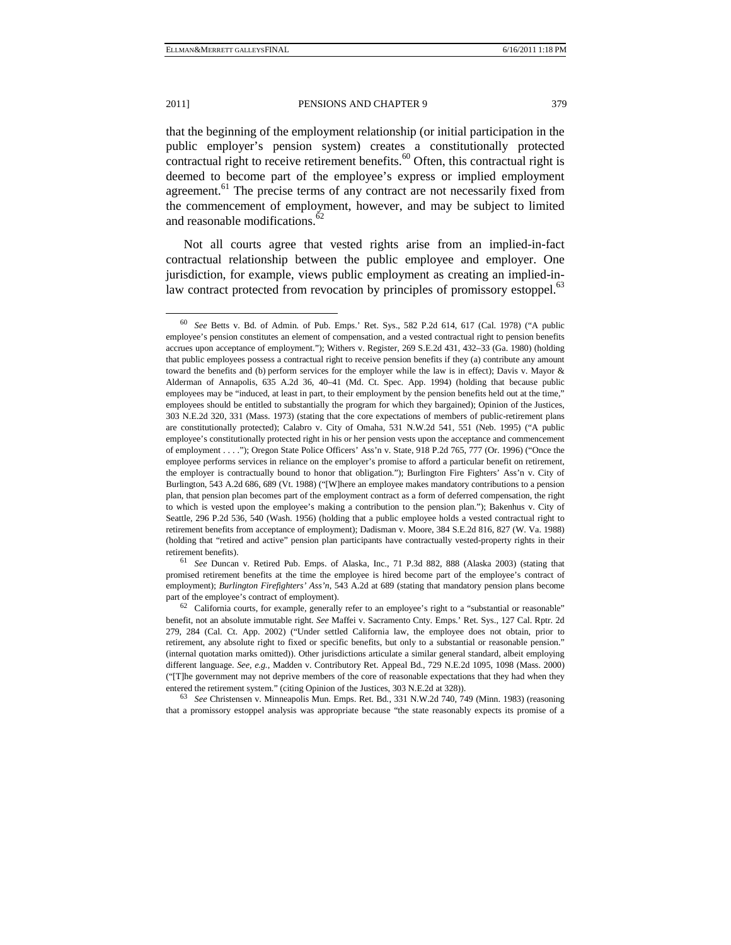that the beginning of the employment relationship (or initial participation in the public employer's pension system) creates a constitutionally protected contractual right to receive retirement benefits. $60$  Often, this contractual right is deemed to become part of the employee's express or implied employment agreement.<sup>61</sup> The precise terms of any contract are not necessarily fixed from the commencement of employment, however, and may be subject to limited and reasonable modifications.<sup>62</sup>

Not all courts agree that vested rights arise from an implied-in-fact contractual relationship between the public employee and employer. One jurisdiction, for example, views public employment as creating an implied-inlaw contract protected from revocation by principles of promissory estoppel.<sup>63</sup>

promised retirement benefits at the time the employee is hired become part of the employee's contract of employment); *Burlington Firefighters' Ass'n*, 543 A.2d at 689 (stating that mandatory pension plans become

part of the employee's contract of employment).<br><sup>62</sup> California courts, for example, generally refer to an employee's right to a "substantial or reasonable" benefit, not an absolute immutable right. *See* Maffei v. Sacramento Cnty. Emps.' Ret. Sys., 127 Cal. Rptr. 2d 279, 284 (Cal. Ct. App. 2002) ("Under settled California law, the employee does not obtain, prior to retirement, any absolute right to fixed or specific benefits, but only to a substantial or reasonable pension." (internal quotation marks omitted)). Other jurisdictions articulate a similar general standard, albeit employing different language. *See, e.g.*, Madden v. Contributory Ret. Appeal Bd., 729 N.E.2d 1095, 1098 (Mass. 2000) ("[T]he government may not deprive members of the core of reasonable expectations that they had when they entered the retirement system." (citing Opinion of the Justices, 303 N.E.2d at 328)). 63 *See* Christensen v. Minneapolis Mun. Emps. Ret. Bd*.*, 331 N.W.2d 740, 749 (Minn. 1983) (reasoning

that a promissory estoppel analysis was appropriate because "the state reasonably expects its promise of a

 <sup>60</sup> *See* Betts v. Bd. of Admin*.* of Pub. Emps.' Ret. Sys., 582 P.2d 614, 617 (Cal. 1978) ("A public employee's pension constitutes an element of compensation, and a vested contractual right to pension benefits accrues upon acceptance of employment."); Withers v. Register, 269 S.E.2d 431, 432–33 (Ga. 1980) (holding that public employees possess a contractual right to receive pension benefits if they (a) contribute any amount toward the benefits and (b) perform services for the employer while the law is in effect); Davis v. Mayor & Alderman of Annapolis, 635 A.2d 36, 40–41 (Md. Ct. Spec. App. 1994) (holding that because public employees may be "induced, at least in part, to their employment by the pension benefits held out at the time," employees should be entitled to substantially the program for which they bargained); Opinion of the Justices, 303 N.E.2d 320, 331 (Mass. 1973) (stating that the core expectations of members of public-retirement plans are constitutionally protected); Calabro v. City of Omaha, 531 N.W.2d 541, 551 (Neb. 1995) ("A public employee's constitutionally protected right in his or her pension vests upon the acceptance and commencement of employment . . . ."); Oregon State Police Officers' Ass'n v. State, 918 P.2d 765, 777 (Or. 1996) ("Once the employee performs services in reliance on the employer's promise to afford a particular benefit on retirement, the employer is contractually bound to honor that obligation."); Burlington Fire Fighters' Ass'n v. City of Burlington, 543 A.2d 686, 689 (Vt. 1988) ("[W]here an employee makes mandatory contributions to a pension plan, that pension plan becomes part of the employment contract as a form of deferred compensation, the right to which is vested upon the employee's making a contribution to the pension plan."); Bakenhus v. City of Seattle, 296 P.2d 536, 540 (Wash. 1956) (holding that a public employee holds a vested contractual right to retirement benefits from acceptance of employment); Dadisman v. Moore, 384 S.E.2d 816, 827 (W. Va. 1988) (holding that "retired and active" pension plan participants have contractually vested-property rights in their retirement benefits). 61 *See* Duncan v. Retired Pub. Emps. of Alaska, Inc*.*, 71 P.3d 882, 888 (Alaska 2003) (stating that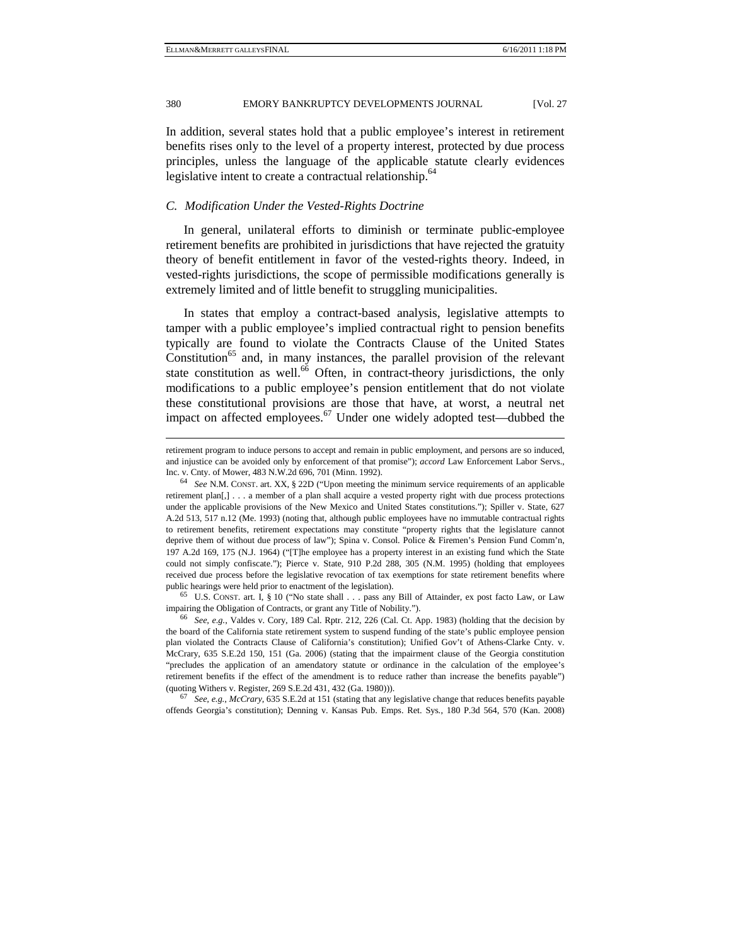In addition, several states hold that a public employee's interest in retirement benefits rises only to the level of a property interest, protected by due process principles, unless the language of the applicable statute clearly evidences legislative intent to create a contractual relationship.<sup>64</sup>

#### *C. Modification Under the Vested-Rights Doctrine*

In general, unilateral efforts to diminish or terminate public-employee retirement benefits are prohibited in jurisdictions that have rejected the gratuity theory of benefit entitlement in favor of the vested-rights theory. Indeed, in vested-rights jurisdictions, the scope of permissible modifications generally is extremely limited and of little benefit to struggling municipalities.

In states that employ a contract-based analysis, legislative attempts to tamper with a public employee's implied contractual right to pension benefits typically are found to violate the Contracts Clause of the United States Constitution<sup>65</sup> and, in many instances, the parallel provision of the relevant state constitution as well.<sup>66</sup> Often, in contract-theory jurisdictions, the only modifications to a public employee's pension entitlement that do not violate these constitutional provisions are those that have, at worst, a neutral net impact on affected employees.<sup>67</sup> Under one widely adopted test—dubbed the

impairing the Obligation of Contracts, or grant any Title of Nobility."). 66 *See, e.g.*, Valdes v. Cory, 189 Cal. Rptr. 212, 226 (Cal. Ct. App. 1983) (holding that the decision by

the board of the California state retirement system to suspend funding of the state's public employee pension plan violated the Contracts Clause of California's constitution); Unified Gov't of Athens-Clarke Cnty. v. McCrary, 635 S.E.2d 150, 151 (Ga. 2006) (stating that the impairment clause of the Georgia constitution "precludes the application of an amendatory statute or ordinance in the calculation of the employee's retirement benefits if the effect of the amendment is to reduce rather than increase the benefits payable") (quoting Withers v. Register, 269 S.E.2d 431, 432 (Ga. 1980))). 67 *See, e.g.*, *McCrary*, 635 S.E.2d at 151 (stating that any legislative change that reduces benefits payable

offends Georgia's constitution); Denning v. Kansas Pub. Emps. Ret. Sys*.*, 180 P.3d 564, 570 (Kan. 2008)

j

retirement program to induce persons to accept and remain in public employment, and persons are so induced, and injustice can be avoided only by enforcement of that promise"); *accord* Law Enforcement Labor Servs.,

Inc. v. Cnty. of Mower, 483 N.W.2d 696, 701 (Minn. 1992). 64 *See* N.M. CONST. art. XX, § 22D ("Upon meeting the minimum service requirements of an applicable retirement plan[,] . . . a member of a plan shall acquire a vested property right with due process protections under the applicable provisions of the New Mexico and United States constitutions."); Spiller v. State, 627 A.2d 513, 517 n.12 (Me. 1993) (noting that, although public employees have no immutable contractual rights to retirement benefits, retirement expectations may constitute "property rights that the legislature cannot deprive them of without due process of law"); Spina v. Consol. Police & Firemen's Pension Fund Comm'n, 197 A.2d 169, 175 (N.J. 1964) ("[T]he employee has a property interest in an existing fund which the State could not simply confiscate."); Pierce v. State, 910 P.2d 288, 305 (N.M. 1995) (holding that employees received due process before the legislative revocation of tax exemptions for state retirement benefits where public hearings were held prior to enactment of the legislation).<br><sup>65</sup> U.S. CONST. art. I, § 10 ("No state shall . . . pass any Bill of Attainder, ex post facto Law, or Law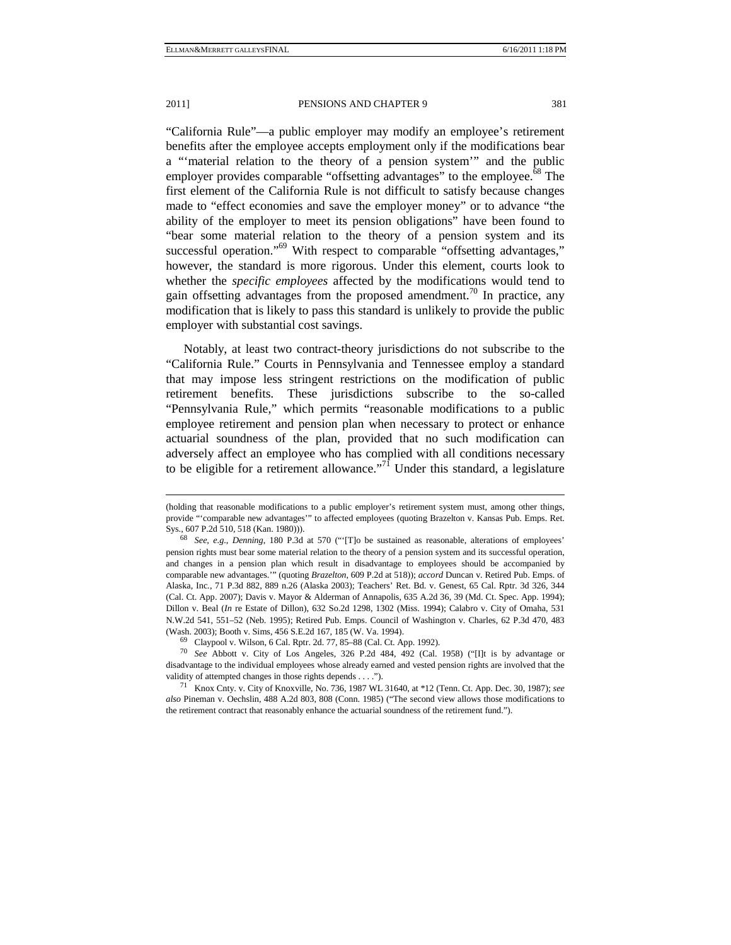-

"California Rule"—a public employer may modify an employee's retirement benefits after the employee accepts employment only if the modifications bear a "'material relation to the theory of a pension system'" and the public employer provides comparable "offsetting advantages" to the employee. $68$  The first element of the California Rule is not difficult to satisfy because changes made to "effect economies and save the employer money" or to advance "the ability of the employer to meet its pension obligations" have been found to "bear some material relation to the theory of a pension system and its successful operation."<sup>69</sup> With respect to comparable "offsetting advantages," however, the standard is more rigorous. Under this element, courts look to whether the *specific employees* affected by the modifications would tend to gain offsetting advantages from the proposed amendment.<sup>70</sup> In practice, any modification that is likely to pass this standard is unlikely to provide the public employer with substantial cost savings.

Notably, at least two contract-theory jurisdictions do not subscribe to the "California Rule." Courts in Pennsylvania and Tennessee employ a standard that may impose less stringent restrictions on the modification of public retirement benefits. These jurisdictions subscribe to the so-called "Pennsylvania Rule," which permits "reasonable modifications to a public employee retirement and pension plan when necessary to protect or enhance actuarial soundness of the plan, provided that no such modification can adversely affect an employee who has complied with all conditions necessary to be eligible for a retirement allowance."<sup>71</sup> Under this standard, a legislature

<sup>(</sup>holding that reasonable modifications to a public employer's retirement system must, among other things, provide "'comparable new advantages'" to affected employees (quoting Brazelton v. Kansas Pub. Emps. Ret.

Sys., 607 P.2d 510, 518 (Kan. 1980))). 68 *See, e.g.*, *Denning*, 180 P.3d at 570 ("'[T]o be sustained as reasonable, alterations of employees' pension rights must bear some material relation to the theory of a pension system and its successful operation, and changes in a pension plan which result in disadvantage to employees should be accompanied by comparable new advantages.'" (quoting *Brazelton*, 609 P.2d at 518)); *accord* Duncan v. Retired Pub. Emps. of Alaska, Inc*.*, 71 P.3d 882, 889 n.26 (Alaska 2003); Teachers' Ret. Bd. v. Genest, 65 Cal. Rptr. 3d 326, 344 (Cal. Ct. App. 2007); Davis v. Mayor & Alderman of Annapolis, 635 A.2d 36, 39 (Md. Ct. Spec. App. 1994); Dillon v. Beal (*In* re Estate of Dillon), 632 So.2d 1298, 1302 (Miss. 1994); Calabro v. City of Omaha, 531 N.W.2d 541, 551–52 (Neb. 1995); Retired Pub. Emps. Council of Washington v. Charles, 62 P.3d 470, 483 (Wash. 2003); Booth v. Sims, 456 S.E.2d 167, 185 (W. Va. 1994). 69 Claypool v. Wilson, 6 Cal. Rptr. 2d. 77, 85–88 (Cal. Ct. App. 1992).

<sup>70</sup> *See* Abbott v. City of Los Angeles, 326 P.2d 484, 492 (Cal. 1958) ("[I]t is by advantage or disadvantage to the individual employees whose already earned and vested pension rights are involved that the validity of attempted changes in those rights depends . . . .").<br><sup>71</sup> Knox Cnty. v. City of Knoxville, No. 736, 1987 WL 31640, at \*12 (Tenn. Ct. App. Dec. 30, 1987); *see* 

*also* Pineman v. Oechslin, 488 A.2d 803, 808 (Conn. 1985) ("The second view allows those modifications to the retirement contract that reasonably enhance the actuarial soundness of the retirement fund.").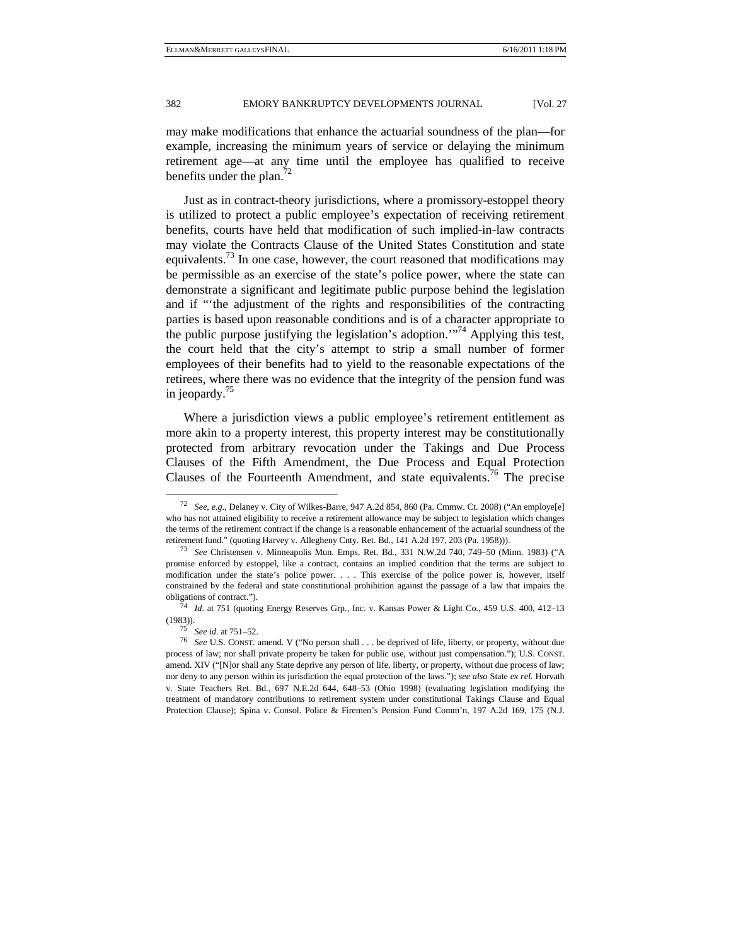may make modifications that enhance the actuarial soundness of the plan—for example, increasing the minimum years of service or delaying the minimum retirement age—at any time until the employee has qualified to receive benefits under the plan.<sup>72</sup>

Just as in contract-theory jurisdictions, where a promissory-estoppel theory is utilized to protect a public employee's expectation of receiving retirement benefits, courts have held that modification of such implied-in-law contracts may violate the Contracts Clause of the United States Constitution and state equivalents.<sup>73</sup> In one case, however, the court reasoned that modifications may be permissible as an exercise of the state's police power, where the state can demonstrate a significant and legitimate public purpose behind the legislation and if "'the adjustment of the rights and responsibilities of the contracting parties is based upon reasonable conditions and is of a character appropriate to the public purpose justifying the legislation's adoption.'"74 Applying this test, the court held that the city's attempt to strip a small number of former employees of their benefits had to yield to the reasonable expectations of the retirees, where there was no evidence that the integrity of the pension fund was in jeopardy.<sup>75</sup>

Where a jurisdiction views a public employee's retirement entitlement as more akin to a property interest, this property interest may be constitutionally protected from arbitrary revocation under the Takings and Due Process Clauses of the Fifth Amendment, the Due Process and Equal Protection Clauses of the Fourteenth Amendment, and state equivalents.<sup>76</sup> The precise

 <sup>72</sup> *See, e.g.*, Delaney v. City of Wilkes-Barre, 947 A.2d 854, 860 (Pa. Cmmw. Ct. 2008) ("An employe[e] who has not attained eligibility to receive a retirement allowance may be subject to legislation which changes the terms of the retirement contract if the change is a reasonable enhancement of the actuarial soundness of the retirement fund." (quoting Harvey v. Allegheny Cnty. Ret. Bd*.*, 141 A.2d 197, 203 (Pa. 1958))). 73 *See* Christensen v. Minneapolis Mun. Emps. Ret. Bd*.*, 331 N.W.2d 740, 749–50 (Minn. 1983) ("A

promise enforced by estoppel, like a contract, contains an implied condition that the terms are subject to modification under the state's police power. . . . This exercise of the police power is, however, itself constrained by the federal and state constitutional prohibition against the passage of a law that impairs the obligations of contract."). 74 *Id.* at 751 (quoting Energy Reserves Grp., Inc. v. Kansas Power & Light Co*.*, 459 U.S. 400, 412–13

<sup>(1983)). 75</sup> *See id.* at 751–52. 76 *See* U.S. CONST. amend. V ("No person shall . . . be deprived of life, liberty, or property, without due

process of law; nor shall private property be taken for public use, without just compensation."); U.S. CONST. amend. XIV ("[N]or shall any State deprive any person of life, liberty, or property, without due process of law; nor deny to any person within its jurisdiction the equal protection of the laws."); *see also* State *ex rel.* Horvath v. State Teachers Ret. Bd*.*, 697 N.E.2d 644, 648–53 (Ohio 1998) (evaluating legislation modifying the treatment of mandatory contributions to retirement system under constitutional Takings Clause and Equal Protection Clause); Spina v. Consol. Police & Firemen's Pension Fund Comm'n, 197 A.2d 169, 175 (N.J.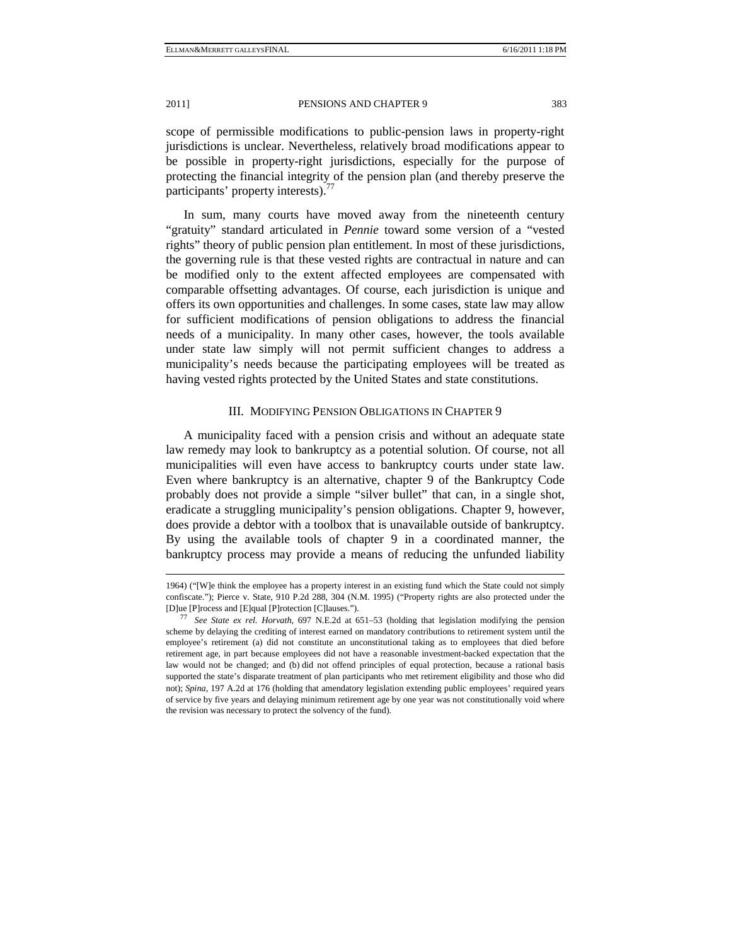scope of permissible modifications to public-pension laws in property-right jurisdictions is unclear. Nevertheless, relatively broad modifications appear to be possible in property-right jurisdictions, especially for the purpose of protecting the financial integrity of the pension plan (and thereby preserve the participants' property interests).<sup>77</sup>

In sum, many courts have moved away from the nineteenth century "gratuity" standard articulated in *Pennie* toward some version of a "vested rights" theory of public pension plan entitlement. In most of these jurisdictions, the governing rule is that these vested rights are contractual in nature and can be modified only to the extent affected employees are compensated with comparable offsetting advantages. Of course, each jurisdiction is unique and offers its own opportunities and challenges. In some cases, state law may allow for sufficient modifications of pension obligations to address the financial needs of a municipality. In many other cases, however, the tools available under state law simply will not permit sufficient changes to address a municipality's needs because the participating employees will be treated as having vested rights protected by the United States and state constitutions.

### III. MODIFYING PENSION OBLIGATIONS IN CHAPTER 9

A municipality faced with a pension crisis and without an adequate state law remedy may look to bankruptcy as a potential solution. Of course, not all municipalities will even have access to bankruptcy courts under state law. Even where bankruptcy is an alternative, chapter 9 of the Bankruptcy Code probably does not provide a simple "silver bullet" that can, in a single shot, eradicate a struggling municipality's pension obligations. Chapter 9, however, does provide a debtor with a toolbox that is unavailable outside of bankruptcy. By using the available tools of chapter 9 in a coordinated manner, the bankruptcy process may provide a means of reducing the unfunded liability

j

<sup>1964) (&</sup>quot;[W]e think the employee has a property interest in an existing fund which the State could not simply confiscate."); Pierce v. State, 910 P.2d 288, 304 (N.M. 1995) ("Property rights are also protected under the [D]ue [P]rocess and [E]qual [P]rotection [C]lauses."). 77 *See State ex rel. Horvath*, 697 N.E.2d at 651–53 (holding that legislation modifying the pension

scheme by delaying the crediting of interest earned on mandatory contributions to retirement system until the employee's retirement (a) did not constitute an unconstitutional taking as to employees that died before retirement age, in part because employees did not have a reasonable investment-backed expectation that the law would not be changed; and (b) did not offend principles of equal protection, because a rational basis supported the state's disparate treatment of plan participants who met retirement eligibility and those who did not); *Spina*, 197 A.2d at 176 (holding that amendatory legislation extending public employees' required years of service by five years and delaying minimum retirement age by one year was not constitutionally void where the revision was necessary to protect the solvency of the fund).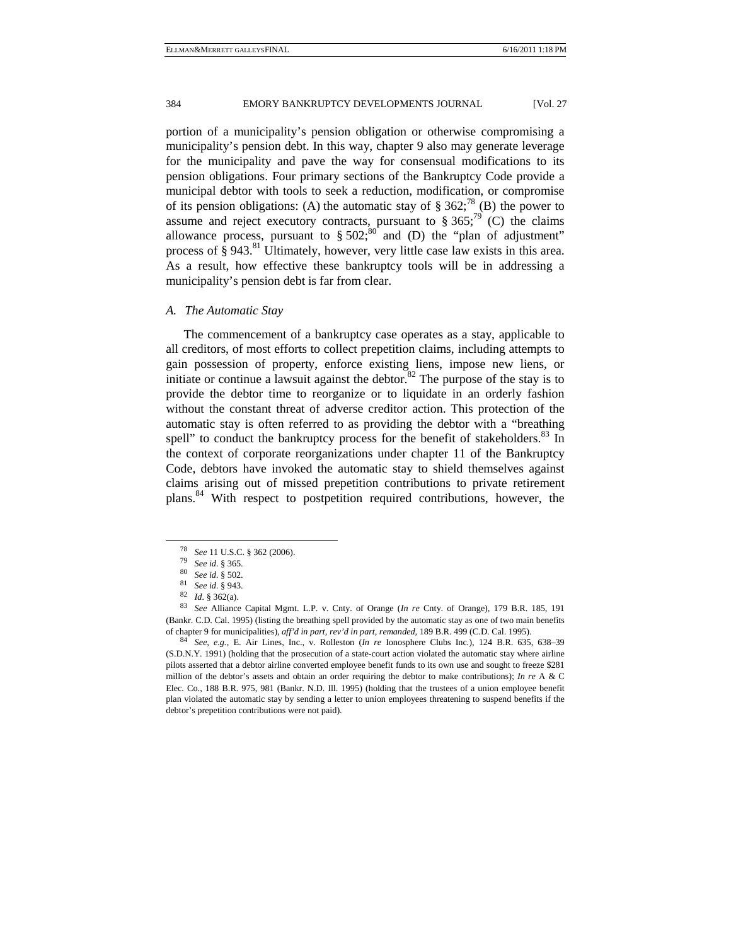portion of a municipality's pension obligation or otherwise compromising a municipality's pension debt. In this way, chapter 9 also may generate leverage for the municipality and pave the way for consensual modifications to its pension obligations. Four primary sections of the Bankruptcy Code provide a municipal debtor with tools to seek a reduction, modification, or compromise of its pension obligations: (A) the automatic stay of § 362;<sup>78</sup> (B) the power to assume and reject executory contracts, pursuant to  $\S 365$ ;<sup>79</sup> (C) the claims allowance process, pursuant to  $\S 502$ ;  $80^{\circ}$  and (D) the "plan of adjustment" process of  $\S$  943.<sup>81</sup> Ultimately, however, very little case law exists in this area. As a result, how effective these bankruptcy tools will be in addressing a municipality's pension debt is far from clear.

#### *A. The Automatic Stay*

The commencement of a bankruptcy case operates as a stay, applicable to all creditors, of most efforts to collect prepetition claims, including attempts to gain possession of property, enforce existing liens, impose new liens, or initiate or continue a lawsuit against the debtor. $82$  The purpose of the stay is to provide the debtor time to reorganize or to liquidate in an orderly fashion without the constant threat of adverse creditor action. This protection of the automatic stay is often referred to as providing the debtor with a "breathing spell" to conduct the bankruptcy process for the benefit of stakeholders.<sup>83</sup> In the context of corporate reorganizations under chapter 11 of the Bankruptcy Code, debtors have invoked the automatic stay to shield themselves against claims arising out of missed prepetition contributions to private retirement plans.84 With respect to postpetition required contributions, however, the

<sup>&</sup>lt;sup>78</sup> See 11 U.S.C. § 362 (2006).<br>
<sup>79</sup> See id. § 365.<br>
<sup>80</sup> See id. § 502.<br>
<sup>81</sup> See id. § 943.<br>
<sup>82</sup> Id. § 362(a).<br>
<sup>83</sup> See Alliance Capital Mgmt. L.P. v. Cnty. of Orange (*In re* Cnty. of Orange), 179 B.R. 185, 191 (Bankr. C.D. Cal. 1995) (listing the breathing spell provided by the automatic stay as one of two main benefits

of chapter 9 for municipalities), aff'd in part, rev'd in part, remanded, 189 B.R. 499 (C.D. Cal. 1995).<br><sup>84</sup> See, e.g., E. Air Lines, Inc., v. Rolleston (In re Ionosphere Clubs Inc.), 124 B.R. 635, 638–39 (S.D.N.Y. 1991) (holding that the prosecution of a state-court action violated the automatic stay where airline pilots asserted that a debtor airline converted employee benefit funds to its own use and sought to freeze \$281 million of the debtor's assets and obtain an order requiring the debtor to make contributions); *In re* A & C Elec. Co., 188 B.R. 975, 981 (Bankr. N.D. Ill. 1995) (holding that the trustees of a union employee benefit plan violated the automatic stay by sending a letter to union employees threatening to suspend benefits if the debtor's prepetition contributions were not paid).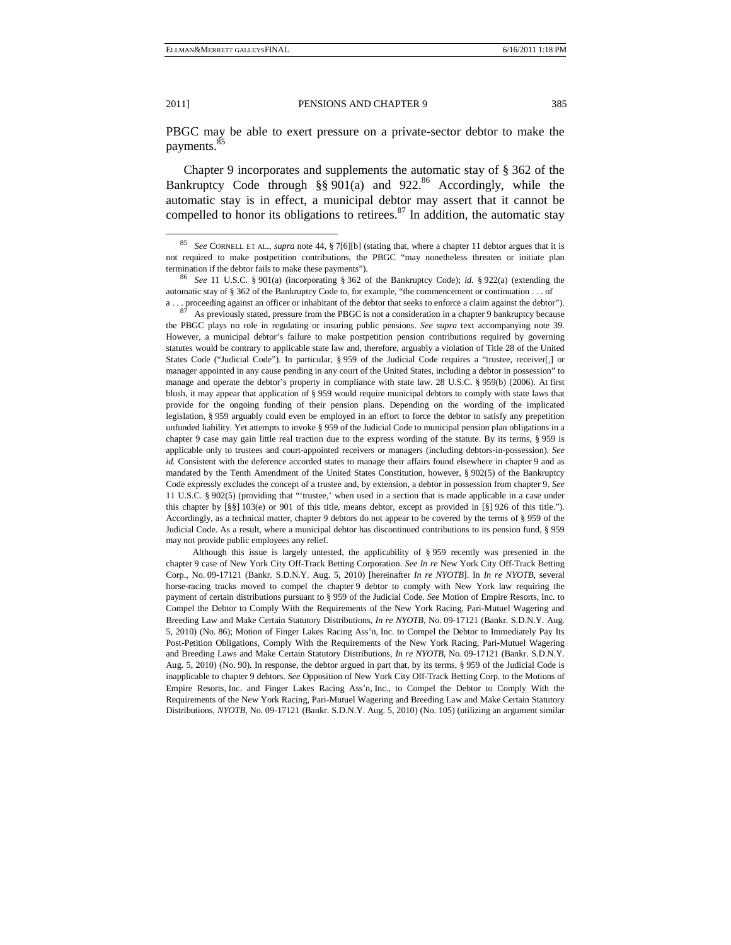PBGC may be able to exert pressure on a private-sector debtor to make the payments.<sup>8</sup>

Chapter 9 incorporates and supplements the automatic stay of § 362 of the Bankruptcy Code through §§ 901(a) and 922.<sup>86</sup> Accordingly, while the automatic stay is in effect, a municipal debtor may assert that it cannot be compelled to honor its obligations to retirees. $87$  In addition, the automatic stay

the PBGC plays no role in regulating or insuring public pensions. *See supra* text accompanying note 39. However, a municipal debtor's failure to make postpetition pension contributions required by governing statutes would be contrary to applicable state law and, therefore, arguably a violation of Title 28 of the United States Code ("Judicial Code"). In particular, § 959 of the Judicial Code requires a "trustee, receiver[,] or manager appointed in any cause pending in any court of the United States, including a debtor in possession" to manage and operate the debtor's property in compliance with state law. 28 U.S.C. § 959(b) (2006). At first blush, it may appear that application of § 959 would require municipal debtors to comply with state laws that provide for the ongoing funding of their pension plans. Depending on the wording of the implicated legislation, § 959 arguably could even be employed in an effort to force the debtor to satisfy any prepetition unfunded liability. Yet attempts to invoke § 959 of the Judicial Code to municipal pension plan obligations in a chapter 9 case may gain little real traction due to the express wording of the statute. By its terms, § 959 is applicable only to trustees and court-appointed receivers or managers (including debtors-in-possession). *See id.* Consistent with the deference accorded states to manage their affairs found elsewhere in chapter 9 and as mandated by the Tenth Amendment of the United States Constitution, however, § 902(5) of the Bankruptcy Code expressly excludes the concept of a trustee and, by extension, a debtor in possession from chapter 9. *See* 11 U.S.C. § 902(5) (providing that "'trustee,' when used in a section that is made applicable in a case under this chapter by [§§] 103(e) or 901 of this title, means debtor, except as provided in [§] 926 of this title."). Accordingly, as a technical matter, chapter 9 debtors do not appear to be covered by the terms of § 959 of the Judicial Code. As a result, where a municipal debtor has discontinued contributions to its pension fund, § 959 may not provide public employees any relief.

Although this issue is largely untested, the applicability of  $\S 959$  recently was presented in the chapter 9 case of New York City Off-Track Betting Corporation. *See In re* New York City Off-Track Betting Corp., No. 09-17121 (Bankr. S.D.N.Y. Aug. 5, 2010) [hereinafter *In re NYOTB*]. In *In re NYOTB*, several horse-racing tracks moved to compel the chapter 9 debtor to comply with New York law requiring the payment of certain distributions pursuant to § 959 of the Judicial Code. *See* Motion of Empire Resorts, Inc. to Compel the Debtor to Comply With the Requirements of the New York Racing, Pari-Mutuel Wagering and Breeding Law and Make Certain Statutory Distributions, *In re NYOTB*, No. 09-17121 (Bankr. S.D.N.Y. Aug. 5, 2010) (No. 86); Motion of Finger Lakes Racing Ass'n, Inc. to Compel the Debtor to Immediately Pay Its Post-Petition Obligations, Comply With the Requirements of the New York Racing, Pari-Mutuel Wagering and Breeding Laws and Make Certain Statutory Distributions, *In re NYOTB*, No. 09-17121 (Bankr. S.D.N.Y. Aug. 5, 2010) (No. 90). In response, the debtor argued in part that, by its terms, § 959 of the Judicial Code is inapplicable to chapter 9 debtors. *See* Opposition of New York City Off-Track Betting Corp. to the Motions of Empire Resorts, Inc. and Finger Lakes Racing Ass'n, Inc., to Compel the Debtor to Comply With the Requirements of the New York Racing, Pari-Mutuel Wagering and Breeding Law and Make Certain Statutory Distributions, *NYOTB*, No. 09-17121 (Bankr. S.D.N.Y. Aug. 5, 2010) (No. 105) (utilizing an argument similar

 <sup>85</sup> *See* CORNELL ET AL., *supra* note 44, § 7[6][b] (stating that, where a chapter 11 debtor argues that it is not required to make postpetition contributions, the PBGC "may nonetheless threaten or initiate plan termination if the debtor fails to make these payments"). 86 *See* 11 U.S.C. § 901(a) (incorporating § 362 of the Bankruptcy Code); *id.* § 922(a) (extending the

automatic stay of § 362 of the Bankruptcy Code to, for example, "the commencement or continuation . . . of a . . . proceeding against an officer or inhabitant of the debtor that seeks to enforce a claim against the debtor").  $87$  As previously stated, pressure from the PBGC is not a consideration in a chapter 9 bankruptcy beca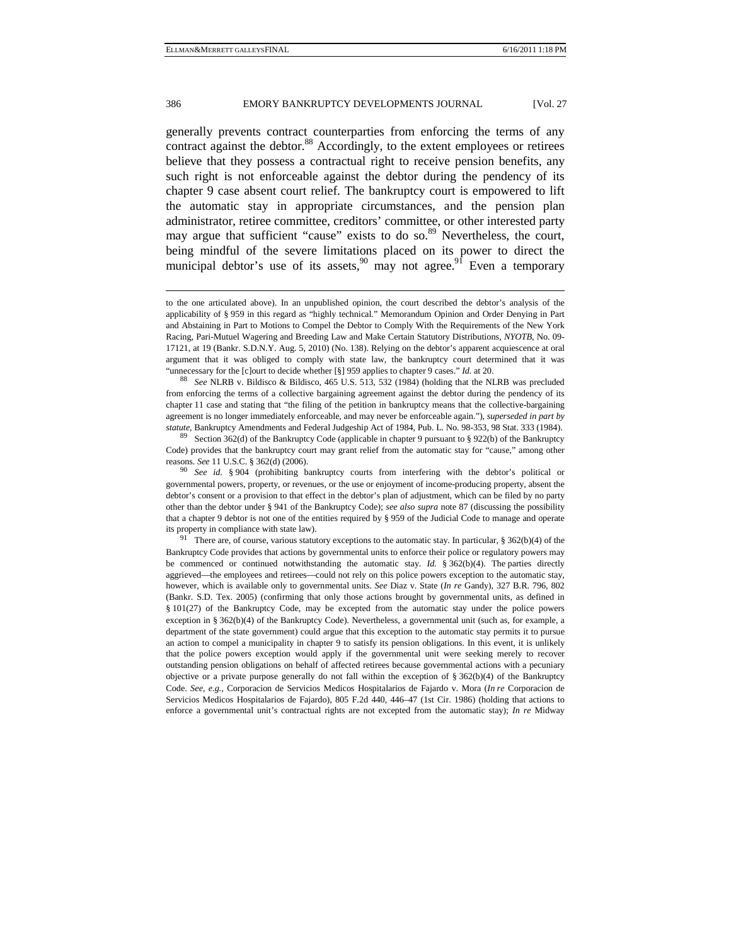generally prevents contract counterparties from enforcing the terms of any contract against the debtor. $88$  Accordingly, to the extent employees or retirees believe that they possess a contractual right to receive pension benefits, any such right is not enforceable against the debtor during the pendency of its chapter 9 case absent court relief. The bankruptcy court is empowered to lift the automatic stay in appropriate circumstances, and the pension plan administrator, retiree committee, creditors' committee, or other interested party may argue that sufficient "cause" exists to do so. $89$  Nevertheless, the court, being mindful of the severe limitations placed on its power to direct the municipal debtor's use of its assets,  $\frac{90}{2}$  may not agree. Even a temporary

from enforcing the terms of a collective bargaining agreement against the debtor during the pendency of its chapter 11 case and stating that "the filing of the petition in bankruptcy means that the collective-bargaining agreement is no longer immediately enforceable, and may never be enforceable again."), *superseded in part by statute*, Bankruptcy Amendments and Federal Judgeship Act of 1984, Pub. L. No. 98-353, 98 Stat. 333 (1984). <sup>89</sup> Section 362(d) of the Bankruptcy Code (applicable in chapter 9 pursuant to § 922(b) of the Bankruptcy

Code) provides that the bankruptcy court may grant relief from the automatic stay for "cause," among other reasons. *See* 11 U.S.C. § 362(d) (2006). 90 *See id.* § 904 (prohibiting bankruptcy courts from interfering with the debtor's political or

governmental powers, property, or revenues, or the use or enjoyment of income-producing property, absent the debtor's consent or a provision to that effect in the debtor's plan of adjustment, which can be filed by no party other than the debtor under § 941 of the Bankruptcy Code); *see also supra* note 87 (discussing the possibility that a chapter 9 debtor is not one of the entities required by § 959 of the Judicial Code to manage and operate

its property in compliance with state law).  $\frac{91}{10}$  There are, of course, various statutory exceptions to the automatic stay. In particular, § 362(b)(4) of the Bankruptcy Code provides that actions by governmental units to enforce their police or regulatory powers may be commenced or continued notwithstanding the automatic stay. *Id.* § 362(b)(4). The parties directly aggrieved—the employees and retirees—could not rely on this police powers exception to the automatic stay, however, which is available only to governmental units. *See* Diaz v. State (*In re* Gandy), 327 B.R. 796, 802 (Bankr. S.D. Tex. 2005) (confirming that only those actions brought by governmental units, as defined in § 101(27) of the Bankruptcy Code, may be excepted from the automatic stay under the police powers exception in § 362(b)(4) of the Bankruptcy Code). Nevertheless, a governmental unit (such as, for example, a department of the state government) could argue that this exception to the automatic stay permits it to pursue an action to compel a municipality in chapter 9 to satisfy its pension obligations. In this event, it is unlikely that the police powers exception would apply if the governmental unit were seeking merely to recover outstanding pension obligations on behalf of affected retirees because governmental actions with a pecuniary objective or a private purpose generally do not fall within the exception of  $\S 362(b)(4)$  of the Bankruptcy Code. *See, e.g.*, Corporacion de Servicios Medicos Hospitalarios de Fajardo v. Mora (*In re* Corporacion de Servicios Medicos Hospitalarios de Fajardo), 805 F.2d 440, 446–47 (1st Cir. 1986) (holding that actions to enforce a governmental unit's contractual rights are not excepted from the automatic stay); *In re* Midway

-

to the one articulated above). In an unpublished opinion, the court described the debtor's analysis of the applicability of § 959 in this regard as "highly technical." Memorandum Opinion and Order Denying in Part and Abstaining in Part to Motions to Compel the Debtor to Comply With the Requirements of the New York Racing, Pari-Mutuel Wagering and Breeding Law and Make Certain Statutory Distributions, *NYOTB*, No. 09- 17121, at 19 (Bankr. S.D.N.Y. Aug. 5, 2010) (No. 138). Relying on the debtor's apparent acquiescence at oral argument that it was obliged to comply with state law, the bankruptcy court determined that it was "unnecessary for the [c]ourt to decide whether [§] 959 applies to chapter 9 cases." *Id.* at 20. 88 *See* NLRB v. Bildisco & Bildisco, 465 U.S. 513, 532 (1984) (holding that the NLRB was precluded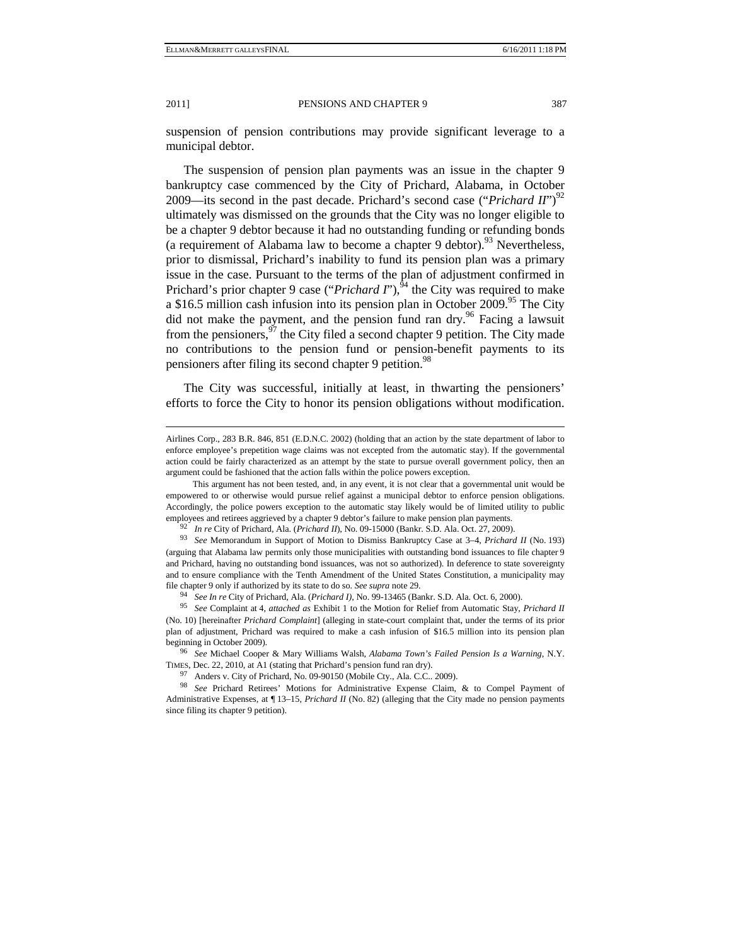-

suspension of pension contributions may provide significant leverage to a municipal debtor.

The suspension of pension plan payments was an issue in the chapter 9 bankruptcy case commenced by the City of Prichard, Alabama, in October 2009—its second in the past decade. Prichard's second case ("*Prichard II*")<sup>92</sup> ultimately was dismissed on the grounds that the City was no longer eligible to be a chapter 9 debtor because it had no outstanding funding or refunding bonds (a requirement of Alabama law to become a chapter 9 debtor).<sup>93</sup> Nevertheless, prior to dismissal, Prichard's inability to fund its pension plan was a primary issue in the case. Pursuant to the terms of the plan of adjustment confirmed in Prichard's prior chapter 9 case ("*Prichard I*"),<sup>94</sup> the City was required to make a \$16.5 million cash infusion into its pension plan in October 2009.<sup>95</sup> The City did not make the payment, and the pension fund ran dry.<sup>96</sup> Facing a lawsuit from the pensioners,  $97$  the City filed a second chapter 9 petition. The City made no contributions to the pension fund or pension-benefit payments to its pensioners after filing its second chapter 9 petition.<sup>98</sup>

The City was successful, initially at least, in thwarting the pensioners' efforts to force the City to honor its pension obligations without modification.

Airlines Corp., 283 B.R. 846, 851 (E.D.N.C. 2002) (holding that an action by the state department of labor to enforce employee's prepetition wage claims was not excepted from the automatic stay). If the governmental action could be fairly characterized as an attempt by the state to pursue overall government policy, then an argument could be fashioned that the action falls within the police powers exception.

This argument has not been tested, and, in any event, it is not clear that a governmental unit would be empowered to or otherwise would pursue relief against a municipal debtor to enforce pension obligations. Accordingly, the police powers exception to the automatic stay likely would be of limited utility to public employees and retirees aggrieved by a chapter 9 debtor's failure to make pension plan payments.<br><sup>92</sup> In re City of Prichard, Ala. (Prichard II), No. 09-15000 (Bankr. S.D. Ala. Oct. 27, 2009).<br><sup>93</sup> See Memorandum in Support

<sup>(</sup>arguing that Alabama law permits only those municipalities with outstanding bond issuances to file chapter 9 and Prichard, having no outstanding bond issuances, was not so authorized). In deference to state sovereignty and to ensure compliance with the Tenth Amendment of the United States Constitution, a municipality may file chapter 9 only if authorized by its state to do so. *See supra* note 29.<br><sup>94</sup> *See In re* City of Prichard, Ala. (*Prichard I*), No. 99-13465 (Bankr. S.D. Ala. Oct. 6, 2000).<br><sup>95</sup> *See* Complaint at 4, *attached as* E

<sup>(</sup>No. 10) [hereinafter *Prichard Complaint*] (alleging in state-court complaint that, under the terms of its prior plan of adjustment, Prichard was required to make a cash infusion of \$16.5 million into its pension plan

<sup>&</sup>lt;sup>96</sup> See Michael Cooper & Mary Williams Walsh, *Alabama Town's Failed Pension Is a Warning*, N.Y. TIMES, Dec. 22, 2010, at A1 (stating that Prichard's pension fund ran dry). 97 Anders v. City of Prichard, No. 09-90150 (Mobile Cty., Ala. C.C.. 2009).

<sup>98</sup> *See* Prichard Retirees' Motions for Administrative Expense Claim, & to Compel Payment of Administrative Expenses, at ¶ 13–15, *Prichard II* (No. 82) (alleging that the City made no pension payments since filing its chapter 9 petition).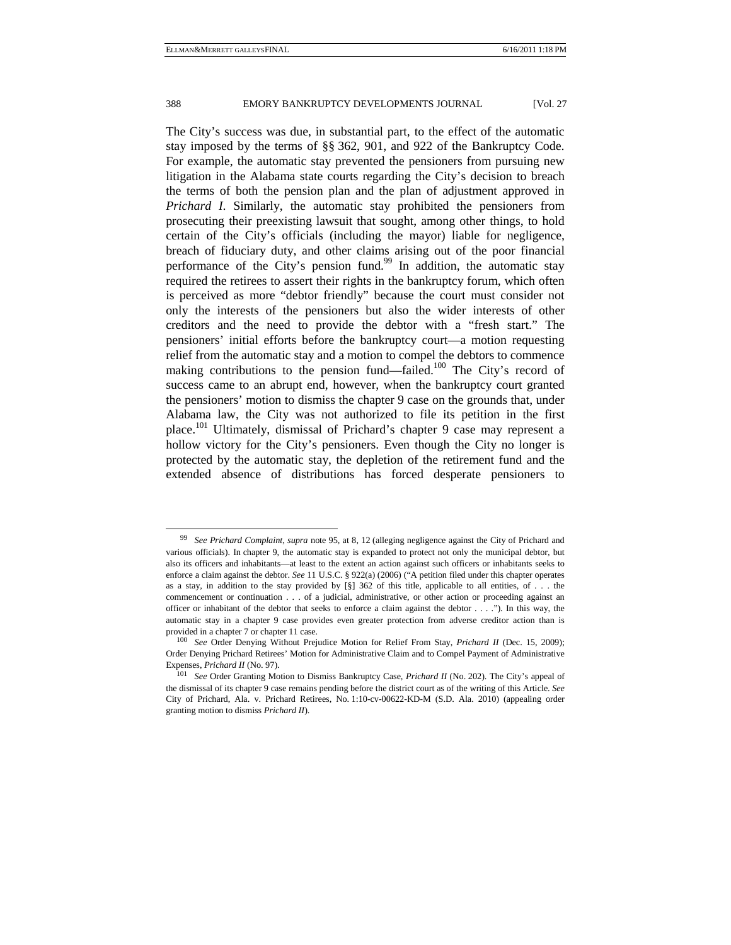The City's success was due, in substantial part, to the effect of the automatic stay imposed by the terms of §§ 362, 901, and 922 of the Bankruptcy Code. For example, the automatic stay prevented the pensioners from pursuing new litigation in the Alabama state courts regarding the City's decision to breach the terms of both the pension plan and the plan of adjustment approved in *Prichard I*. Similarly, the automatic stay prohibited the pensioners from prosecuting their preexisting lawsuit that sought, among other things, to hold certain of the City's officials (including the mayor) liable for negligence, breach of fiduciary duty, and other claims arising out of the poor financial performance of the City's pension fund.<sup>99</sup> In addition, the automatic stay required the retirees to assert their rights in the bankruptcy forum, which often is perceived as more "debtor friendly" because the court must consider not only the interests of the pensioners but also the wider interests of other creditors and the need to provide the debtor with a "fresh start." The pensioners' initial efforts before the bankruptcy court—a motion requesting relief from the automatic stay and a motion to compel the debtors to commence making contributions to the pension fund—failed.<sup>100</sup> The City's record of success came to an abrupt end, however, when the bankruptcy court granted the pensioners' motion to dismiss the chapter 9 case on the grounds that, under Alabama law, the City was not authorized to file its petition in the first place.101 Ultimately, dismissal of Prichard's chapter 9 case may represent a hollow victory for the City's pensioners. Even though the City no longer is protected by the automatic stay, the depletion of the retirement fund and the extended absence of distributions has forced desperate pensioners to

 <sup>99</sup> *See Prichard Complaint*, *supra* note 95, at 8, 12 (alleging negligence against the City of Prichard and various officials). In chapter 9, the automatic stay is expanded to protect not only the municipal debtor, but also its officers and inhabitants—at least to the extent an action against such officers or inhabitants seeks to enforce a claim against the debtor. *See* 11 U.S.C. § 922(a) (2006) ("A petition filed under this chapter operates as a stay, in addition to the stay provided by  $\lceil \S \rceil$  362 of this title, applicable to all entities, of . . . the commencement or continuation . . . of a judicial, administrative, or other action or proceeding against an officer or inhabitant of the debtor that seeks to enforce a claim against the debtor . . . ."). In this way, the automatic stay in a chapter 9 case provides even greater protection from adverse creditor action than is provided in a chapter 7 or chapter 11 case.<br><sup>100</sup> *See* Order Denying Without Prejudice Motion for Relief From Stay, *Prichard II* (Dec. 15, 2009);

Order Denying Prichard Retirees' Motion for Administrative Claim and to Compel Payment of Administrative Expenses, *Prichard II* (No. 97).<br><sup>101</sup> See Order Granting Motion to Dismiss Bankruptcy Case, *Prichard II* (No. 202). The City's appeal of

the dismissal of its chapter 9 case remains pending before the district court as of the writing of this Article. *See* City of Prichard, Ala. v. Prichard Retirees, No. 1:10-cv-00622-KD-M (S.D. Ala. 2010) (appealing order granting motion to dismiss *Prichard II*).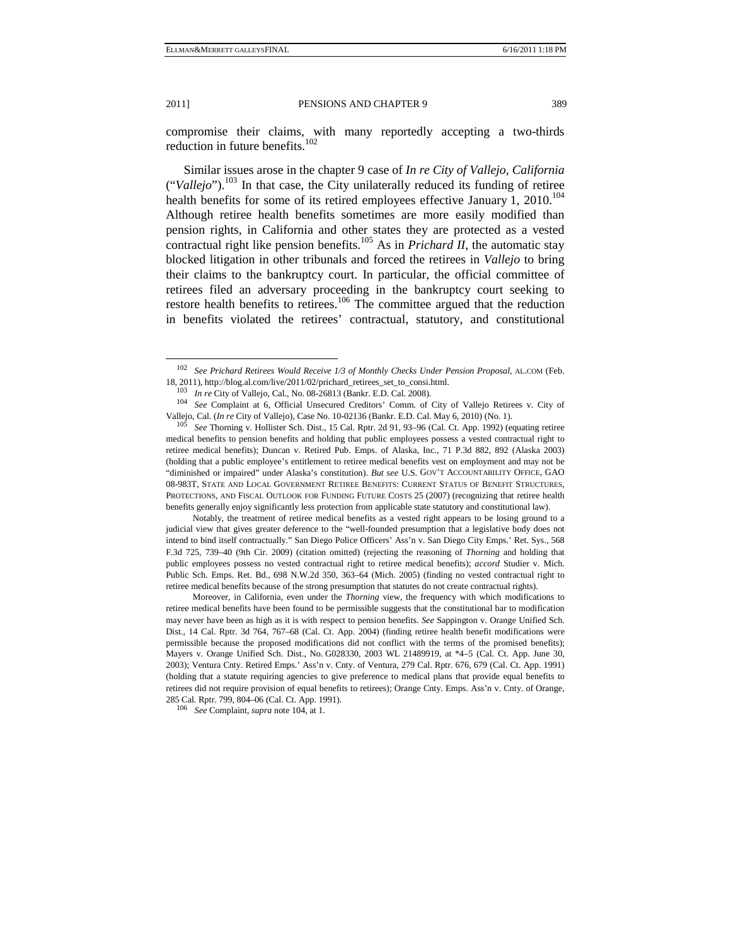compromise their claims, with many reportedly accepting a two-thirds reduction in future benefits.<sup>102</sup>

Similar issues arose in the chapter 9 case of *In re City of Vallejo, California* ("*Vallejo*").103 In that case, the City unilaterally reduced its funding of retiree health benefits for some of its retired employees effective January 1, 2010.<sup>104</sup> Although retiree health benefits sometimes are more easily modified than pension rights, in California and other states they are protected as a vested contractual right like pension benefits.<sup>105</sup> As in *Prichard II*, the automatic stay blocked litigation in other tribunals and forced the retirees in *Vallejo* to bring their claims to the bankruptcy court. In particular, the official committee of retirees filed an adversary proceeding in the bankruptcy court seeking to restore health benefits to retirees.<sup>106</sup> The committee argued that the reduction in benefits violated the retirees' contractual, statutory, and constitutional

Notably, the treatment of retiree medical benefits as a vested right appears to be losing ground to a judicial view that gives greater deference to the "well-founded presumption that a legislative body does not intend to bind itself contractually." San Diego Police Officers' Ass'n v. San Diego City Emps.' Ret. Sys., 568 F.3d 725, 739–40 (9th Cir. 2009) (citation omitted) (rejecting the reasoning of *Thorning* and holding that public employees possess no vested contractual right to retiree medical benefits); *accord* Studier v. Mich. Public Sch. Emps. Ret. Bd., 698 N.W.2d 350, 363–64 (Mich. 2005) (finding no vested contractual right to retiree medical benefits because of the strong presumption that statutes do not create contractual rights).

Moreover, in California, even under the *Thorning* view, the frequency with which modifications to retiree medical benefits have been found to be permissible suggests that the constitutional bar to modification may never have been as high as it is with respect to pension benefits. *See* Sappington v. Orange Unified Sch. Dist., 14 Cal. Rptr. 3d 764, 767–68 (Cal. Ct. App. 2004) (finding retiree health benefit modifications were permissible because the proposed modifications did not conflict with the terms of the promised benefits); Mayers v. Orange Unified Sch. Dist., No. G028330, 2003 WL 21489919, at \*4–5 (Cal. Ct. App. June 30, 2003); Ventura Cnty. Retired Emps.' Ass'n v. Cnty. of Ventura, 279 Cal. Rptr. 676, 679 (Cal. Ct. App. 1991) (holding that a statute requiring agencies to give preference to medical plans that provide equal benefits to retirees did not require provision of equal benefits to retirees); Orange Cnty. Emps. Ass'n v. Cnty. of Orange, 285 Cal. Rptr. 799, 804–06 (Cal. Ct. App. 1991). 106 *See* Complaint, *supra* note 104, at 1.

 <sup>102</sup> *See Prichard Retirees Would Receive 1/3 of Monthly Checks Under Pension Proposal*, AL.COM (Feb. 18, 2011), http://blog.al.com/live/2011/02/prichard\_retirees\_set\_to\_consi.html.<br> $103$  In re City of Vallejo, Cal., No. 08-26813 (Bankr. E.D. Cal. 2008).

<sup>&</sup>lt;sup>104</sup> See Complaint at 6, Official Unsecured Creditors' Comm. of City of Vallejo Retirees v. City of Vallejo, Cal. (*In re* City of Vallejo), Case No. 10-02136 (Bankr. E.D. Cal. May 6, 2010) (No. 1). 105 *See* Thorning v. Hollister Sch. Dist., 15 Cal. Rptr. 2d 91, 93–96 (Cal. Ct. App. 1992) (equating retiree

medical benefits to pension benefits and holding that public employees possess a vested contractual right to retiree medical benefits); Duncan v. Retired Pub. Emps. of Alaska, Inc*.*, 71 P.3d 882, 892 (Alaska 2003) (holding that a public employee's entitlement to retiree medical benefits vest on employment and may not be "diminished or impaired" under Alaska's constitution). *But see* U.S. GOV'T ACCOUNTABILITY OFFICE, GAO 08-983T, STATE AND LOCAL GOVERNMENT RETIREE BENEFITS: CURRENT STATUS OF BENEFIT STRUCTURES, PROTECTIONS, AND FISCAL OUTLOOK FOR FUNDING FUTURE COSTS 25 (2007) (recognizing that retiree health benefits generally enjoy significantly less protection from applicable state statutory and constitutional law).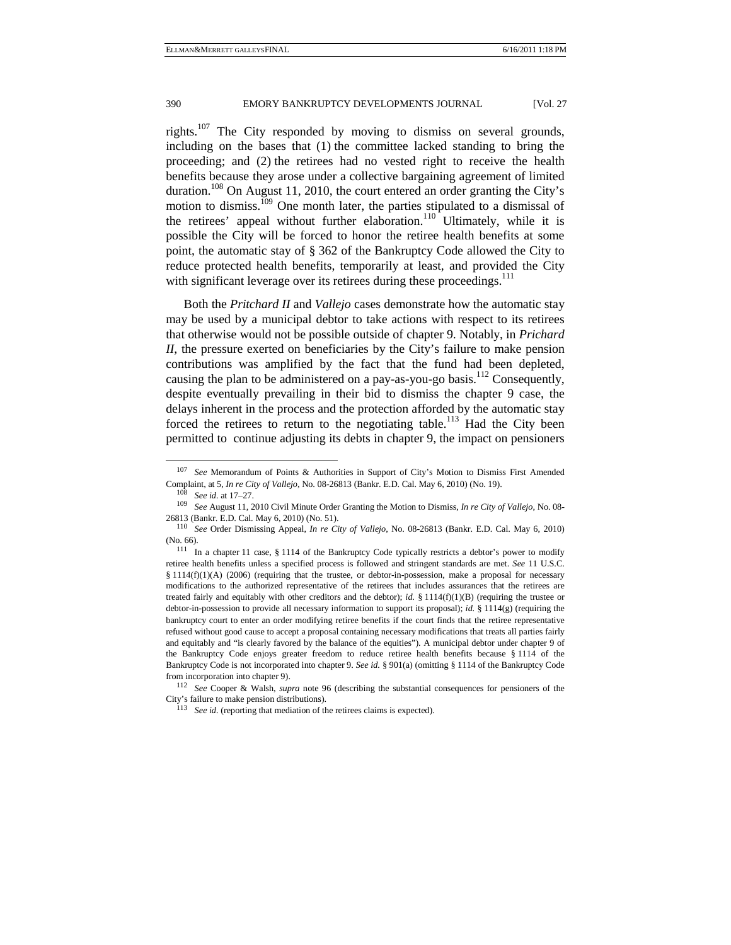rights.107 The City responded by moving to dismiss on several grounds, including on the bases that (1) the committee lacked standing to bring the proceeding; and (2) the retirees had no vested right to receive the health benefits because they arose under a collective bargaining agreement of limited duration.108 On August 11, 2010, the court entered an order granting the City's motion to dismiss.<sup>109</sup> One month later, the parties stipulated to a dismissal of the retirees' appeal without further elaboration. $110$  Ultimately, while it is possible the City will be forced to honor the retiree health benefits at some point, the automatic stay of § 362 of the Bankruptcy Code allowed the City to reduce protected health benefits, temporarily at least, and provided the City with significant leverage over its retirees during these proceedings.<sup>111</sup>

Both the *Pritchard II* and *Vallejo* cases demonstrate how the automatic stay may be used by a municipal debtor to take actions with respect to its retirees that otherwise would not be possible outside of chapter 9. Notably, in *Prichard II*, the pressure exerted on beneficiaries by the City's failure to make pension contributions was amplified by the fact that the fund had been depleted, causing the plan to be administered on a pay-as-you-go basis.<sup>112</sup> Consequently, despite eventually prevailing in their bid to dismiss the chapter 9 case, the delays inherent in the process and the protection afforded by the automatic stay forced the retirees to return to the negotiating table.<sup>113</sup> Had the City been permitted to continue adjusting its debts in chapter 9, the impact on pensioners

 <sup>107</sup> *See* Memorandum of Points & Authorities in Support of City's Motion to Dismiss First Amended Complaint, at 5, *In re City of Vallejo*, No. 08-26813 (Bankr. E.D. Cal. May 6, 2010) (No. 19).<br><sup>108</sup> See id. at 17–27.<br><sup>109</sup> See August 11, 2010 Civil Minute Order Granting the Motion to Dismiss, *In re City of Vallejo*,

<sup>26813 (</sup>Bankr. E.D. Cal. May 6, 2010) (No. 51). 110 *See* Order Dismissing Appeal, *In re City of Vallejo*, No. 08-26813 (Bankr. E.D. Cal. May 6, 2010)

<sup>(</sup>No. 66).<br><sup>111</sup> In a chapter 11 case, § 1114 of the Bankruptcy Code typically restricts a debtor's power to modify retiree health benefits unless a specified process is followed and stringent standards are met. *See* 11 U.S.C. § 1114(f)(1)(A) (2006) (requiring that the trustee, or debtor-in-possession, make a proposal for necessary modifications to the authorized representative of the retirees that includes assurances that the retirees are treated fairly and equitably with other creditors and the debtor); *id.* § 1114(f)(1)(B) (requiring the trustee or debtor-in-possession to provide all necessary information to support its proposal); *id.* § 1114(g) (requiring the bankruptcy court to enter an order modifying retiree benefits if the court finds that the retiree representative refused without good cause to accept a proposal containing necessary modifications that treats all parties fairly and equitably and "is clearly favored by the balance of the equities"). A municipal debtor under chapter 9 of the Bankruptcy Code enjoys greater freedom to reduce retiree health benefits because § 1114 of the Bankruptcy Code is not incorporated into chapter 9. *See id.* § 901(a) (omitting § 1114 of the Bankruptcy Code from incorporation into chapter 9). 112 *See* Cooper & Walsh, *supra* note 96 (describing the substantial consequences for pensioners of the

City's failure to make pension distributions). 113 *See id.* (reporting that mediation of the retirees claims is expected).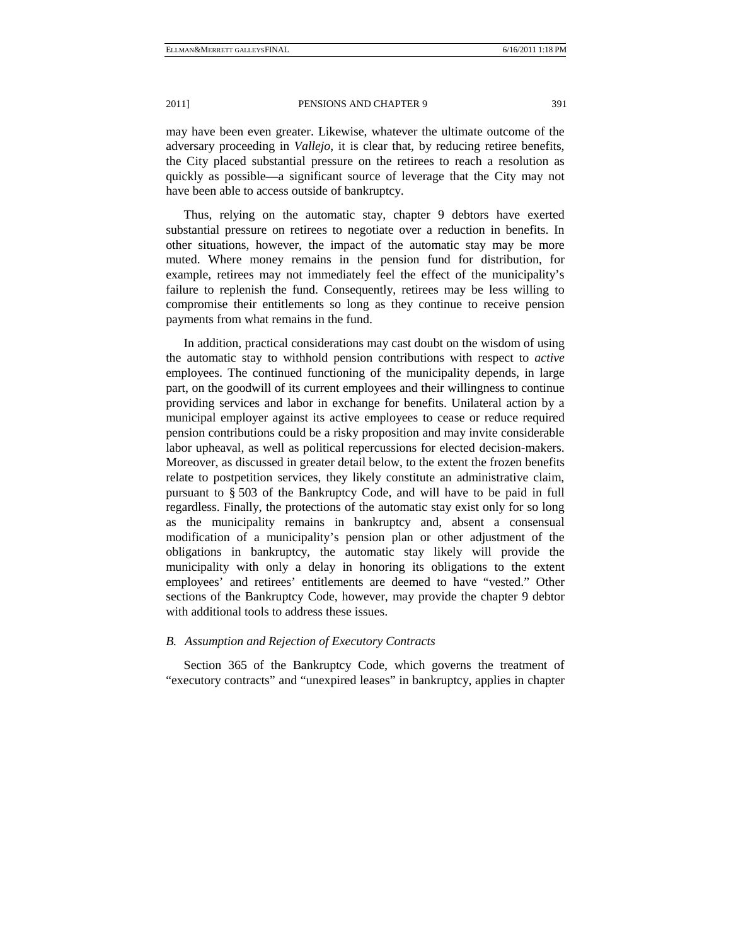may have been even greater. Likewise, whatever the ultimate outcome of the adversary proceeding in *Vallejo*, it is clear that, by reducing retiree benefits, the City placed substantial pressure on the retirees to reach a resolution as quickly as possible—a significant source of leverage that the City may not have been able to access outside of bankruptcy.

Thus, relying on the automatic stay, chapter 9 debtors have exerted substantial pressure on retirees to negotiate over a reduction in benefits. In other situations, however, the impact of the automatic stay may be more muted. Where money remains in the pension fund for distribution, for example, retirees may not immediately feel the effect of the municipality's failure to replenish the fund. Consequently, retirees may be less willing to compromise their entitlements so long as they continue to receive pension payments from what remains in the fund.

In addition, practical considerations may cast doubt on the wisdom of using the automatic stay to withhold pension contributions with respect to *active* employees. The continued functioning of the municipality depends, in large part, on the goodwill of its current employees and their willingness to continue providing services and labor in exchange for benefits. Unilateral action by a municipal employer against its active employees to cease or reduce required pension contributions could be a risky proposition and may invite considerable labor upheaval, as well as political repercussions for elected decision-makers. Moreover, as discussed in greater detail below, to the extent the frozen benefits relate to postpetition services, they likely constitute an administrative claim, pursuant to § 503 of the Bankruptcy Code, and will have to be paid in full regardless. Finally, the protections of the automatic stay exist only for so long as the municipality remains in bankruptcy and, absent a consensual modification of a municipality's pension plan or other adjustment of the obligations in bankruptcy, the automatic stay likely will provide the municipality with only a delay in honoring its obligations to the extent employees' and retirees' entitlements are deemed to have "vested." Other sections of the Bankruptcy Code, however, may provide the chapter 9 debtor with additional tools to address these issues.

#### *B. Assumption and Rejection of Executory Contracts*

Section 365 of the Bankruptcy Code, which governs the treatment of "executory contracts" and "unexpired leases" in bankruptcy, applies in chapter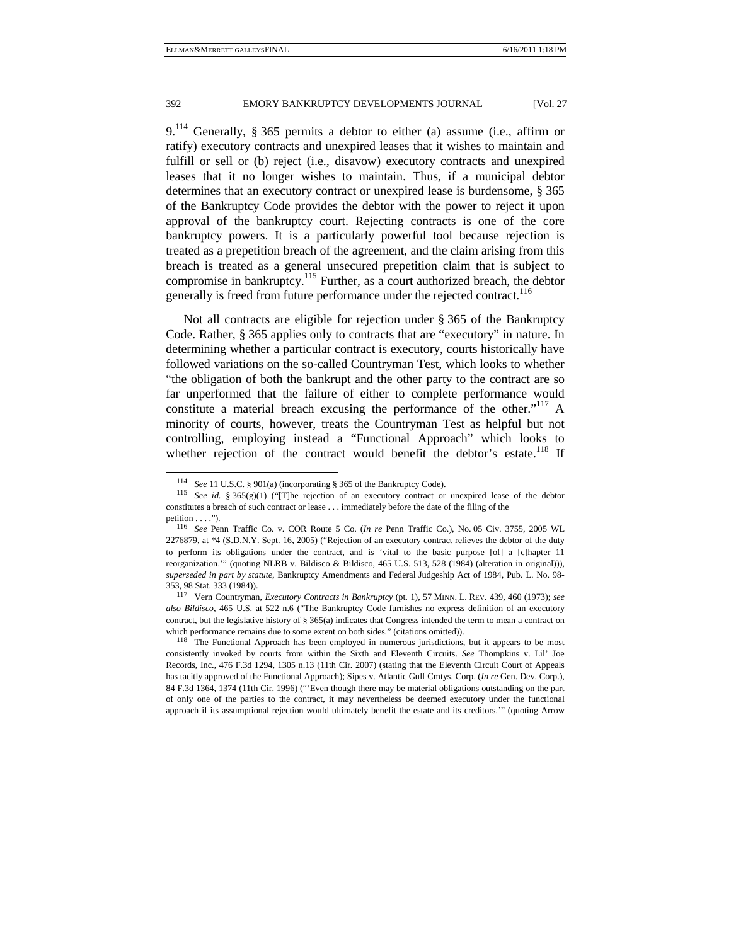9.114 Generally, § 365 permits a debtor to either (a) assume (i.e., affirm or ratify) executory contracts and unexpired leases that it wishes to maintain and fulfill or sell or (b) reject (i.e., disavow) executory contracts and unexpired leases that it no longer wishes to maintain. Thus, if a municipal debtor determines that an executory contract or unexpired lease is burdensome, § 365 of the Bankruptcy Code provides the debtor with the power to reject it upon approval of the bankruptcy court. Rejecting contracts is one of the core bankruptcy powers. It is a particularly powerful tool because rejection is treated as a prepetition breach of the agreement, and the claim arising from this breach is treated as a general unsecured prepetition claim that is subject to compromise in bankruptcy.115 Further, as a court authorized breach, the debtor generally is freed from future performance under the rejected contract.<sup>116</sup>

Not all contracts are eligible for rejection under § 365 of the Bankruptcy Code. Rather, § 365 applies only to contracts that are "executory" in nature. In determining whether a particular contract is executory, courts historically have followed variations on the so-called Countryman Test, which looks to whether "the obligation of both the bankrupt and the other party to the contract are so far unperformed that the failure of either to complete performance would constitute a material breach excusing the performance of the other."<sup>117</sup> A minority of courts, however, treats the Countryman Test as helpful but not controlling, employing instead a "Functional Approach" which looks to whether rejection of the contract would benefit the debtor's estate.<sup>118</sup> If

<sup>114</sup> *See* 11 U.S.C. § 901(a) (incorporating § 365 of the Bankruptcy Code). 115 *See id.* § 365(g)(1) ("[T]he rejection of an executory contract or unexpired lease of the debtor constitutes a breach of such contract or lease . . . immediately before the date of the filing of the

petition . . . ."). 116 *See* Penn Traffic Co. v. COR Route 5 Co. (*In re* Penn Traffic Co.), No. 05 Civ. 3755, 2005 WL 2276879, at \*4 (S.D.N.Y. Sept. 16, 2005) ("Rejection of an executory contract relieves the debtor of the duty to perform its obligations under the contract, and is 'vital to the basic purpose [of] a [c]hapter 11 reorganization.'" (quoting NLRB v. Bildisco & Bildisco, 465 U.S. 513, 528 (1984) (alteration in original))), *superseded in part by statute*, Bankruptcy Amendments and Federal Judgeship Act of 1984, Pub. L. No. 98- 353, 98 Stat. 333 (1984)). 117 Vern Countryman, *Executory Contracts in Bankruptcy* (pt. 1), 57 MINN. L. REV. 439, 460 (1973); *see*

*also Bildisco*, 465 U.S. at 522 n.6 ("The Bankruptcy Code furnishes no express definition of an executory contract, but the legislative history of  $\S 365(a)$  indicates that Congress intended the term to mean a contract on which performance remains due to some extent on both sides." (citations omitted)).<br><sup>118</sup> The Functional Approach has been employed in numerous jurisdictions, but it appears to be most

consistently invoked by courts from within the Sixth and Eleventh Circuits. *See* Thompkins v. Lil' Joe Records, Inc., 476 F.3d 1294, 1305 n.13 (11th Cir. 2007) (stating that the Eleventh Circuit Court of Appeals has tacitly approved of the Functional Approach); Sipes v. Atlantic Gulf Cmtys. Corp. (*In re* Gen. Dev. Corp.), 84 F.3d 1364, 1374 (11th Cir. 1996) ("'Even though there may be material obligations outstanding on the part of only one of the parties to the contract, it may nevertheless be deemed executory under the functional approach if its assumptional rejection would ultimately benefit the estate and its creditors.'" (quoting Arrow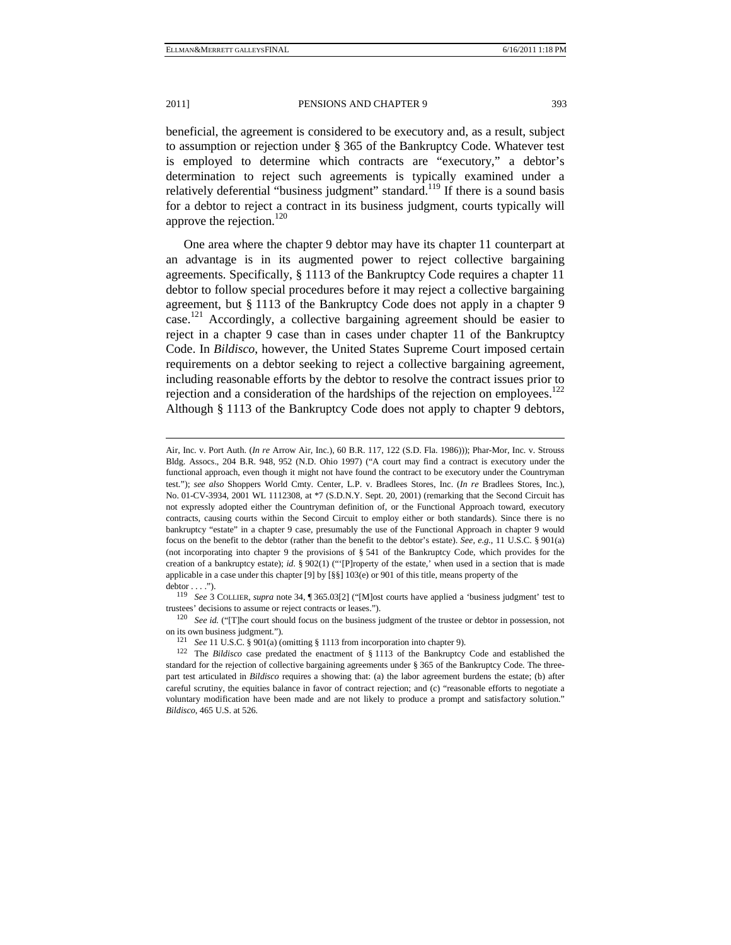beneficial, the agreement is considered to be executory and, as a result, subject to assumption or rejection under § 365 of the Bankruptcy Code. Whatever test is employed to determine which contracts are "executory," a debtor's determination to reject such agreements is typically examined under a relatively deferential "business judgment" standard.<sup>119</sup> If there is a sound basis for a debtor to reject a contract in its business judgment, courts typically will approve the rejection.<sup>120</sup>

One area where the chapter 9 debtor may have its chapter 11 counterpart at an advantage is in its augmented power to reject collective bargaining agreements. Specifically, § 1113 of the Bankruptcy Code requires a chapter 11 debtor to follow special procedures before it may reject a collective bargaining agreement, but § 1113 of the Bankruptcy Code does not apply in a chapter 9 case.<sup>121</sup> Accordingly, a collective bargaining agreement should be easier to reject in a chapter 9 case than in cases under chapter 11 of the Bankruptcy Code. In *Bildisco*, however, the United States Supreme Court imposed certain requirements on a debtor seeking to reject a collective bargaining agreement, including reasonable efforts by the debtor to resolve the contract issues prior to rejection and a consideration of the hardships of the rejection on employees.<sup>122</sup> Although § 1113 of the Bankruptcy Code does not apply to chapter 9 debtors,

j

Air, Inc. v. Port Auth. (*In re* Arrow Air, Inc.), 60 B.R. 117, 122 (S.D. Fla. 1986))); Phar-Mor, Inc. v. Strouss Bldg. Assocs., 204 B.R. 948, 952 (N.D. Ohio 1997) ("A court may find a contract is executory under the functional approach, even though it might not have found the contract to be executory under the Countryman test."); *see also* Shoppers World Cmty. Center, L.P. v. Bradlees Stores, Inc. (*In re* Bradlees Stores, Inc.), No. 01-CV-3934, 2001 WL 1112308, at \*7 (S.D.N.Y. Sept. 20, 2001) (remarking that the Second Circuit has not expressly adopted either the Countryman definition of, or the Functional Approach toward, executory contracts, causing courts within the Second Circuit to employ either or both standards). Since there is no bankruptcy "estate" in a chapter 9 case, presumably the use of the Functional Approach in chapter 9 would focus on the benefit to the debtor (rather than the benefit to the debtor's estate). *See, e.g.*, 11 U.S.C. § 901(a) (not incorporating into chapter 9 the provisions of § 541 of the Bankruptcy Code, which provides for the creation of a bankruptcy estate); *id.* § 902(1) ("'[P]roperty of the estate,' when used in a section that is made applicable in a case under this chapter [9] by [§§] 103(e) or 901 of this title, means property of the

debtor . . . ."). 119 *See* 3 COLLIER, *supra* note 34, ¶ 365.03[2] ("[M]ost courts have applied a 'business judgment' test to trustees' decisions to assume or reject contracts or leases."). 120 *See id.* ("[T]he court should focus on the business judgment of the trustee or debtor in possession, not

on its own business judgment.").<br>
<sup>121</sup> *See* 11 U.S.C. § 901(a) (omitting § 1113 from incorporation into chapter 9).<br>
<sup>122</sup> The *Bildisco* case predated the enactment of § 1113 of the Bankruptcy Code and established the

standard for the rejection of collective bargaining agreements under § 365 of the Bankruptcy Code. The threepart test articulated in *Bildisco* requires a showing that: (a) the labor agreement burdens the estate; (b) after careful scrutiny, the equities balance in favor of contract rejection; and (c) "reasonable efforts to negotiate a voluntary modification have been made and are not likely to produce a prompt and satisfactory solution." *Bildisco*, 465 U.S. at 526.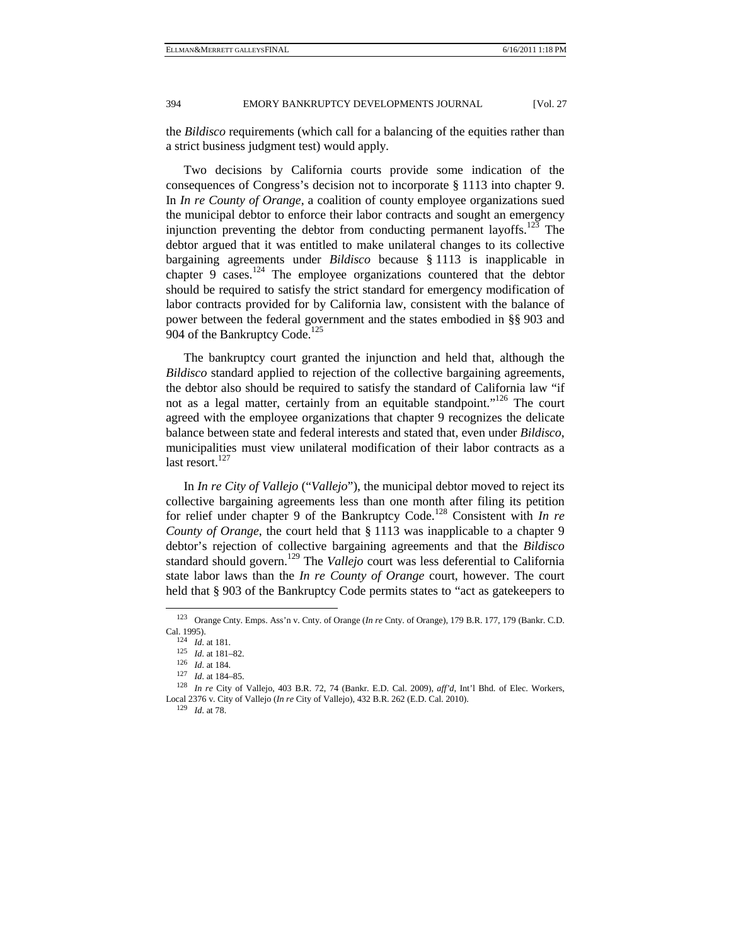the *Bildisco* requirements (which call for a balancing of the equities rather than a strict business judgment test) would apply.

Two decisions by California courts provide some indication of the consequences of Congress's decision not to incorporate § 1113 into chapter 9. In *In re County of Orange*, a coalition of county employee organizations sued the municipal debtor to enforce their labor contracts and sought an emergency injunction preventing the debtor from conducting permanent layoffs.<sup>123</sup> The debtor argued that it was entitled to make unilateral changes to its collective bargaining agreements under *Bildisco* because § 1113 is inapplicable in chapter  $9$  cases.<sup>124</sup> The employee organizations countered that the debtor should be required to satisfy the strict standard for emergency modification of labor contracts provided for by California law, consistent with the balance of power between the federal government and the states embodied in §§ 903 and 904 of the Bankruptcy Code.<sup>125</sup>

The bankruptcy court granted the injunction and held that, although the *Bildisco* standard applied to rejection of the collective bargaining agreements, the debtor also should be required to satisfy the standard of California law "if not as a legal matter, certainly from an equitable standpoint."<sup>126</sup> The court agreed with the employee organizations that chapter 9 recognizes the delicate balance between state and federal interests and stated that, even under *Bildisco*, municipalities must view unilateral modification of their labor contracts as a last resort. $127$ 

In *In re City of Vallejo* ("*Vallejo*"), the municipal debtor moved to reject its collective bargaining agreements less than one month after filing its petition for relief under chapter 9 of the Bankruptcy Code.<sup>128</sup> Consistent with *In re County of Orange*, the court held that § 1113 was inapplicable to a chapter 9 debtor's rejection of collective bargaining agreements and that the *Bildisco* standard should govern.<sup>129</sup> The *Vallejo* court was less deferential to California state labor laws than the *In re County of Orange* court, however. The court held that § 903 of the Bankruptcy Code permits states to "act as gatekeepers to

 <sup>123</sup> Orange Cnty. Emps. Ass'n v. Cnty. of Orange (*In re* Cnty. of Orange), 179 B.R. 177, 179 (Bankr. C.D. Cal. 1995).<br>
<sup>124</sup> *Id.* at 181.<br>
<sup>125</sup> *Id.* at 181–82.<br>
<sup>126</sup> *Id.* at 184–85.<br>
<sup>126</sup> *Id.* at 184–85.<br>
<sup>127</sup> *Id.* at 184–85.<br>
<sup>128</sup> *In re* City of Vallejo, 403 B.R. 72, 74 (Bankr. E.D. Cal. 2009), *aff'd*, Int'l Bhd.

Local 2376 v. City of Vallejo (*In re* City of Vallejo), 432 B.R. 262 (E.D. Cal. 2010). 129 *Id.* at 78.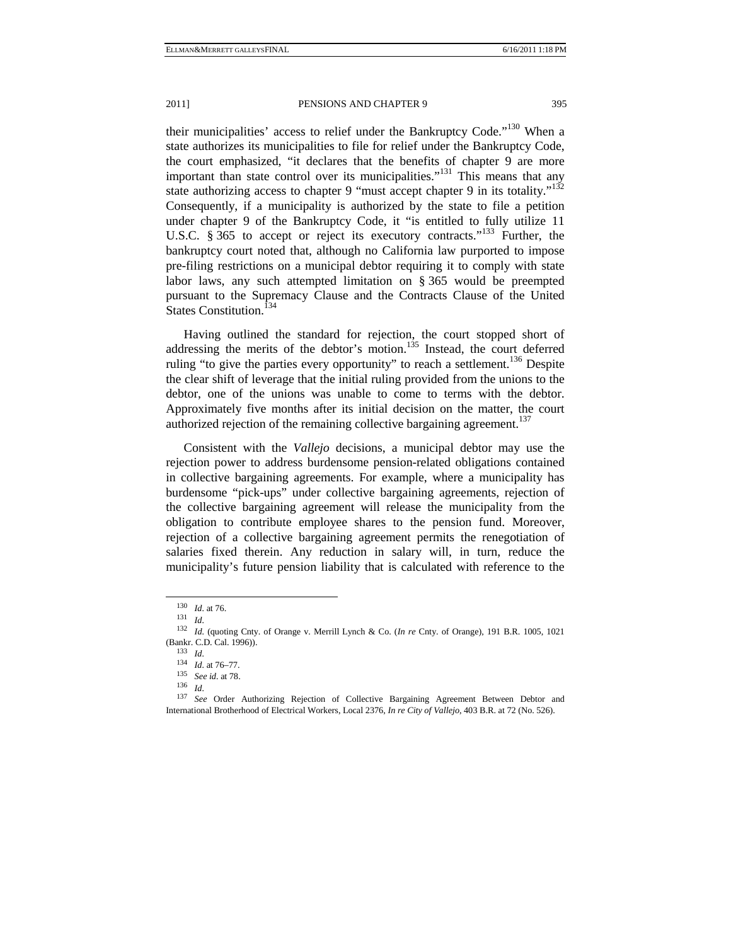their municipalities' access to relief under the Bankruptcy Code."<sup>130</sup> When a state authorizes its municipalities to file for relief under the Bankruptcy Code, the court emphasized, "it declares that the benefits of chapter 9 are more important than state control over its municipalities."<sup>131</sup> This means that any state authorizing access to chapter 9 "must accept chapter 9 in its totality."<sup>132</sup> Consequently, if a municipality is authorized by the state to file a petition under chapter 9 of the Bankruptcy Code, it "is entitled to fully utilize 11 U.S.C. § 365 to accept or reject its executory contracts."<sup>133</sup> Further, the bankruptcy court noted that, although no California law purported to impose pre-filing restrictions on a municipal debtor requiring it to comply with state labor laws, any such attempted limitation on § 365 would be preempted pursuant to the Supremacy Clause and the Contracts Clause of the United States Constitution.<sup>134</sup>

Having outlined the standard for rejection, the court stopped short of addressing the merits of the debtor's motion.<sup>135</sup> Instead, the court deferred ruling "to give the parties every opportunity" to reach a settlement.<sup>136</sup> Despite the clear shift of leverage that the initial ruling provided from the unions to the debtor, one of the unions was unable to come to terms with the debtor. Approximately five months after its initial decision on the matter, the court authorized rejection of the remaining collective bargaining agreement.<sup>137</sup>

Consistent with the *Vallejo* decisions, a municipal debtor may use the rejection power to address burdensome pension-related obligations contained in collective bargaining agreements. For example, where a municipality has burdensome "pick-ups" under collective bargaining agreements, rejection of the collective bargaining agreement will release the municipality from the obligation to contribute employee shares to the pension fund. Moreover, rejection of a collective bargaining agreement permits the renegotiation of salaries fixed therein. Any reduction in salary will, in turn, reduce the municipality's future pension liability that is calculated with reference to the

<sup>130</sup> *Id.* at 76. 131 *Id.* 

<sup>132</sup> *Id.* (quoting Cnty. of Orange v. Merrill Lynch & Co. (*In re* Cnty. of Orange), 191 B.R. 1005, 1021 (Bankr. C.D. Cal. 1996)). 133 *Id.* 

<sup>134</sup> *Id.* at 76–77. 135 *See id.* at 78. 136 *Id.* 

<sup>137</sup> *See* Order Authorizing Rejection of Collective Bargaining Agreement Between Debtor and International Brotherhood of Electrical Workers, Local 2376, *In re City of Vallejo*, 403 B.R. at 72 (No. 526).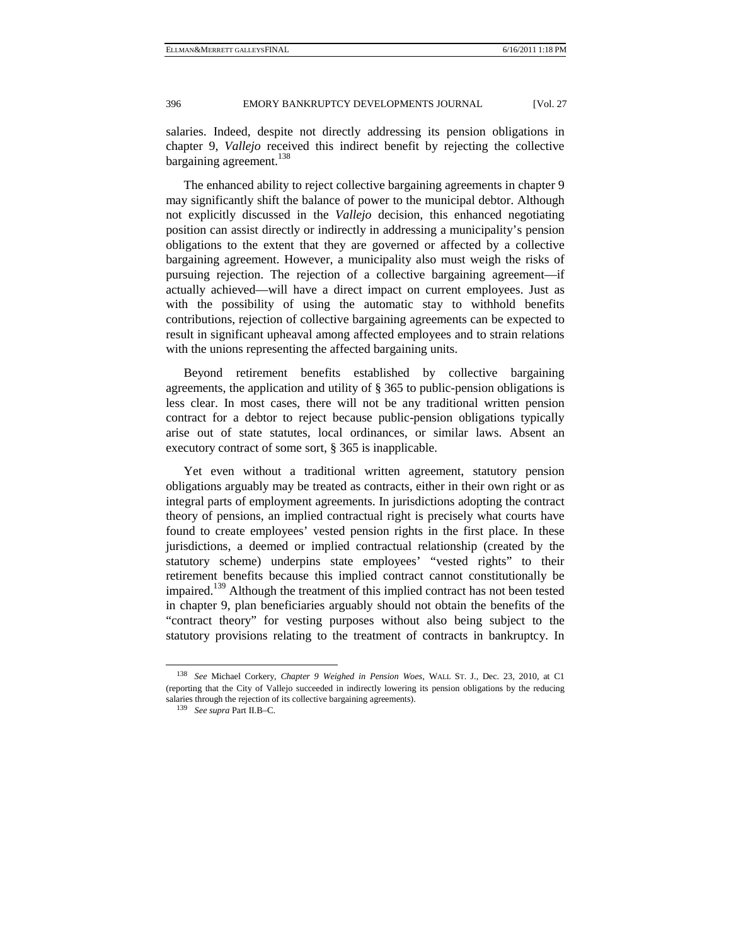salaries. Indeed, despite not directly addressing its pension obligations in chapter 9, *Vallejo* received this indirect benefit by rejecting the collective bargaining agreement.<sup>138</sup>

The enhanced ability to reject collective bargaining agreements in chapter 9 may significantly shift the balance of power to the municipal debtor. Although not explicitly discussed in the *Vallejo* decision, this enhanced negotiating position can assist directly or indirectly in addressing a municipality's pension obligations to the extent that they are governed or affected by a collective bargaining agreement. However, a municipality also must weigh the risks of pursuing rejection. The rejection of a collective bargaining agreement—if actually achieved—will have a direct impact on current employees. Just as with the possibility of using the automatic stay to withhold benefits contributions, rejection of collective bargaining agreements can be expected to result in significant upheaval among affected employees and to strain relations with the unions representing the affected bargaining units.

Beyond retirement benefits established by collective bargaining agreements, the application and utility of § 365 to public-pension obligations is less clear. In most cases, there will not be any traditional written pension contract for a debtor to reject because public-pension obligations typically arise out of state statutes, local ordinances, or similar laws. Absent an executory contract of some sort, § 365 is inapplicable.

Yet even without a traditional written agreement, statutory pension obligations arguably may be treated as contracts, either in their own right or as integral parts of employment agreements. In jurisdictions adopting the contract theory of pensions, an implied contractual right is precisely what courts have found to create employees' vested pension rights in the first place. In these jurisdictions, a deemed or implied contractual relationship (created by the statutory scheme) underpins state employees' "vested rights" to their retirement benefits because this implied contract cannot constitutionally be impaired.<sup>139</sup> Although the treatment of this implied contract has not been tested in chapter 9, plan beneficiaries arguably should not obtain the benefits of the "contract theory" for vesting purposes without also being subject to the statutory provisions relating to the treatment of contracts in bankruptcy. In

 <sup>138</sup> *See* Michael Corkery, *Chapter 9 Weighed in Pension Woes*, WALL ST. J., Dec. 23, 2010, at C1 (reporting that the City of Vallejo succeeded in indirectly lowering its pension obligations by the reducing salaries through the rejection of its collective bargaining agreements). 139 *See supra* Part II.B–C.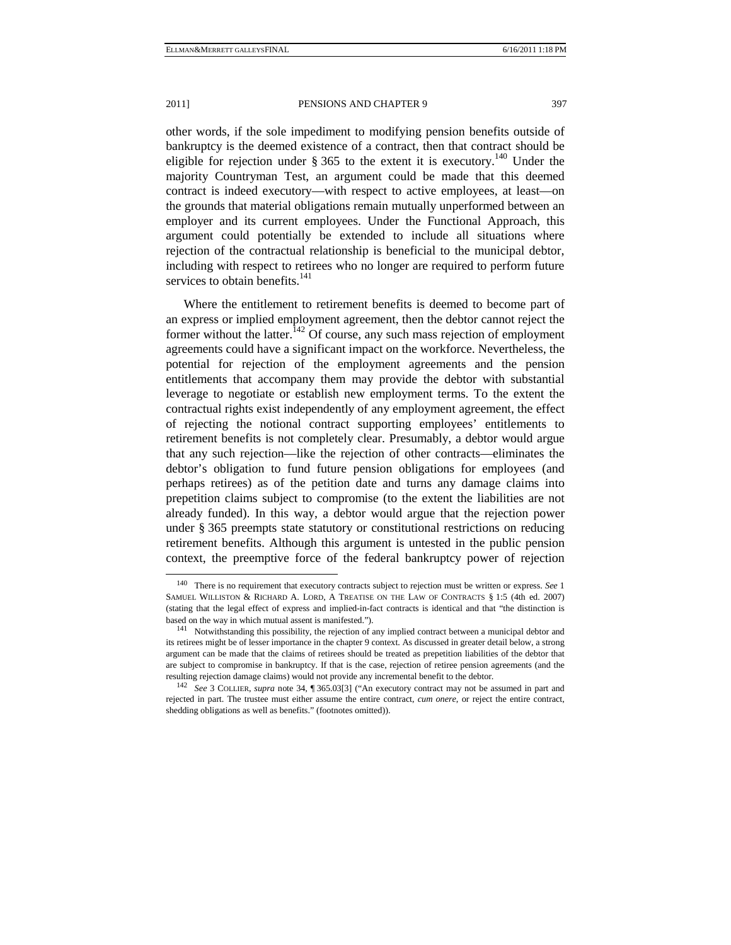other words, if the sole impediment to modifying pension benefits outside of bankruptcy is the deemed existence of a contract, then that contract should be eligible for rejection under  $\frac{140}{100}$  s 365 to the extent it is executory.<sup>140</sup> Under the majority Countryman Test, an argument could be made that this deemed contract is indeed executory—with respect to active employees, at least—on the grounds that material obligations remain mutually unperformed between an employer and its current employees. Under the Functional Approach, this argument could potentially be extended to include all situations where rejection of the contractual relationship is beneficial to the municipal debtor, including with respect to retirees who no longer are required to perform future services to obtain benefits.<sup>141</sup>

Where the entitlement to retirement benefits is deemed to become part of an express or implied employment agreement, then the debtor cannot reject the former without the latter.<sup> $142$ </sup> Of course, any such mass rejection of employment agreements could have a significant impact on the workforce. Nevertheless, the potential for rejection of the employment agreements and the pension entitlements that accompany them may provide the debtor with substantial leverage to negotiate or establish new employment terms. To the extent the contractual rights exist independently of any employment agreement, the effect of rejecting the notional contract supporting employees' entitlements to retirement benefits is not completely clear. Presumably, a debtor would argue that any such rejection—like the rejection of other contracts—eliminates the debtor's obligation to fund future pension obligations for employees (and perhaps retirees) as of the petition date and turns any damage claims into prepetition claims subject to compromise (to the extent the liabilities are not already funded). In this way, a debtor would argue that the rejection power under § 365 preempts state statutory or constitutional restrictions on reducing retirement benefits. Although this argument is untested in the public pension context, the preemptive force of the federal bankruptcy power of rejection

 <sup>140</sup> There is no requirement that executory contracts subject to rejection must be written or express. *See*<sup>1</sup> SAMUEL WILLISTON & RICHARD A. LORD, A TREATISE ON THE LAW OF CONTRACTS § 1:5 (4th ed. 2007) (stating that the legal effect of express and implied-in-fact contracts is identical and that "the distinction is based on the way in which mutual assent is manifested.").<br><sup>141</sup> Notwithstanding this possibility, the rejection of any implied contract between a municipal debtor and

its retirees might be of lesser importance in the chapter 9 context. As discussed in greater detail below, a strong argument can be made that the claims of retirees should be treated as prepetition liabilities of the debtor that are subject to compromise in bankruptcy. If that is the case, rejection of retiree pension agreements (and the resulting rejection damage claims) would not provide any incremental benefit to the debtor. 142 *See* 3 COLLIER, *supra* note 34, ¶ 365.03[3] ("An executory contract may not be assumed in part and

rejected in part. The trustee must either assume the entire contract, *cum onere*, or reject the entire contract, shedding obligations as well as benefits." (footnotes omitted)).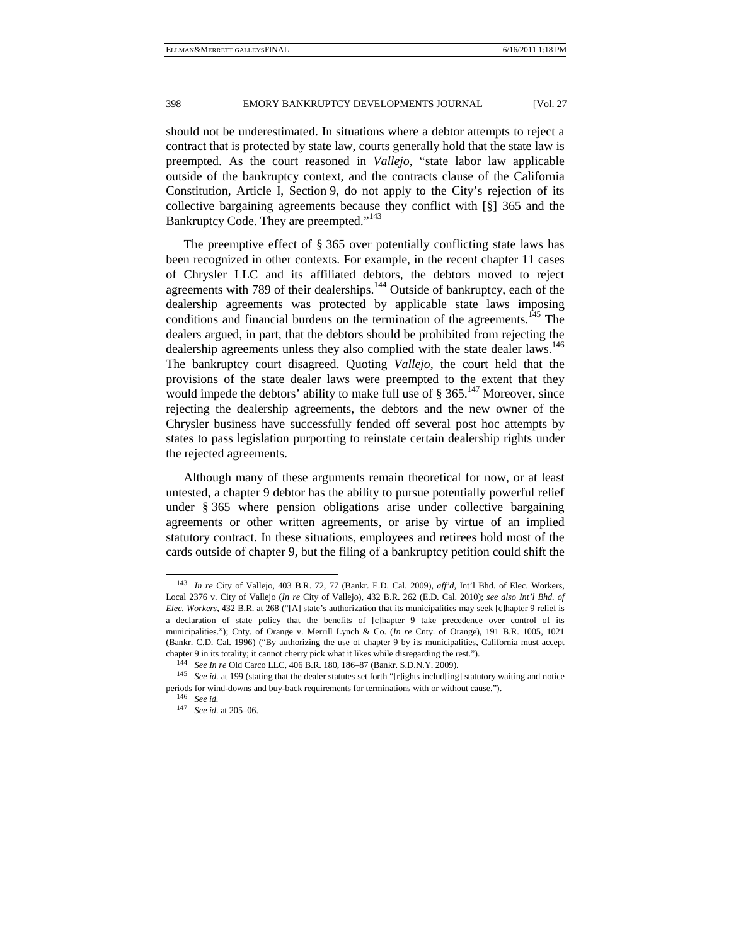should not be underestimated. In situations where a debtor attempts to reject a contract that is protected by state law, courts generally hold that the state law is preempted. As the court reasoned in *Vallejo*, "state labor law applicable outside of the bankruptcy context, and the contracts clause of the California Constitution, Article I, Section 9, do not apply to the City's rejection of its collective bargaining agreements because they conflict with [§] 365 and the Bankruptcy Code. They are preempted."<sup>143</sup>

The preemptive effect of § 365 over potentially conflicting state laws has been recognized in other contexts. For example, in the recent chapter 11 cases of Chrysler LLC and its affiliated debtors, the debtors moved to reject agreements with 789 of their dealerships.<sup>144</sup> Outside of bankruptcy, each of the dealership agreements was protected by applicable state laws imposing conditions and financial burdens on the termination of the agreements.<sup>145</sup> The dealers argued, in part, that the debtors should be prohibited from rejecting the dealership agreements unless they also complied with the state dealer laws.<sup>146</sup> The bankruptcy court disagreed. Quoting *Vallejo*, the court held that the provisions of the state dealer laws were preempted to the extent that they would impede the debtors' ability to make full use of  $\S 365$ .<sup>147</sup> Moreover, since rejecting the dealership agreements, the debtors and the new owner of the Chrysler business have successfully fended off several post hoc attempts by states to pass legislation purporting to reinstate certain dealership rights under the rejected agreements.

Although many of these arguments remain theoretical for now, or at least untested, a chapter 9 debtor has the ability to pursue potentially powerful relief under § 365 where pension obligations arise under collective bargaining agreements or other written agreements, or arise by virtue of an implied statutory contract. In these situations, employees and retirees hold most of the cards outside of chapter 9, but the filing of a bankruptcy petition could shift the

 <sup>143</sup> *In re* City of Vallejo, 403 B.R. 72, 77 (Bankr. E.D. Cal. 2009), *aff'd*, Int'l Bhd. of Elec. Workers, Local 2376 v. City of Vallejo (*In re* City of Vallejo), 432 B.R. 262 (E.D. Cal. 2010); *see also Int'l Bhd. of Elec. Workers*, 432 B.R. at 268 ("[A] state's authorization that its municipalities may seek [c]hapter 9 relief is a declaration of state policy that the benefits of [c]hapter 9 take precedence over control of its municipalities."); Cnty. of Orange v. Merrill Lynch & Co. (*In re* Cnty. of Orange), 191 B.R. 1005, 1021 (Bankr. C.D. Cal. 1996) ("By authorizing the use of chapter 9 by its municipalities, California must accept chapter 9 in its totality; it cannot cherry pick what it likes while disregarding the rest.").<br><sup>144</sup> See In re Old Carco LLC, 406 B.R. 180, 186–87 (Bankr. S.D.N.Y. 2009).<br><sup>145</sup> See id. at 199 (stating that the dealer stat

periods for wind-downs and buy-back requirements for terminations with or without cause."). 146 *See id.* 

<sup>147</sup> *See id.* at 205–06.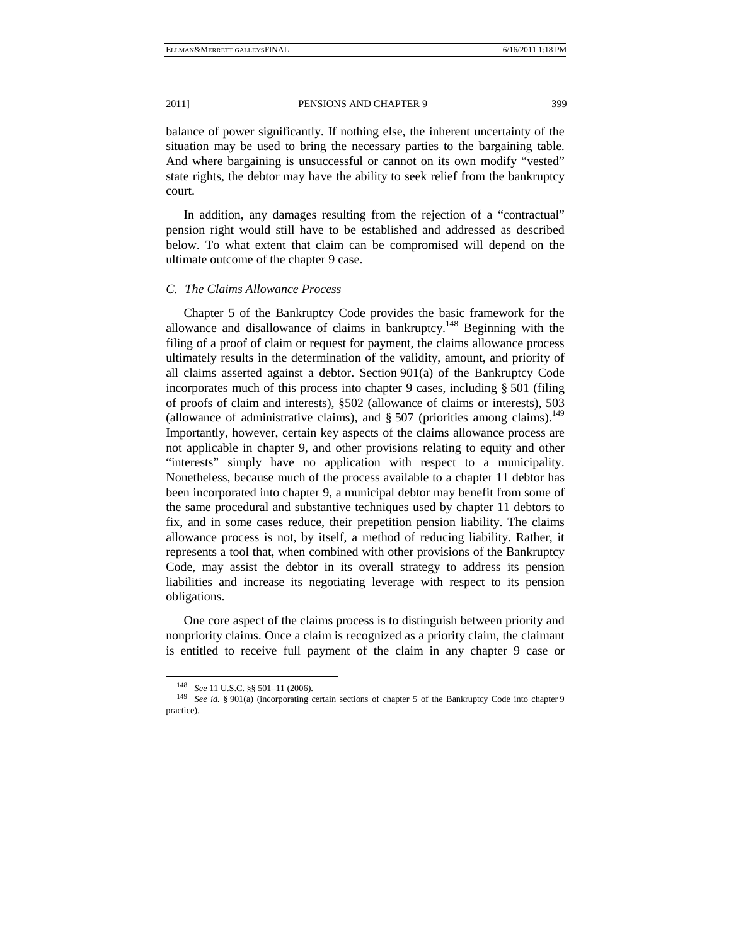balance of power significantly. If nothing else, the inherent uncertainty of the situation may be used to bring the necessary parties to the bargaining table. And where bargaining is unsuccessful or cannot on its own modify "vested" state rights, the debtor may have the ability to seek relief from the bankruptcy court.

In addition, any damages resulting from the rejection of a "contractual" pension right would still have to be established and addressed as described below. To what extent that claim can be compromised will depend on the ultimate outcome of the chapter 9 case.

#### *C. The Claims Allowance Process*

Chapter 5 of the Bankruptcy Code provides the basic framework for the allowance and disallowance of claims in bankruptcy.<sup>148</sup> Beginning with the filing of a proof of claim or request for payment, the claims allowance process ultimately results in the determination of the validity, amount, and priority of all claims asserted against a debtor. Section 901(a) of the Bankruptcy Code incorporates much of this process into chapter 9 cases, including § 501 (filing of proofs of claim and interests), §502 (allowance of claims or interests), 503 (allowance of administrative claims), and  $\S 507$  (priorities among claims).<sup>149</sup> Importantly, however, certain key aspects of the claims allowance process are not applicable in chapter 9, and other provisions relating to equity and other "interests" simply have no application with respect to a municipality. Nonetheless, because much of the process available to a chapter 11 debtor has been incorporated into chapter 9, a municipal debtor may benefit from some of the same procedural and substantive techniques used by chapter 11 debtors to fix, and in some cases reduce, their prepetition pension liability. The claims allowance process is not, by itself, a method of reducing liability. Rather, it represents a tool that, when combined with other provisions of the Bankruptcy Code, may assist the debtor in its overall strategy to address its pension liabilities and increase its negotiating leverage with respect to its pension obligations.

One core aspect of the claims process is to distinguish between priority and nonpriority claims. Once a claim is recognized as a priority claim, the claimant is entitled to receive full payment of the claim in any chapter 9 case or

<sup>148</sup> *See* 11 U.S.C. §§ 501–11 (2006). 149 *See id.* § 901(a) (incorporating certain sections of chapter 5 of the Bankruptcy Code into chapter 9 practice).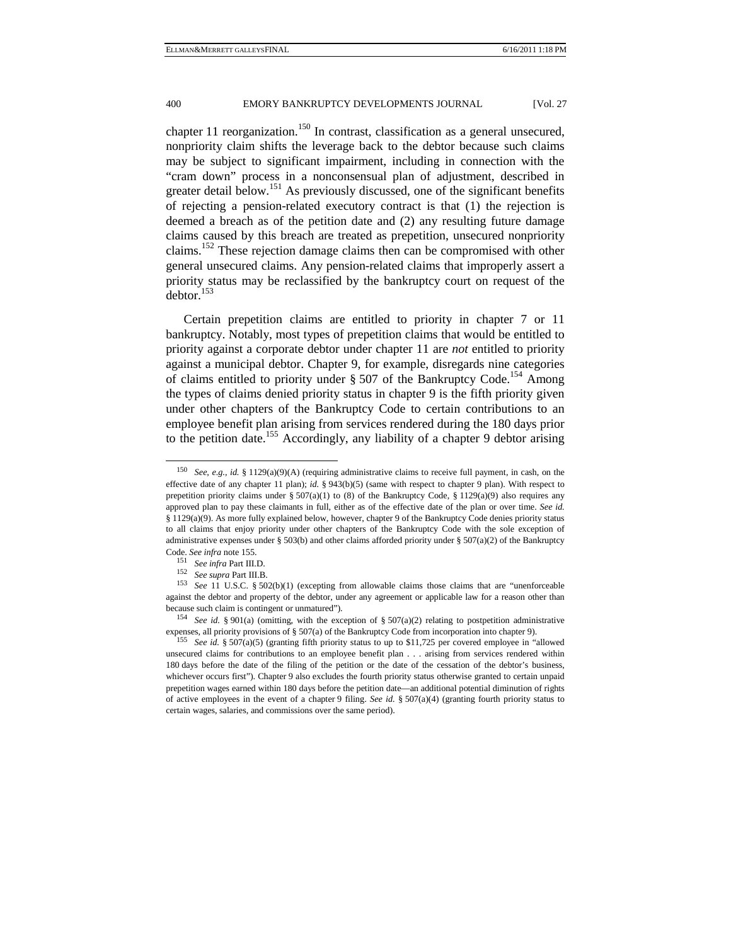chapter 11 reorganization.<sup>150</sup> In contrast, classification as a general unsecured, nonpriority claim shifts the leverage back to the debtor because such claims may be subject to significant impairment, including in connection with the "cram down" process in a nonconsensual plan of adjustment, described in greater detail below.<sup>151</sup> As previously discussed, one of the significant benefits of rejecting a pension-related executory contract is that (1) the rejection is deemed a breach as of the petition date and (2) any resulting future damage claims caused by this breach are treated as prepetition, unsecured nonpriority claims.<sup>152</sup> These rejection damage claims then can be compromised with other general unsecured claims. Any pension-related claims that improperly assert a priority status may be reclassified by the bankruptcy court on request of the  $dektor.<sup>153</sup>$ 

Certain prepetition claims are entitled to priority in chapter 7 or 11 bankruptcy. Notably, most types of prepetition claims that would be entitled to priority against a corporate debtor under chapter 11 are *not* entitled to priority against a municipal debtor. Chapter 9, for example, disregards nine categories of claims entitled to priority under  $\S 507$  of the Bankruptcy Code.<sup>154</sup> Among the types of claims denied priority status in chapter 9 is the fifth priority given under other chapters of the Bankruptcy Code to certain contributions to an employee benefit plan arising from services rendered during the 180 days prior to the petition date.<sup>155</sup> Accordingly, any liability of a chapter 9 debtor arising

 <sup>150</sup> *See, e.g.*, *id.* § 1129(a)(9)(A) (requiring administrative claims to receive full payment, in cash, on the effective date of any chapter 11 plan); *id.* § 943(b)(5) (same with respect to chapter 9 plan). With respect to prepetition priority claims under §  $507(a)(1)$  to (8) of the Bankruptcy Code, § 1129(a)(9) also requires any approved plan to pay these claimants in full, either as of the effective date of the plan or over time. *See id.* § 1129(a)(9). As more fully explained below, however, chapter 9 of the Bankruptcy Code denies priority status to all claims that enjoy priority under other chapters of the Bankruptcy Code with the sole exception of administrative expenses under § 503(b) and other claims afforded priority under § 507(a)(2) of the Bankruptcy Code. See infra note 155.<br>
<sup>151</sup> See infra Part III.D.<br>
<sup>152</sup> See supra Part III.B.<br>
<sup>152</sup> See supra Part III.B.<br>
<sup>153</sup> See 11 U.S.C. § 502(b)(1) (excepting from allowable claims those claims that are "unenforceable

against the debtor and property of the debtor, under any agreement or applicable law for a reason other than because such claim is contingent or unmatured"). 154 *See id.* § 901(a) (omitting, with the exception of § 507(a)(2) relating to postpetition administrative

expenses, all priority provisions of § 507(a) of the Bankruptcy Code from incorporation into chapter 9). 155 *See id.* § 507(a)(5) (granting fifth priority status to up to \$11,725 per covered employee in "allowed

unsecured claims for contributions to an employee benefit plan . . . arising from services rendered within 180 days before the date of the filing of the petition or the date of the cessation of the debtor's business, whichever occurs first"). Chapter 9 also excludes the fourth priority status otherwise granted to certain unpaid prepetition wages earned within 180 days before the petition date—an additional potential diminution of rights of active employees in the event of a chapter 9 filing. *See id.* § 507(a)(4) (granting fourth priority status to certain wages, salaries, and commissions over the same period).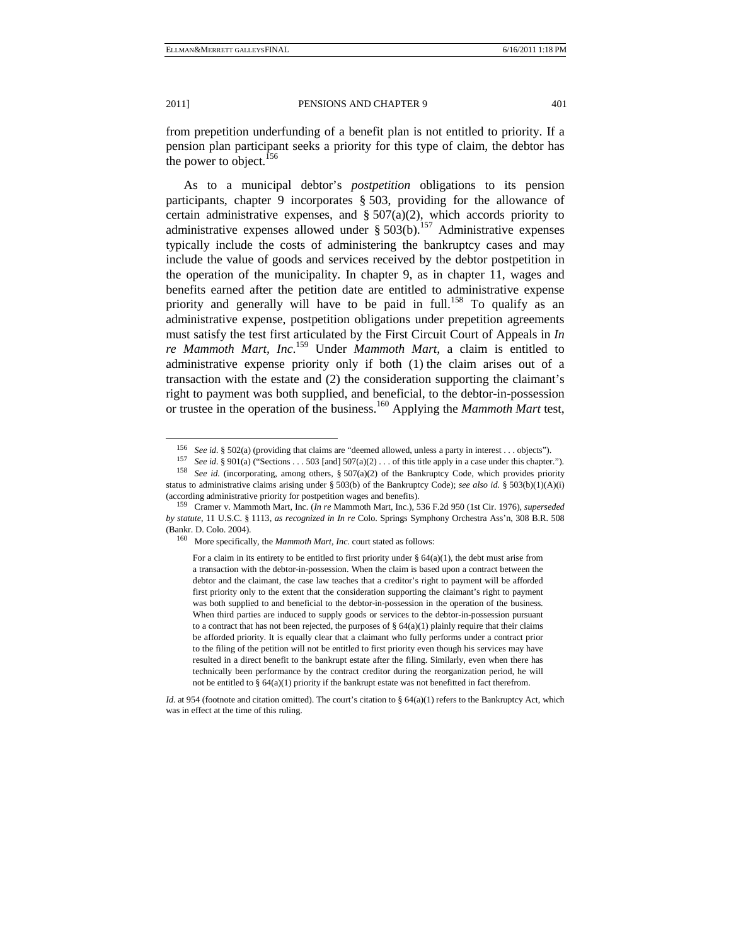from prepetition underfunding of a benefit plan is not entitled to priority. If a pension plan participant seeks a priority for this type of claim, the debtor has the power to object.<sup>156</sup>

As to a municipal debtor's *postpetition* obligations to its pension participants, chapter 9 incorporates § 503, providing for the allowance of certain administrative expenses, and  $\S 507(a)(2)$ , which accords priority to administrative expenses allowed under  $\S 503(b)$ .<sup>157</sup> Administrative expenses typically include the costs of administering the bankruptcy cases and may include the value of goods and services received by the debtor postpetition in the operation of the municipality. In chapter 9, as in chapter 11, wages and benefits earned after the petition date are entitled to administrative expense priority and generally will have to be paid in full.<sup>158</sup> To qualify as an administrative expense, postpetition obligations under prepetition agreements must satisfy the test first articulated by the First Circuit Court of Appeals in *In re Mammoth Mart, Inc*. 159 Under *Mammoth Mart*, a claim is entitled to administrative expense priority only if both (1) the claim arises out of a transaction with the estate and (2) the consideration supporting the claimant's right to payment was both supplied, and beneficial, to the debtor-in-possession or trustee in the operation of the business.160 Applying the *Mammoth Mart* test,

*Id.* at 954 (footnote and citation omitted). The court's citation to § 64(a)(1) refers to the Bankruptcy Act, which was in effect at the time of this ruling.

<sup>&</sup>lt;sup>156</sup> *See id.* § 502(a) (providing that claims are "deemed allowed, unless a party in interest . . . objects").<br><sup>157</sup> *See id.* § 901(a) ("Sections . . . 503 [and] 507(a)(2) . . . of this title apply in a case under this status to administrative claims arising under § 503(b) of the Bankruptcy Code); *see also id.* § 503(b)(1)(A)(i)

<sup>(</sup>according administrative priority for postpetition wages and benefits). 159 Cramer v. Mammoth Mart, Inc. (*In re* Mammoth Mart, Inc.), 536 F.2d 950 (1st Cir. 1976), *superseded by statute*, 11 U.S.C. § 1113, *as recognized in In re* Colo. Springs Symphony Orchestra Ass'n, 308 B.R. 508 (Bankr. D. Colo. 2004). 160 More specifically, the *Mammoth Mart, Inc.* court stated as follows:

For a claim in its entirety to be entitled to first priority under  $\S$  64(a)(1), the debt must arise from a transaction with the debtor-in-possession. When the claim is based upon a contract between the debtor and the claimant, the case law teaches that a creditor's right to payment will be afforded first priority only to the extent that the consideration supporting the claimant's right to payment was both supplied to and beneficial to the debtor-in-possession in the operation of the business. When third parties are induced to supply goods or services to the debtor-in-possession pursuant to a contract that has not been rejected, the purposes of  $\S$  64(a)(1) plainly require that their claims be afforded priority. It is equally clear that a claimant who fully performs under a contract prior to the filing of the petition will not be entitled to first priority even though his services may have resulted in a direct benefit to the bankrupt estate after the filing. Similarly, even when there has technically been performance by the contract creditor during the reorganization period, he will not be entitled to  $\S$  64(a)(1) priority if the bankrupt estate was not benefitted in fact therefrom.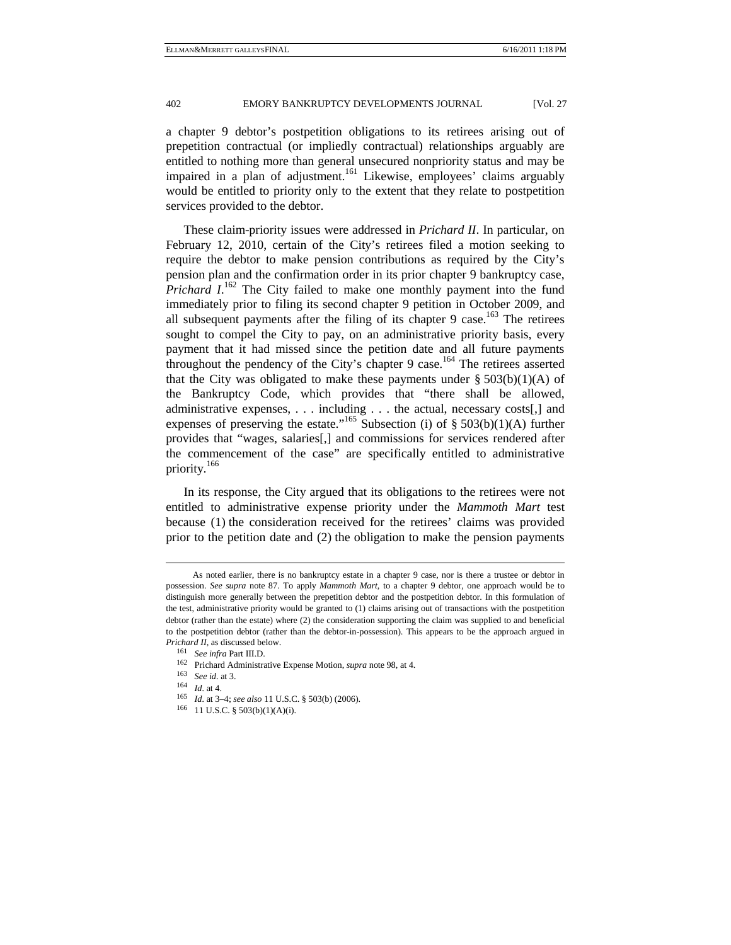a chapter 9 debtor's postpetition obligations to its retirees arising out of prepetition contractual (or impliedly contractual) relationships arguably are entitled to nothing more than general unsecured nonpriority status and may be impaired in a plan of adjustment.<sup>161</sup> Likewise, employees' claims arguably would be entitled to priority only to the extent that they relate to postpetition services provided to the debtor.

These claim-priority issues were addressed in *Prichard II*. In particular, on February 12, 2010, certain of the City's retirees filed a motion seeking to require the debtor to make pension contributions as required by the City's pension plan and the confirmation order in its prior chapter 9 bankruptcy case, *Prichard I*.<sup>162</sup> The City failed to make one monthly payment into the fund immediately prior to filing its second chapter 9 petition in October 2009, and all subsequent payments after the filing of its chapter 9 case.<sup>163</sup> The retirees sought to compel the City to pay, on an administrative priority basis, every payment that it had missed since the petition date and all future payments throughout the pendency of the City's chapter 9 case.<sup>164</sup> The retirees asserted that the City was obligated to make these payments under  $\S 503(b)(1)(A)$  of the Bankruptcy Code, which provides that "there shall be allowed, administrative expenses, . . . including . . . the actual, necessary costs[,] and expenses of preserving the estate."<sup>165</sup> Subsection (i) of  $\S 503(b)(1)(A)$  further provides that "wages, salaries[,] and commissions for services rendered after the commencement of the case" are specifically entitled to administrative priority.<sup>166</sup>

In its response, the City argued that its obligations to the retirees were not entitled to administrative expense priority under the *Mammoth Mart* test because (1) the consideration received for the retirees' claims was provided prior to the petition date and (2) the obligation to make the pension payments

-

As noted earlier, there is no bankruptcy estate in a chapter 9 case, nor is there a trustee or debtor in possession. *See supra* note 87. To apply *Mammoth Mart*, to a chapter 9 debtor, one approach would be to distinguish more generally between the prepetition debtor and the postpetition debtor. In this formulation of the test, administrative priority would be granted to (1) claims arising out of transactions with the postpetition debtor (rather than the estate) where (2) the consideration supporting the claim was supplied to and beneficial to the postpetition debtor (rather than the debtor-in-possession). This appears to be the approach argued in

*Prichard II*, as discussed below.<br><sup>161</sup> *See infra* Part III.D.<br><sup>162</sup> Prichard Administrative Expense Motion, *supra* note 98, at 4.<br><sup>163</sup> *See id.* at 3.<br><sup>164</sup> *Id.* at 4.<br><sup>165</sup> *Id.* at 3-4; *see also* 11 U.S.C. § 503(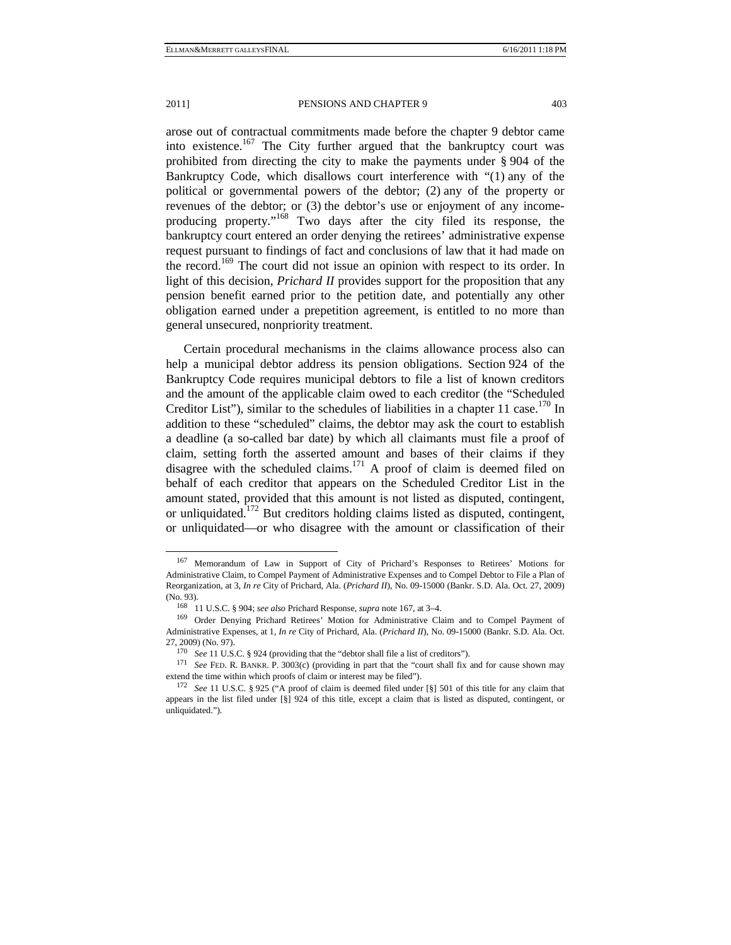arose out of contractual commitments made before the chapter 9 debtor came into existence.<sup>167</sup> The City further argued that the bankruptcy court was prohibited from directing the city to make the payments under § 904 of the Bankruptcy Code, which disallows court interference with "(1) any of the political or governmental powers of the debtor; (2) any of the property or revenues of the debtor; or (3) the debtor's use or enjoyment of any incomeproducing property."168 Two days after the city filed its response, the bankruptcy court entered an order denying the retirees' administrative expense request pursuant to findings of fact and conclusions of law that it had made on the record.<sup>169</sup> The court did not issue an opinion with respect to its order. In light of this decision, *Prichard II* provides support for the proposition that any pension benefit earned prior to the petition date, and potentially any other obligation earned under a prepetition agreement, is entitled to no more than general unsecured, nonpriority treatment.

Certain procedural mechanisms in the claims allowance process also can help a municipal debtor address its pension obligations. Section 924 of the Bankruptcy Code requires municipal debtors to file a list of known creditors and the amount of the applicable claim owed to each creditor (the "Scheduled Creditor List"), similar to the schedules of liabilities in a chapter 11 case.<sup>170</sup> In addition to these "scheduled" claims, the debtor may ask the court to establish a deadline (a so-called bar date) by which all claimants must file a proof of claim, setting forth the asserted amount and bases of their claims if they disagree with the scheduled claims.<sup>171</sup> A proof of claim is deemed filed on behalf of each creditor that appears on the Scheduled Creditor List in the amount stated, provided that this amount is not listed as disputed, contingent, or unliquidated.<sup>172</sup> But creditors holding claims listed as disputed, contingent, or unliquidated—or who disagree with the amount or classification of their

 <sup>167</sup> Memorandum of Law in Support of City of Prichard's Responses to Retirees' Motions for Administrative Claim, to Compel Payment of Administrative Expenses and to Compel Debtor to File a Plan of Reorganization, at 3, *In re* City of Prichard, Ala. (*Prichard II*), No. 09-15000 (Bankr. S.D. Ala. Oct. 27, 2009) (No. 93). 168 11 U.S.C. § 904; *see also* Prichard Response, *supra* note 167, at 3–4. 169 Order Denying Prichard Retirees' Motion for Administrative Claim and to Compel Payment of

Administrative Expenses, at 1, *In re* City of Prichard, Ala. (*Prichard II*), No. 09-15000 (Bankr. S.D. Ala. Oct. 27, 2009) (No. 97).<br><sup>170</sup> *See* 11 U.S.C. § 924 (providing that the "debtor shall file a list of creditors").<br><sup>171</sup> *See* FED. R. BANKR. P. 3003(c) (providing in part that the "court shall fix and for cause shown may

extend the time within which proofs of claim or interest may be filed").<br><sup>172</sup> See 11 U.S.C. § 925 ("A proof of claim is deemed filed under [§] 501 of this title for any claim that

appears in the list filed under [§] 924 of this title, except a claim that is listed as disputed, contingent, or unliquidated.").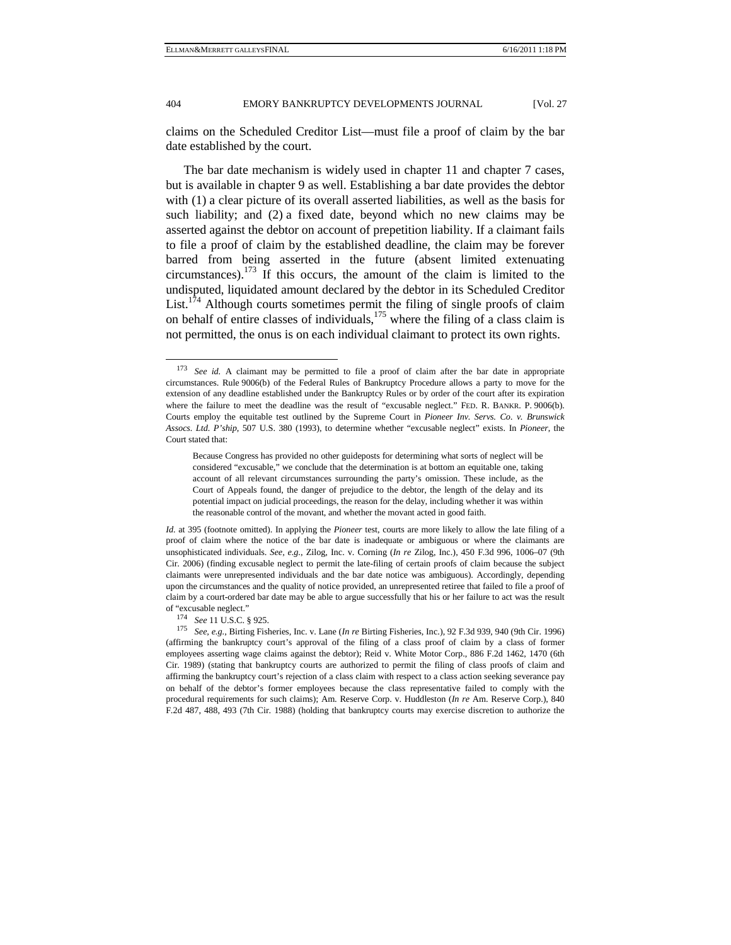claims on the Scheduled Creditor List—must file a proof of claim by the bar date established by the court.

The bar date mechanism is widely used in chapter 11 and chapter 7 cases, but is available in chapter 9 as well. Establishing a bar date provides the debtor with (1) a clear picture of its overall asserted liabilities, as well as the basis for such liability; and (2) a fixed date, beyond which no new claims may be asserted against the debtor on account of prepetition liability. If a claimant fails to file a proof of claim by the established deadline, the claim may be forever barred from being asserted in the future (absent limited extenuating circumstances).<sup>173</sup> If this occurs, the amount of the claim is limited to the undisputed, liquidated amount declared by the debtor in its Scheduled Creditor List.<sup>174</sup> Although courts sometimes permit the filing of single proofs of claim on behalf of entire classes of individuals, $175$  where the filing of a class claim is not permitted, the onus is on each individual claimant to protect its own rights.

*Id.* at 395 (footnote omitted). In applying the *Pioneer* test, courts are more likely to allow the late filing of a proof of claim where the notice of the bar date is inadequate or ambiguous or where the claimants are unsophisticated individuals. *See, e.g.*, Zilog, Inc. v. Corning (*In re* Zilog, Inc.), 450 F.3d 996, 1006–07 (9th Cir. 2006) (finding excusable neglect to permit the late-filing of certain proofs of claim because the subject claimants were unrepresented individuals and the bar date notice was ambiguous). Accordingly, depending upon the circumstances and the quality of notice provided, an unrepresented retiree that failed to file a proof of claim by a court-ordered bar date may be able to argue successfully that his or her failure to act was the result

of "excusable neglect." 174 *See* 11 U.S.C. § 925. 175 *See, e.g.*, Birting Fisheries, Inc. v. Lane (*In re* Birting Fisheries, Inc.), 92 F.3d 939, 940 (9th Cir. 1996) (affirming the bankruptcy court's approval of the filing of a class proof of claim by a class of former employees asserting wage claims against the debtor); Reid v. White Motor Corp., 886 F.2d 1462, 1470 (6th Cir. 1989) (stating that bankruptcy courts are authorized to permit the filing of class proofs of claim and affirming the bankruptcy court's rejection of a class claim with respect to a class action seeking severance pay on behalf of the debtor's former employees because the class representative failed to comply with the procedural requirements for such claims); Am. Reserve Corp. v. Huddleston (*In re* Am. Reserve Corp.), 840 F.2d 487, 488, 493 (7th Cir. 1988) (holding that bankruptcy courts may exercise discretion to authorize the

 <sup>173</sup> *See id.* A claimant may be permitted to file a proof of claim after the bar date in appropriate circumstances. Rule 9006(b) of the Federal Rules of Bankruptcy Procedure allows a party to move for the extension of any deadline established under the Bankruptcy Rules or by order of the court after its expiration where the failure to meet the deadline was the result of "excusable neglect." FED. R. BANKR. P. 9006(b). Courts employ the equitable test outlined by the Supreme Court in *Pioneer Inv. Servs. Co. v. Brunswick Assocs. Ltd. P'ship*, 507 U.S. 380 (1993), to determine whether "excusable neglect" exists. In *Pioneer*, the Court stated that:

Because Congress has provided no other guideposts for determining what sorts of neglect will be considered "excusable," we conclude that the determination is at bottom an equitable one, taking account of all relevant circumstances surrounding the party's omission. These include, as the Court of Appeals found, the danger of prejudice to the debtor, the length of the delay and its potential impact on judicial proceedings, the reason for the delay, including whether it was within the reasonable control of the movant, and whether the movant acted in good faith.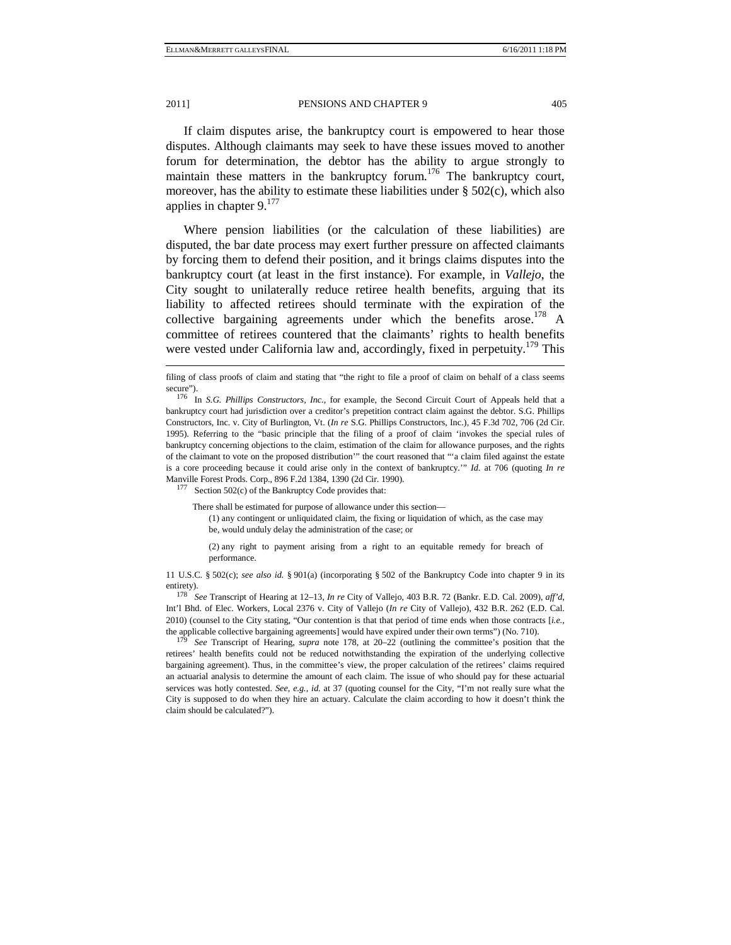If claim disputes arise, the bankruptcy court is empowered to hear those disputes. Although claimants may seek to have these issues moved to another forum for determination, the debtor has the ability to argue strongly to maintain these matters in the bankruptcy forum.<sup>176</sup> The bankruptcy court, moreover, has the ability to estimate these liabilities under  $\S$  502(c), which also applies in chapter  $9.177$ 

Where pension liabilities (or the calculation of these liabilities) are disputed, the bar date process may exert further pressure on affected claimants by forcing them to defend their position, and it brings claims disputes into the bankruptcy court (at least in the first instance). For example, in *Vallejo*, the City sought to unilaterally reduce retiree health benefits, arguing that its liability to affected retirees should terminate with the expiration of the collective bargaining agreements under which the benefits arose.<sup>178</sup> A committee of retirees countered that the claimants' rights to health benefits were vested under California law and, accordingly, fixed in perpetuity.<sup>179</sup> This

There shall be estimated for purpose of allowance under this section—

(1) any contingent or unliquidated claim, the fixing or liquidation of which, as the case may be, would unduly delay the administration of the case; or

(2) any right to payment arising from a right to an equitable remedy for breach of performance.

11 U.S.C. § 502(c); *see also id.* § 901(a) (incorporating § 502 of the Bankruptcy Code into chapter 9 in its entirety). 178 *See* Transcript of Hearing at 12–13, *In re* City of Vallejo, 403 B.R. 72 (Bankr. E.D. Cal. 2009), *aff'd*,

Int'l Bhd. of Elec. Workers, Local 2376 v. City of Vallejo (*In re* City of Vallejo), 432 B.R. 262 (E.D. Cal. 2010) (counsel to the City stating, "Our contention is that that period of time ends when those contracts [*i.e.*, the applicable collective bargaining agreements] would have expired under their own terms") (No. 710). 179 *See* Transcript of Hearing, *supra* note 178, at 20–22 (outlining the committee's position that the

retirees' health benefits could not be reduced notwithstanding the expiration of the underlying collective bargaining agreement). Thus, in the committee's view, the proper calculation of the retirees' claims required an actuarial analysis to determine the amount of each claim. The issue of who should pay for these actuarial services was hotly contested. *See, e.g.*, *id.* at 37 (quoting counsel for the City, "I'm not really sure what the City is supposed to do when they hire an actuary. Calculate the claim according to how it doesn't think the claim should be calculated?").

-

filing of class proofs of claim and stating that "the right to file a proof of claim on behalf of a class seems

secure"). 176 In *S.G. Phillips Constructors, Inc.*, for example, the Second Circuit Court of Appeals held that a bankruptcy court had jurisdiction over a creditor's prepetition contract claim against the debtor. S.G. Phillips Constructors, Inc. v. City of Burlington, Vt. (*In re* S.G. Phillips Constructors, Inc.), 45 F.3d 702, 706 (2d Cir. 1995). Referring to the "basic principle that the filing of a proof of claim 'invokes the special rules of bankruptcy concerning objections to the claim, estimation of the claim for allowance purposes, and the rights of the claimant to vote on the proposed distribution'" the court reasoned that "'a claim filed against the estate is a core proceeding because it could arise only in the context of bankruptcy.'" *Id.* at 706 (quoting *In re*  Manville Forest Prods. Corp., 896 F.2d 1384, 1390 (2d Cir. 1990).<br><sup>177</sup> Section 502(c) of the Bankruptcy Code provides that: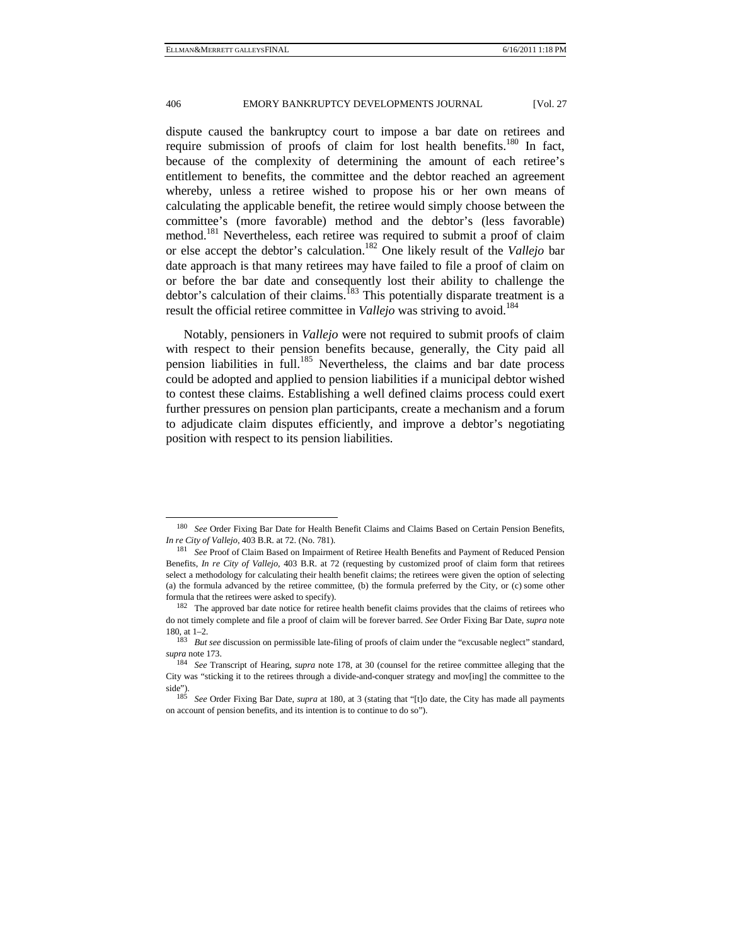dispute caused the bankruptcy court to impose a bar date on retirees and require submission of proofs of claim for lost health benefits.<sup>180</sup> In fact, because of the complexity of determining the amount of each retiree's entitlement to benefits, the committee and the debtor reached an agreement whereby, unless a retiree wished to propose his or her own means of calculating the applicable benefit, the retiree would simply choose between the committee's (more favorable) method and the debtor's (less favorable) method.181 Nevertheless, each retiree was required to submit a proof of claim or else accept the debtor's calculation.182 One likely result of the *Vallejo* bar date approach is that many retirees may have failed to file a proof of claim on or before the bar date and consequently lost their ability to challenge the debtor's calculation of their claims.<sup>183</sup> This potentially disparate treatment is a result the official retiree committee in *Vallejo* was striving to avoid.<sup>184</sup>

Notably, pensioners in *Vallejo* were not required to submit proofs of claim with respect to their pension benefits because, generally, the City paid all pension liabilities in full.<sup>185</sup> Nevertheless, the claims and bar date process could be adopted and applied to pension liabilities if a municipal debtor wished to contest these claims. Establishing a well defined claims process could exert further pressures on pension plan participants, create a mechanism and a forum to adjudicate claim disputes efficiently, and improve a debtor's negotiating position with respect to its pension liabilities.

 <sup>180</sup> *See* Order Fixing Bar Date for Health Benefit Claims and Claims Based on Certain Pension Benefits, *In re City of Vallejo*, 403 B.R. at 72. (No. 781). 181 *See* Proof of Claim Based on Impairment of Retiree Health Benefits and Payment of Reduced Pension

Benefits, *In re City of Vallejo*, 403 B.R. at 72 (requesting by customized proof of claim form that retirees select a methodology for calculating their health benefit claims; the retirees were given the option of selecting (a) the formula advanced by the retiree committee, (b) the formula preferred by the City, or (c) some other formula that the retirees were asked to specify).<br><sup>182</sup> The approved bar date notice for retiree health benefit claims provides that the claims of retirees who

do not timely complete and file a proof of claim will be forever barred. *See* Order Fixing Bar Date, *supra* note

<sup>180,</sup> at 1–2. 183 *But see* discussion on permissible late-filing of proofs of claim under the "excusable neglect" standard, *supra* note 173. 184 *See* Transcript of Hearing, *supra* note 178, at 30 (counsel for the retiree committee alleging that the

City was "sticking it to the retirees through a divide-and-conquer strategy and mov[ing] the committee to the side"). 185 *See* Order Fixing Bar Date, *supra* at 180, at 3 (stating that "[t]o date, the City has made all payments

on account of pension benefits, and its intention is to continue to do so").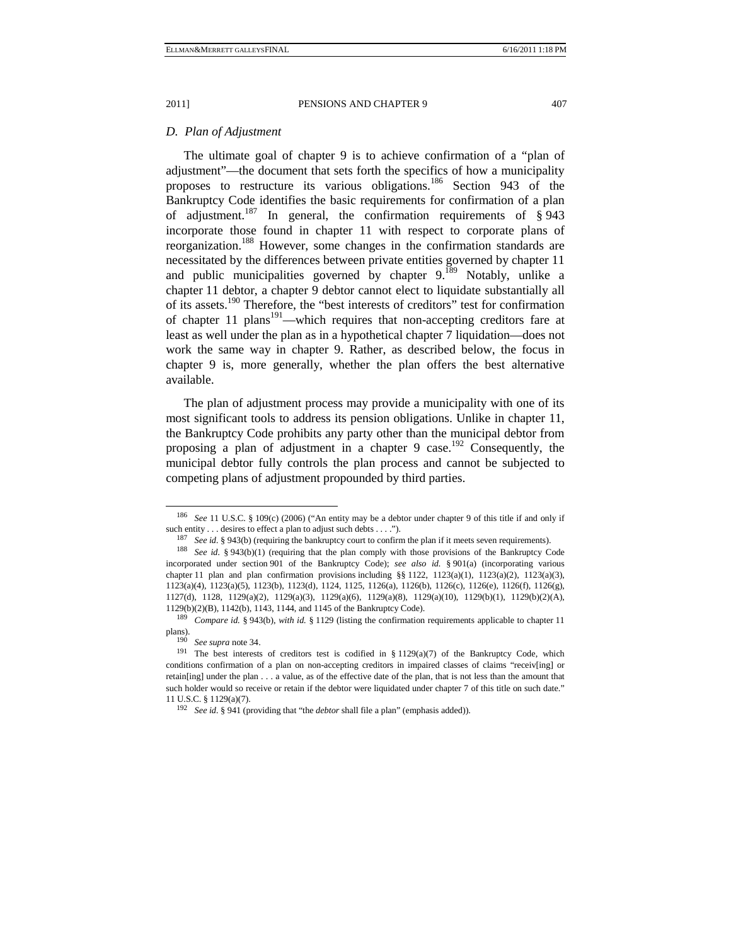#### *D. Plan of Adjustment*

The ultimate goal of chapter 9 is to achieve confirmation of a "plan of adjustment"—the document that sets forth the specifics of how a municipality proposes to restructure its various obligations.<sup>186</sup> Section 943 of the Bankruptcy Code identifies the basic requirements for confirmation of a plan of adjustment.<sup>187</sup> In general, the confirmation requirements of  $\S$  943 incorporate those found in chapter 11 with respect to corporate plans of reorganization.188 However, some changes in the confirmation standards are necessitated by the differences between private entities governed by chapter 11 and public municipalities governed by chapter  $9.189$  Notably, unlike a chapter 11 debtor, a chapter 9 debtor cannot elect to liquidate substantially all of its assets.<sup>190</sup> Therefore, the "best interests of creditors" test for confirmation of chapter 11 plans<sup>191</sup>—which requires that non-accepting creditors fare at least as well under the plan as in a hypothetical chapter 7 liquidation—does not work the same way in chapter 9. Rather, as described below, the focus in chapter 9 is, more generally, whether the plan offers the best alternative available.

The plan of adjustment process may provide a municipality with one of its most significant tools to address its pension obligations. Unlike in chapter 11, the Bankruptcy Code prohibits any party other than the municipal debtor from proposing a plan of adjustment in a chapter 9 case.<sup>192</sup> Consequently, the municipal debtor fully controls the plan process and cannot be subjected to competing plans of adjustment propounded by third parties.

 <sup>186</sup> *See* 11 U.S.C. § 109(c) (2006) ("An entity may be a debtor under chapter 9 of this title if and only if such entity . . . desires to effect a plan to adjust such debts . . . .").<br><sup>187</sup> See id. § 943(b) (requiring the bankruptcy court to confirm the plan if it meets seven requirements).<br><sup>188</sup> See id. § 943(b)(1) (requiring t

incorporated under section 901 of the Bankruptcy Code); *see also id.* § 901(a) (incorporating various chapter 11 plan and plan confirmation provisions including  $\S$  1122, 1123(a)(1), 1123(a)(2), 1123(a)(3), 1123(a)(4), 1123(a)(5), 1123(b), 1123(d), 1124, 1125, 1126(a), 1126(b), 1126(c), 1126(e), 1126(f), 1126(g), 1127(d), 1128, 1129(a)(2), 1129(a)(3), 1129(a)(6), 1129(a)(8), 1129(a)(10), 1129(b)(1), 1129(b)(2)(A), 1129(b)(2)(B), 1142(b), 1143, 1144, and 1145 of the Bankruptcy Code). 189 *Compare id.* § 943(b), *with id.* § 1129 (listing the confirmation requirements applicable to chapter 11

plans).<br><sup>190</sup> *See supra* note 34.<br><sup>191</sup> The best interests of creditors test is codified in § 1129(a)(7) of the Bankruptcy Code, which

conditions confirmation of a plan on non-accepting creditors in impaired classes of claims "receiv[ing] or retain[ing] under the plan . . . a value, as of the effective date of the plan, that is not less than the amount that such holder would so receive or retain if the debtor were liquidated under chapter 7 of this title on such date." 11 U.S.C. § 1129(a)(7). 192 *See id.* § 941 (providing that "the *debtor* shall file a plan" (emphasis added)).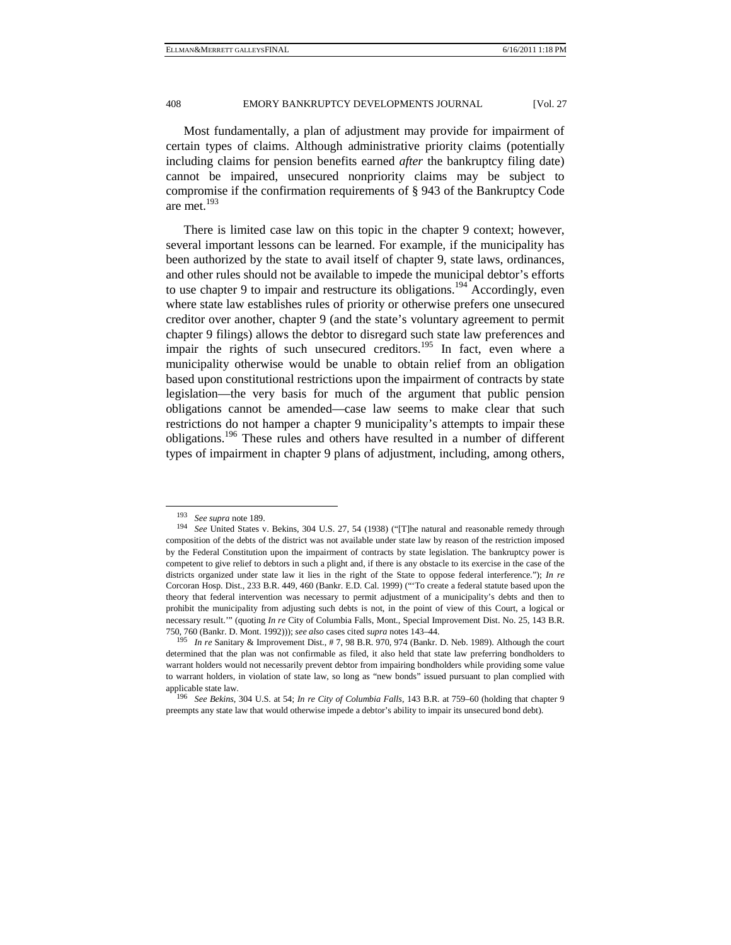Most fundamentally, a plan of adjustment may provide for impairment of certain types of claims. Although administrative priority claims (potentially including claims for pension benefits earned *after* the bankruptcy filing date) cannot be impaired, unsecured nonpriority claims may be subject to compromise if the confirmation requirements of § 943 of the Bankruptcy Code are met.<sup>193</sup>

There is limited case law on this topic in the chapter 9 context; however, several important lessons can be learned. For example, if the municipality has been authorized by the state to avail itself of chapter 9, state laws, ordinances, and other rules should not be available to impede the municipal debtor's efforts to use chapter 9 to impair and restructure its obligations.<sup>194</sup> Accordingly, even where state law establishes rules of priority or otherwise prefers one unsecured creditor over another, chapter 9 (and the state's voluntary agreement to permit chapter 9 filings) allows the debtor to disregard such state law preferences and impair the rights of such unsecured creditors.<sup>195</sup> In fact, even where a municipality otherwise would be unable to obtain relief from an obligation based upon constitutional restrictions upon the impairment of contracts by state legislation—the very basis for much of the argument that public pension obligations cannot be amended—case law seems to make clear that such restrictions do not hamper a chapter 9 municipality's attempts to impair these obligations.196 These rules and others have resulted in a number of different types of impairment in chapter 9 plans of adjustment, including, among others,

<sup>193</sup> *See supra* note 189. 194 *See* United States v. Bekins, 304 U.S. 27, 54 (1938) ("[T]he natural and reasonable remedy through composition of the debts of the district was not available under state law by reason of the restriction imposed by the Federal Constitution upon the impairment of contracts by state legislation. The bankruptcy power is competent to give relief to debtors in such a plight and, if there is any obstacle to its exercise in the case of the districts organized under state law it lies in the right of the State to oppose federal interference."); *In re* Corcoran Hosp. Dist., 233 B.R. 449, 460 (Bankr. E.D. Cal. 1999) ("'To create a federal statute based upon the theory that federal intervention was necessary to permit adjustment of a municipality's debts and then to prohibit the municipality from adjusting such debts is not, in the point of view of this Court, a logical or necessary result.'" (quoting *In re* City of Columbia Falls, Mont., Special Improvement Dist. No. 25, 143 B.R.

<sup>750, 760 (</sup>Bankr. D. Mont. 1992))); *see also* cases cited *supra* notes 143–44. 195 *In re* Sanitary & Improvement Dist., # 7, 98 B.R. 970, 974 (Bankr. D. Neb. 1989). Although the court determined that the plan was not confirmable as filed, it also held that state law preferring bondholders to warrant holders would not necessarily prevent debtor from impairing bondholders while providing some value to warrant holders, in violation of state law, so long as "new bonds" issued pursuant to plan complied with applicable state law. 196 *See Bekins*, 304 U.S. at 54; *In re City of Columbia Falls*, 143 B.R. at 759–60 (holding that chapter 9

preempts any state law that would otherwise impede a debtor's ability to impair its unsecured bond debt).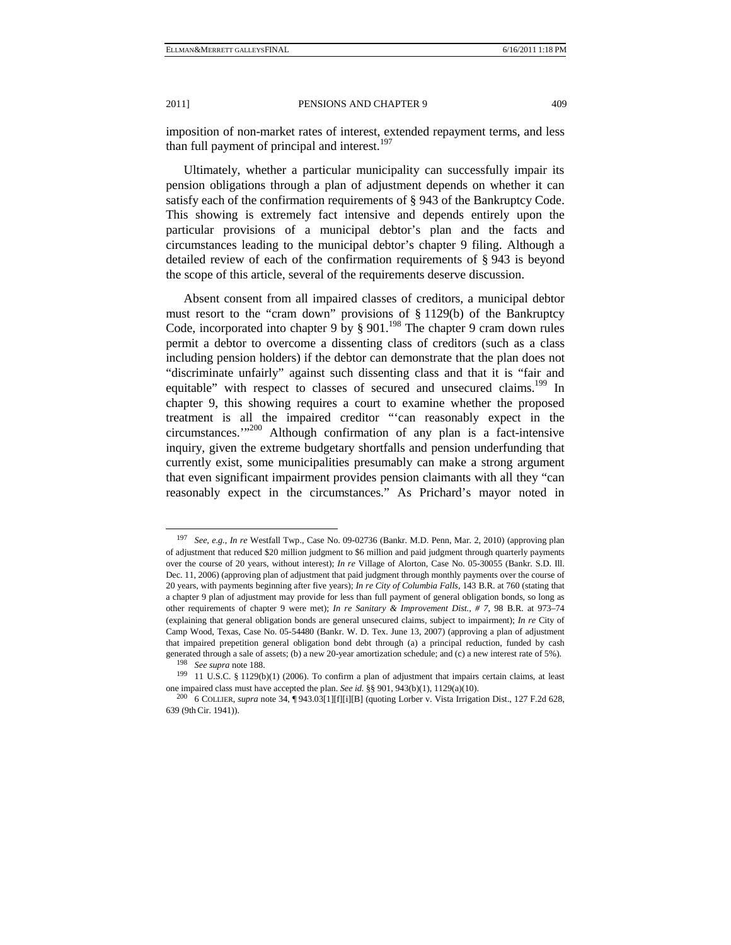imposition of non-market rates of interest, extended repayment terms, and less than full payment of principal and interest. $197$ 

Ultimately, whether a particular municipality can successfully impair its pension obligations through a plan of adjustment depends on whether it can satisfy each of the confirmation requirements of § 943 of the Bankruptcy Code. This showing is extremely fact intensive and depends entirely upon the particular provisions of a municipal debtor's plan and the facts and circumstances leading to the municipal debtor's chapter 9 filing. Although a detailed review of each of the confirmation requirements of § 943 is beyond the scope of this article, several of the requirements deserve discussion.

Absent consent from all impaired classes of creditors, a municipal debtor must resort to the "cram down" provisions of § 1129(b) of the Bankruptcy Code, incorporated into chapter 9 by  $\S 901$ .<sup>198</sup> The chapter 9 cram down rules permit a debtor to overcome a dissenting class of creditors (such as a class including pension holders) if the debtor can demonstrate that the plan does not "discriminate unfairly" against such dissenting class and that it is "fair and equitable" with respect to classes of secured and unsecured claims.<sup>199</sup> In chapter 9, this showing requires a court to examine whether the proposed treatment is all the impaired creditor "'can reasonably expect in the circumstances.'"200 Although confirmation of any plan is a fact-intensive inquiry, given the extreme budgetary shortfalls and pension underfunding that currently exist, some municipalities presumably can make a strong argument that even significant impairment provides pension claimants with all they "can reasonably expect in the circumstances." As Prichard's mayor noted in

 <sup>197</sup> *See, e.g.*, *In re* Westfall Twp., Case No. 09-02736 (Bankr. M.D. Penn, Mar. 2, 2010) (approving plan of adjustment that reduced \$20 million judgment to \$6 million and paid judgment through quarterly payments over the course of 20 years, without interest); *In re* Village of Alorton, Case No. 05-30055 (Bankr. S.D. Ill. Dec. 11, 2006) (approving plan of adjustment that paid judgment through monthly payments over the course of 20 years, with payments beginning after five years); *In re City of Columbia Falls*, 143 B.R. at 760 (stating that a chapter 9 plan of adjustment may provide for less than full payment of general obligation bonds, so long as other requirements of chapter 9 were met); *In re Sanitary & Improvement Dist., # 7*, 98 B.R. at 973–74 (explaining that general obligation bonds are general unsecured claims, subject to impairment); *In re* City of Camp Wood, Texas, Case No. 05-54480 (Bankr. W. D. Tex. June 13, 2007) (approving a plan of adjustment that impaired prepetition general obligation bond debt through (a) a principal reduction, funded by cash generated through a sale of assets; (b) a new 20-year amortization schedule; and (c) a new interest rate of 5%).<br><sup>198</sup> See supra note 188.<br><sup>199</sup> 11 U.S.C. § 1129(b)(1) (2006). To confirm a plan of adjustment that impairs c

one impaired class must have accepted the plan. *See id.* §§ 901, 943(b)(1), 1129(a)(10). 200 6 COLLIER, *supra* note 34, ¶ 943.03[1][f][i][B] (quoting Lorber v. Vista Irrigation Dist., 127 F.2d 628,

<sup>639 (9</sup>thCir. 1941)).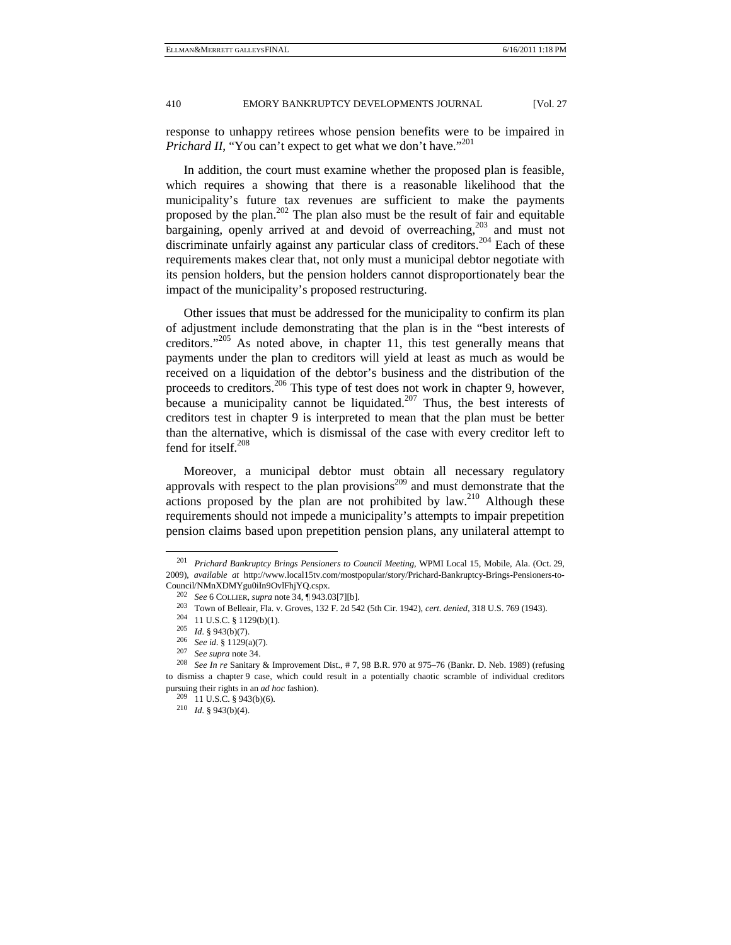response to unhappy retirees whose pension benefits were to be impaired in *Prichard II*, "You can't expect to get what we don't have."<sup>201</sup>

In addition, the court must examine whether the proposed plan is feasible, which requires a showing that there is a reasonable likelihood that the municipality's future tax revenues are sufficient to make the payments proposed by the plan.<sup>202</sup> The plan also must be the result of fair and equitable bargaining, openly arrived at and devoid of overreaching,203 and must not discriminate unfairly against any particular class of creditors.<sup>204</sup> Each of these requirements makes clear that, not only must a municipal debtor negotiate with its pension holders, but the pension holders cannot disproportionately bear the impact of the municipality's proposed restructuring.

Other issues that must be addressed for the municipality to confirm its plan of adjustment include demonstrating that the plan is in the "best interests of creditors."205 As noted above, in chapter 11, this test generally means that payments under the plan to creditors will yield at least as much as would be received on a liquidation of the debtor's business and the distribution of the proceeds to creditors.206 This type of test does not work in chapter 9, however, because a municipality cannot be liquidated.<sup>207</sup> Thus, the best interests of creditors test in chapter 9 is interpreted to mean that the plan must be better than the alternative, which is dismissal of the case with every creditor left to fend for itself.<sup>208</sup>

Moreover, a municipal debtor must obtain all necessary regulatory approvals with respect to the plan provisions<sup>209</sup> and must demonstrate that the actions proposed by the plan are not prohibited by  $law$ <sup>210</sup> Although these requirements should not impede a municipality's attempts to impair prepetition pension claims based upon prepetition pension plans, any unilateral attempt to

 <sup>201</sup> *Prichard Bankruptcy Brings Pensioners to Council Meeting*, WPMI Local 15, Mobile, Ala. (Oct. 29, 2009), *available at* http://www.local15tv.com/mostpopular/story/Prichard-Bankruptcy-Brings-Pensioners-to-Council/NMnXDMYgu0iIn9OvlFhjYQ.cspx.<br>
<sup>202</sup> See 6 COLLIER, *supra* note 34, ¶ 943.03[7][b].<br>
<sup>203</sup> Town of Belleair, Fla. v. Groves, 132 F. 2d 542 (5th Cir. 1942), *cert. denied*, 318 U.S. 769 (1943).<br>
<sup>204</sup> 11 U.S.C. § 1

to dismiss a chapter 9 case, which could result in a potentially chaotic scramble of individual creditors pursuing their rights in an *ad hoc* fashion). 209 11 U.S.C. § 943(b)(6). 210 *Id.* § 943(b)(4).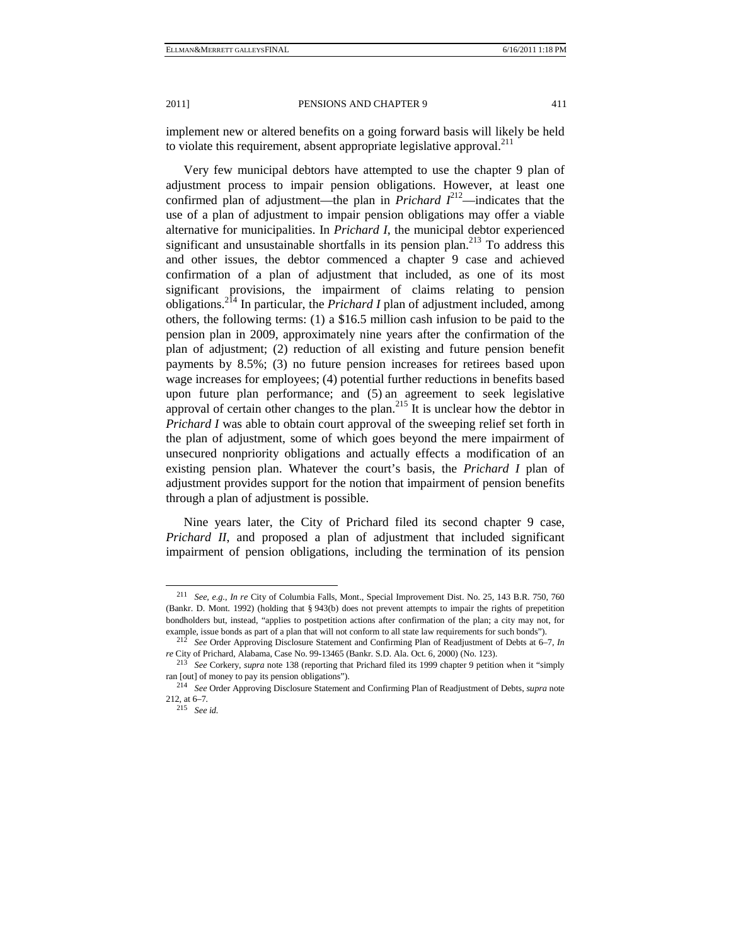implement new or altered benefits on a going forward basis will likely be held to violate this requirement, absent appropriate legislative approval.<sup>211</sup>

Very few municipal debtors have attempted to use the chapter 9 plan of adjustment process to impair pension obligations. However, at least one confirmed plan of adjustment—the plan in *Prichard*  $I^{212}$ —indicates that the use of a plan of adjustment to impair pension obligations may offer a viable alternative for municipalities. In *Prichard I*, the municipal debtor experienced significant and unsustainable shortfalls in its pension plan.<sup>213</sup> To address this and other issues, the debtor commenced a chapter 9 case and achieved confirmation of a plan of adjustment that included, as one of its most significant provisions, the impairment of claims relating to pension obligations.214 In particular, the *Prichard I* plan of adjustment included, among others, the following terms: (1) a \$16.5 million cash infusion to be paid to the pension plan in 2009, approximately nine years after the confirmation of the plan of adjustment; (2) reduction of all existing and future pension benefit payments by 8.5%; (3) no future pension increases for retirees based upon wage increases for employees; (4) potential further reductions in benefits based upon future plan performance; and (5) an agreement to seek legislative approval of certain other changes to the plan.<sup>215</sup> It is unclear how the debtor in *Prichard I* was able to obtain court approval of the sweeping relief set forth in the plan of adjustment, some of which goes beyond the mere impairment of unsecured nonpriority obligations and actually effects a modification of an existing pension plan. Whatever the court's basis, the *Prichard I* plan of adjustment provides support for the notion that impairment of pension benefits through a plan of adjustment is possible.

Nine years later, the City of Prichard filed its second chapter 9 case, *Prichard II*, and proposed a plan of adjustment that included significant impairment of pension obligations, including the termination of its pension

 <sup>211</sup> *See, e.g.*, *In re* City of Columbia Falls, Mont., Special Improvement Dist. No. 25, 143 B.R. 750, 760 (Bankr. D. Mont. 1992) (holding that § 943(b) does not prevent attempts to impair the rights of prepetition bondholders but, instead, "applies to postpetition actions after confirmation of the plan; a city may not, for

example, issue bonds as part of a plan that will not conform to all state law requirements for such bonds"). 212 *See* Order Approving Disclosure Statement and Confirming Plan of Readjustment of Debts at 6–7, *In re* City of Prichard, Alabama, Case No. 99-13465 (Bankr. S.D. Ala. Oct. 6, 2000) (No. 123).

<sup>&</sup>lt;sup>213</sup> See Corkery, *supra* note 138 (reporting that Prichard filed its 1999 chapter 9 petition when it "simply ran [out] of money to pay its pension obligations").

ran [out] of money to pay its pension obligations"). 214 *See* Order Approving Disclosure Statement and Confirming Plan of Readjustment of Debts, *supra* note 212, at 6–7*.* 

<sup>215</sup> *See id.*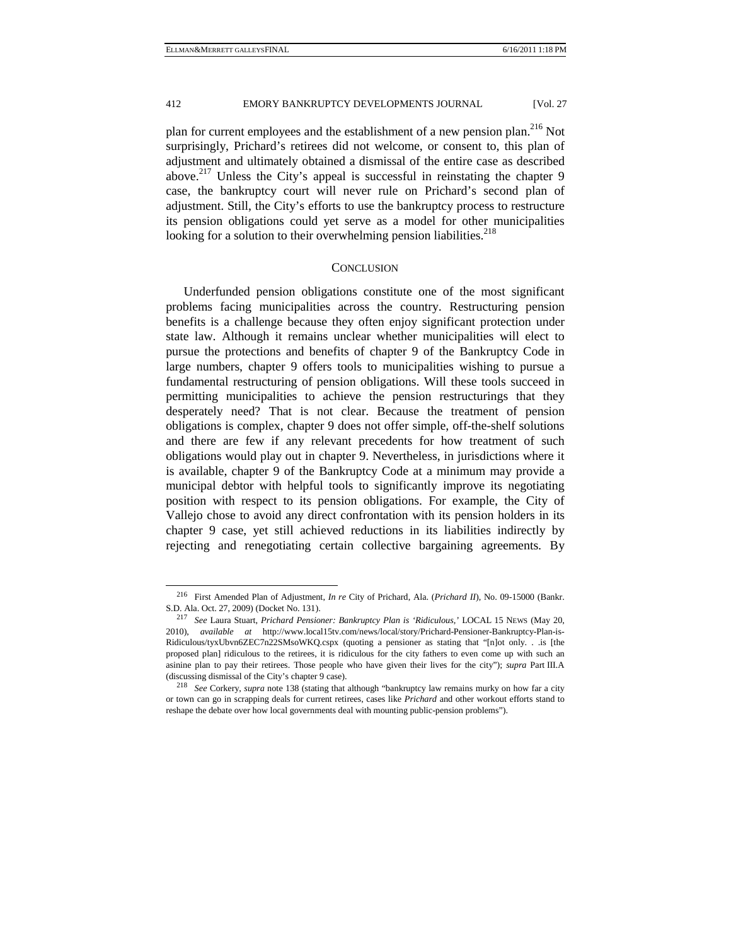plan for current employees and the establishment of a new pension plan.<sup>216</sup> Not surprisingly, Prichard's retirees did not welcome, or consent to, this plan of adjustment and ultimately obtained a dismissal of the entire case as described above.<sup>217</sup> Unless the City's appeal is successful in reinstating the chapter 9 case, the bankruptcy court will never rule on Prichard's second plan of adjustment. Still, the City's efforts to use the bankruptcy process to restructure its pension obligations could yet serve as a model for other municipalities looking for a solution to their overwhelming pension liabilities.<sup>218</sup>

#### **CONCLUSION**

Underfunded pension obligations constitute one of the most significant problems facing municipalities across the country. Restructuring pension benefits is a challenge because they often enjoy significant protection under state law. Although it remains unclear whether municipalities will elect to pursue the protections and benefits of chapter 9 of the Bankruptcy Code in large numbers, chapter 9 offers tools to municipalities wishing to pursue a fundamental restructuring of pension obligations. Will these tools succeed in permitting municipalities to achieve the pension restructurings that they desperately need? That is not clear. Because the treatment of pension obligations is complex, chapter 9 does not offer simple, off-the-shelf solutions and there are few if any relevant precedents for how treatment of such obligations would play out in chapter 9. Nevertheless, in jurisdictions where it is available, chapter 9 of the Bankruptcy Code at a minimum may provide a municipal debtor with helpful tools to significantly improve its negotiating position with respect to its pension obligations. For example, the City of Vallejo chose to avoid any direct confrontation with its pension holders in its chapter 9 case, yet still achieved reductions in its liabilities indirectly by rejecting and renegotiating certain collective bargaining agreements. By

 <sup>216</sup> First Amended Plan of Adjustment, *In re* City of Prichard, Ala. (*Prichard II*), No. 09-15000 (Bankr.

S.D. Ala. Oct. 27, 2009) (Docket No. 131). 217 *See* Laura Stuart, *Prichard Pensioner: Bankruptcy Plan is 'Ridiculous,'* LOCAL <sup>15</sup> NEWS (May 20, 2010), *available at* http://www.local15tv.com/news/local/story/Prichard-Pensioner-Bankruptcy-Plan-is-Ridiculous/tyxUbvn6ZEC7n22SMsoWKQ.cspx (quoting a pensioner as stating that "[n]ot only. . .is [the proposed plan] ridiculous to the retirees, it is ridiculous for the city fathers to even come up with such an asinine plan to pay their retirees. Those people who have given their lives for the city"); *supra* Part III.A (discussing dismissal of the City's chapter 9 case). 218 *See* Corkery, *supra* note 138 (stating that although "bankruptcy law remains murky on how far a city

or town can go in scrapping deals for current retirees, cases like *Prichard* and other workout efforts stand to reshape the debate over how local governments deal with mounting public-pension problems").